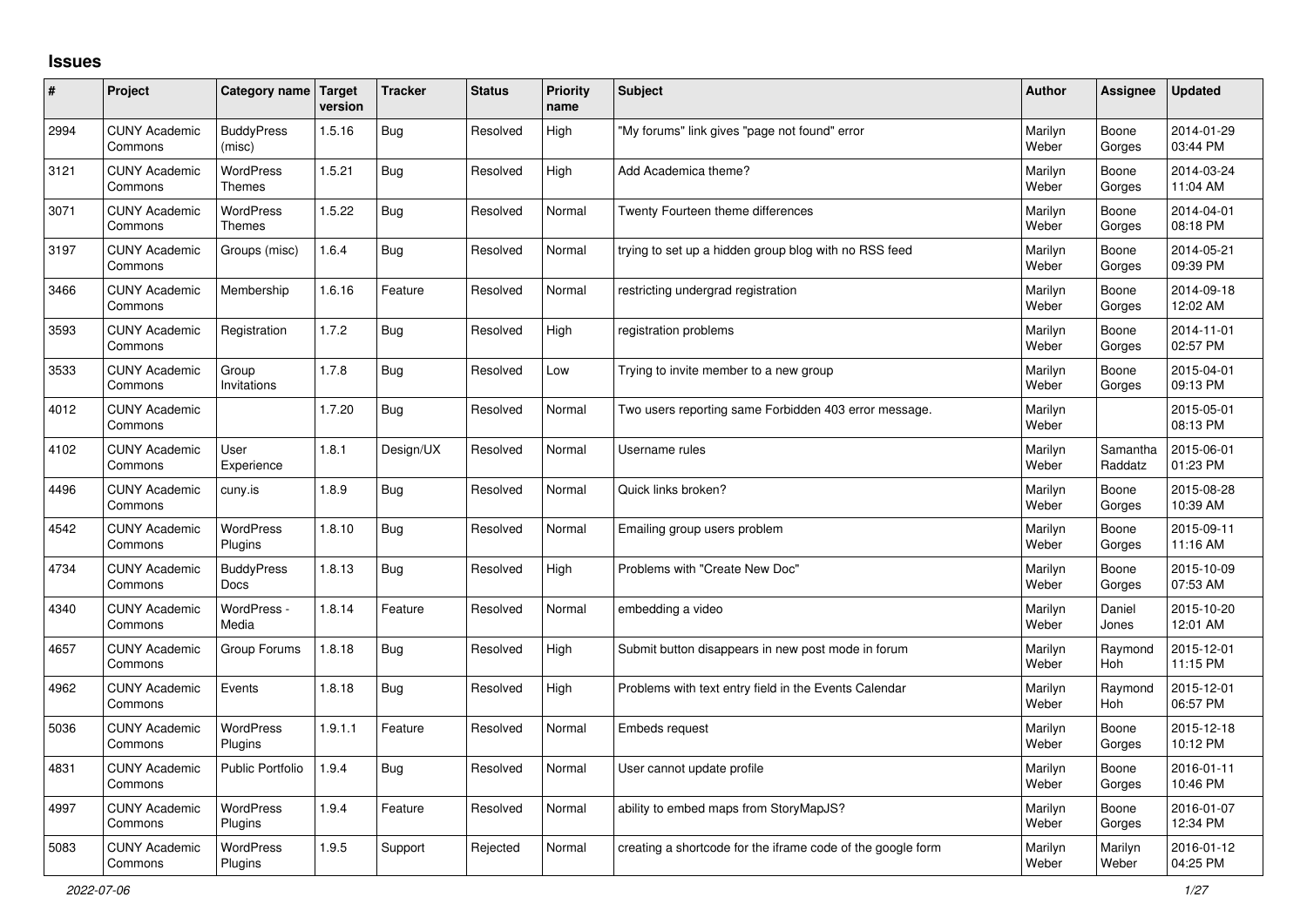## **Issues**

| #    | Project                         | Category name Target              | version | <b>Tracker</b> | <b>Status</b> | <b>Priority</b><br>name | <b>Subject</b>                                              | <b>Author</b>    | Assignee              | <b>Updated</b>         |
|------|---------------------------------|-----------------------------------|---------|----------------|---------------|-------------------------|-------------------------------------------------------------|------------------|-----------------------|------------------------|
| 2994 | <b>CUNY Academic</b><br>Commons | <b>BuddyPress</b><br>(misc)       | 1.5.16  | Bug            | Resolved      | High                    | "My forums" link gives "page not found" error               | Marilyn<br>Weber | Boone<br>Gorges       | 2014-01-29<br>03:44 PM |
| 3121 | <b>CUNY Academic</b><br>Commons | WordPress<br><b>Themes</b>        | 1.5.21  | Bug            | Resolved      | High                    | Add Academica theme?                                        | Marilyn<br>Weber | Boone<br>Gorges       | 2014-03-24<br>11:04 AM |
| 3071 | <b>CUNY Academic</b><br>Commons | <b>WordPress</b><br><b>Themes</b> | 1.5.22  | Bug            | Resolved      | Normal                  | Twenty Fourteen theme differences                           | Marilyn<br>Weber | Boone<br>Gorges       | 2014-04-01<br>08:18 PM |
| 3197 | <b>CUNY Academic</b><br>Commons | Groups (misc)                     | 1.6.4   | <b>Bug</b>     | Resolved      | Normal                  | trying to set up a hidden group blog with no RSS feed       | Marilyn<br>Weber | Boone<br>Gorges       | 2014-05-21<br>09:39 PM |
| 3466 | <b>CUNY Academic</b><br>Commons | Membership                        | 1.6.16  | Feature        | Resolved      | Normal                  | restricting undergrad registration                          | Marilyn<br>Weber | Boone<br>Gorges       | 2014-09-18<br>12:02 AM |
| 3593 | <b>CUNY Academic</b><br>Commons | Registration                      | 1.7.2   | Bug            | Resolved      | High                    | registration problems                                       | Marilyn<br>Weber | Boone<br>Gorges       | 2014-11-01<br>02:57 PM |
| 3533 | <b>CUNY Academic</b><br>Commons | Group<br>Invitations              | 1.7.8   | Bug            | Resolved      | Low                     | Trying to invite member to a new group                      | Marilyn<br>Weber | Boone<br>Gorges       | 2015-04-01<br>09:13 PM |
| 4012 | <b>CUNY Academic</b><br>Commons |                                   | 1.7.20  | <b>Bug</b>     | Resolved      | Normal                  | Two users reporting same Forbidden 403 error message.       | Marilyn<br>Weber |                       | 2015-05-01<br>08:13 PM |
| 4102 | <b>CUNY Academic</b><br>Commons | User<br>Experience                | 1.8.1   | Design/UX      | Resolved      | Normal                  | Username rules                                              | Marilyn<br>Weber | Samantha<br>Raddatz   | 2015-06-01<br>01:23 PM |
| 4496 | <b>CUNY Academic</b><br>Commons | cuny.is                           | 1.8.9   | Bug            | Resolved      | Normal                  | Quick links broken?                                         | Marilyn<br>Weber | Boone<br>Gorges       | 2015-08-28<br>10:39 AM |
| 4542 | <b>CUNY Academic</b><br>Commons | <b>WordPress</b><br>Plugins       | 1.8.10  | Bug            | Resolved      | Normal                  | Emailing group users problem                                | Marilyn<br>Weber | Boone<br>Gorges       | 2015-09-11<br>11:16 AM |
| 4734 | <b>CUNY Academic</b><br>Commons | <b>BuddyPress</b><br><b>Docs</b>  | 1.8.13  | <b>Bug</b>     | Resolved      | High                    | Problems with "Create New Doc"                              | Marilyn<br>Weber | Boone<br>Gorges       | 2015-10-09<br>07:53 AM |
| 4340 | <b>CUNY Academic</b><br>Commons | WordPress -<br>Media              | 1.8.14  | Feature        | Resolved      | Normal                  | embedding a video                                           | Marilyn<br>Weber | Daniel<br>Jones       | 2015-10-20<br>12:01 AM |
| 4657 | <b>CUNY Academic</b><br>Commons | Group Forums                      | 1.8.18  | Bug            | Resolved      | High                    | Submit button disappears in new post mode in forum          | Marilyn<br>Weber | Raymond<br>Hoh        | 2015-12-01<br>11:15 PM |
| 4962 | <b>CUNY Academic</b><br>Commons | Events                            | 1.8.18  | Bug            | Resolved      | High                    | Problems with text entry field in the Events Calendar       | Marilyn<br>Weber | Raymond<br><b>Hoh</b> | 2015-12-01<br>06:57 PM |
| 5036 | <b>CUNY Academic</b><br>Commons | <b>WordPress</b><br>Plugins       | 1.9.1.1 | Feature        | Resolved      | Normal                  | <b>Embeds request</b>                                       | Marilyn<br>Weber | Boone<br>Gorges       | 2015-12-18<br>10:12 PM |
| 4831 | <b>CUNY Academic</b><br>Commons | <b>Public Portfolio</b>           | 1.9.4   | <b>Bug</b>     | Resolved      | Normal                  | User cannot update profile                                  | Marilyn<br>Weber | Boone<br>Gorges       | 2016-01-11<br>10:46 PM |
| 4997 | <b>CUNY Academic</b><br>Commons | WordPress<br>Plugins              | 1.9.4   | Feature        | Resolved      | Normal                  | ability to embed maps from StoryMapJS?                      | Marilyn<br>Weber | Boone<br>Gorges       | 2016-01-07<br>12:34 PM |
| 5083 | <b>CUNY Academic</b><br>Commons | <b>WordPress</b><br>Plugins       | 1.9.5   | Support        | Rejected      | Normal                  | creating a shortcode for the iframe code of the google form | Marilyn<br>Weber | Marilyn<br>Weber      | 2016-01-12<br>04:25 PM |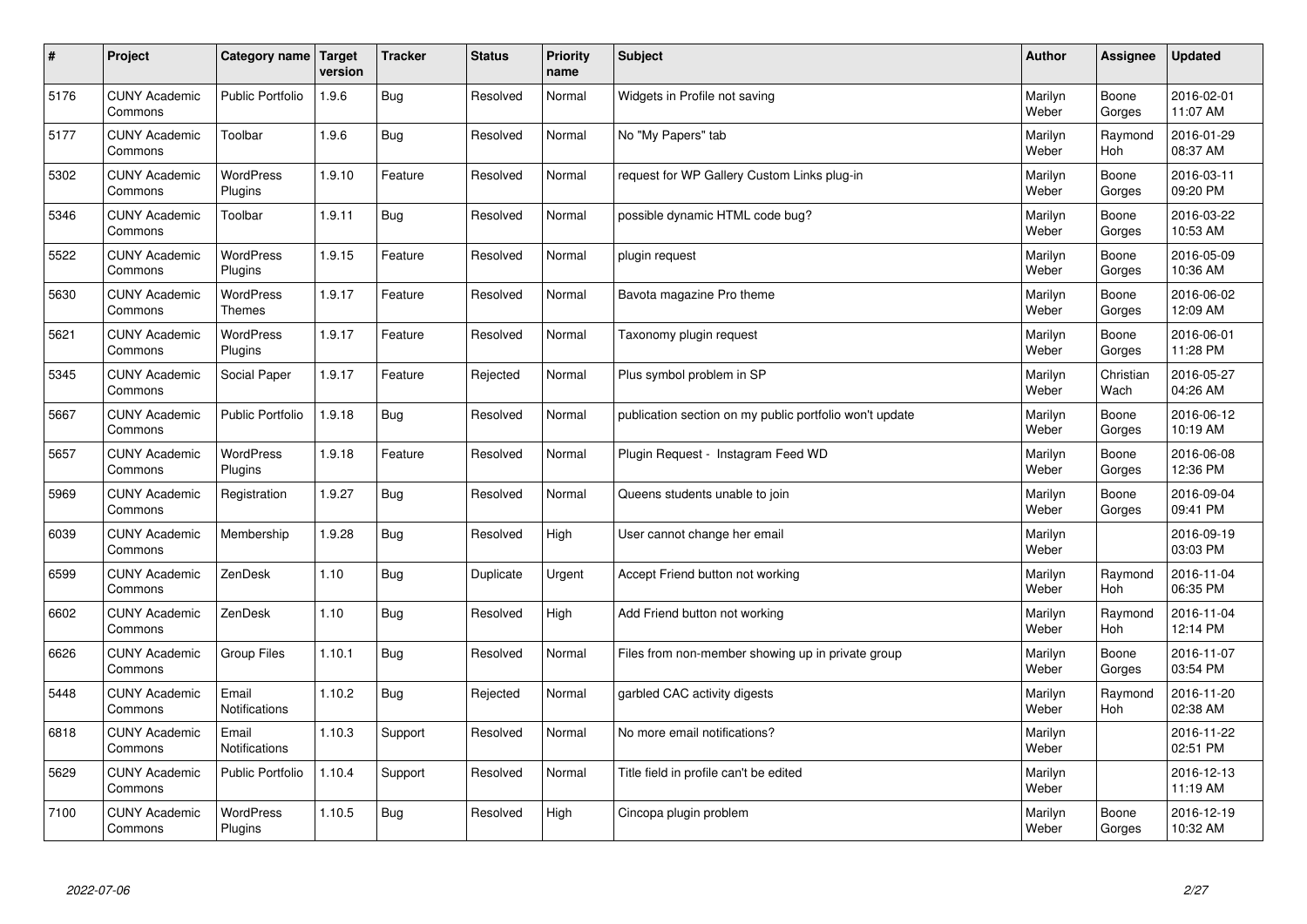| $\sharp$ | Project                         | Category name   Target        | version | <b>Tracker</b> | <b>Status</b> | <b>Priority</b><br>name | <b>Subject</b>                                          | <b>Author</b>    | Assignee              | <b>Updated</b>         |
|----------|---------------------------------|-------------------------------|---------|----------------|---------------|-------------------------|---------------------------------------------------------|------------------|-----------------------|------------------------|
| 5176     | <b>CUNY Academic</b><br>Commons | <b>Public Portfolio</b>       | 1.9.6   | Bug            | Resolved      | Normal                  | Widgets in Profile not saving                           | Marilyn<br>Weber | Boone<br>Gorges       | 2016-02-01<br>11:07 AM |
| 5177     | <b>CUNY Academic</b><br>Commons | Toolbar                       | 1.9.6   | Bug            | Resolved      | Normal                  | No "My Papers" tab                                      | Marilyn<br>Weber | Raymond<br><b>Hoh</b> | 2016-01-29<br>08:37 AM |
| 5302     | <b>CUNY Academic</b><br>Commons | <b>WordPress</b><br>Plugins   | 1.9.10  | Feature        | Resolved      | Normal                  | request for WP Gallery Custom Links plug-in             | Marilyn<br>Weber | Boone<br>Gorges       | 2016-03-11<br>09:20 PM |
| 5346     | <b>CUNY Academic</b><br>Commons | Toolbar                       | 1.9.11  | Bug            | Resolved      | Normal                  | possible dynamic HTML code bug?                         | Marilyn<br>Weber | Boone<br>Gorges       | 2016-03-22<br>10:53 AM |
| 5522     | <b>CUNY Academic</b><br>Commons | <b>WordPress</b><br>Plugins   | 1.9.15  | Feature        | Resolved      | Normal                  | plugin request                                          | Marilyn<br>Weber | Boone<br>Gorges       | 2016-05-09<br>10:36 AM |
| 5630     | <b>CUNY Academic</b><br>Commons | WordPress<br><b>Themes</b>    | 1.9.17  | Feature        | Resolved      | Normal                  | Bavota magazine Pro theme                               | Marilyn<br>Weber | Boone<br>Gorges       | 2016-06-02<br>12:09 AM |
| 5621     | <b>CUNY Academic</b><br>Commons | WordPress<br>Plugins          | 1.9.17  | Feature        | Resolved      | Normal                  | Taxonomy plugin request                                 | Marilyn<br>Weber | Boone<br>Gorges       | 2016-06-01<br>11:28 PM |
| 5345     | <b>CUNY Academic</b><br>Commons | Social Paper                  | 1.9.17  | Feature        | Rejected      | Normal                  | Plus symbol problem in SP                               | Marilyn<br>Weber | Christian<br>Wach     | 2016-05-27<br>04:26 AM |
| 5667     | <b>CUNY Academic</b><br>Commons | <b>Public Portfolio</b>       | 1.9.18  | Bug            | Resolved      | Normal                  | publication section on my public portfolio won't update | Marilyn<br>Weber | Boone<br>Gorges       | 2016-06-12<br>10:19 AM |
| 5657     | <b>CUNY Academic</b><br>Commons | WordPress<br>Plugins          | 1.9.18  | Feature        | Resolved      | Normal                  | Plugin Request - Instagram Feed WD                      | Marilyn<br>Weber | Boone<br>Gorges       | 2016-06-08<br>12:36 PM |
| 5969     | <b>CUNY Academic</b><br>Commons | Registration                  | 1.9.27  | Bug            | Resolved      | Normal                  | Queens students unable to join                          | Marilyn<br>Weber | Boone<br>Gorges       | 2016-09-04<br>09:41 PM |
| 6039     | <b>CUNY Academic</b><br>Commons | Membership                    | 1.9.28  | Bug            | Resolved      | High                    | User cannot change her email                            | Marilyn<br>Weber |                       | 2016-09-19<br>03:03 PM |
| 6599     | <b>CUNY Academic</b><br>Commons | ZenDesk                       | 1.10    | Bug            | Duplicate     | Urgent                  | Accept Friend button not working                        | Marilyn<br>Weber | Raymond<br>Hoh        | 2016-11-04<br>06:35 PM |
| 6602     | <b>CUNY Academic</b><br>Commons | ZenDesk                       | 1.10    | Bug            | Resolved      | High                    | Add Friend button not working                           | Marilyn<br>Weber | Raymond<br><b>Hoh</b> | 2016-11-04<br>12:14 PM |
| 6626     | <b>CUNY Academic</b><br>Commons | Group Files                   | 1.10.1  | <b>Bug</b>     | Resolved      | Normal                  | Files from non-member showing up in private group       | Marilyn<br>Weber | Boone<br>Gorges       | 2016-11-07<br>03:54 PM |
| 5448     | <b>CUNY Academic</b><br>Commons | Email<br>Notifications        | 1.10.2  | <b>Bug</b>     | Rejected      | Normal                  | garbled CAC activity digests                            | Marilyn<br>Weber | Raymond<br><b>Hoh</b> | 2016-11-20<br>02:38 AM |
| 6818     | <b>CUNY Academic</b><br>Commons | Email<br><b>Notifications</b> | 1.10.3  | Support        | Resolved      | Normal                  | No more email notifications?                            | Marilyn<br>Weber |                       | 2016-11-22<br>02:51 PM |
| 5629     | <b>CUNY Academic</b><br>Commons | <b>Public Portfolio</b>       | 1.10.4  | Support        | Resolved      | Normal                  | Title field in profile can't be edited                  | Marilyn<br>Weber |                       | 2016-12-13<br>11:19 AM |
| 7100     | <b>CUNY Academic</b><br>Commons | <b>WordPress</b><br>Plugins   | 1.10.5  | Bug            | Resolved      | High                    | Cincopa plugin problem                                  | Marilyn<br>Weber | Boone<br>Gorges       | 2016-12-19<br>10:32 AM |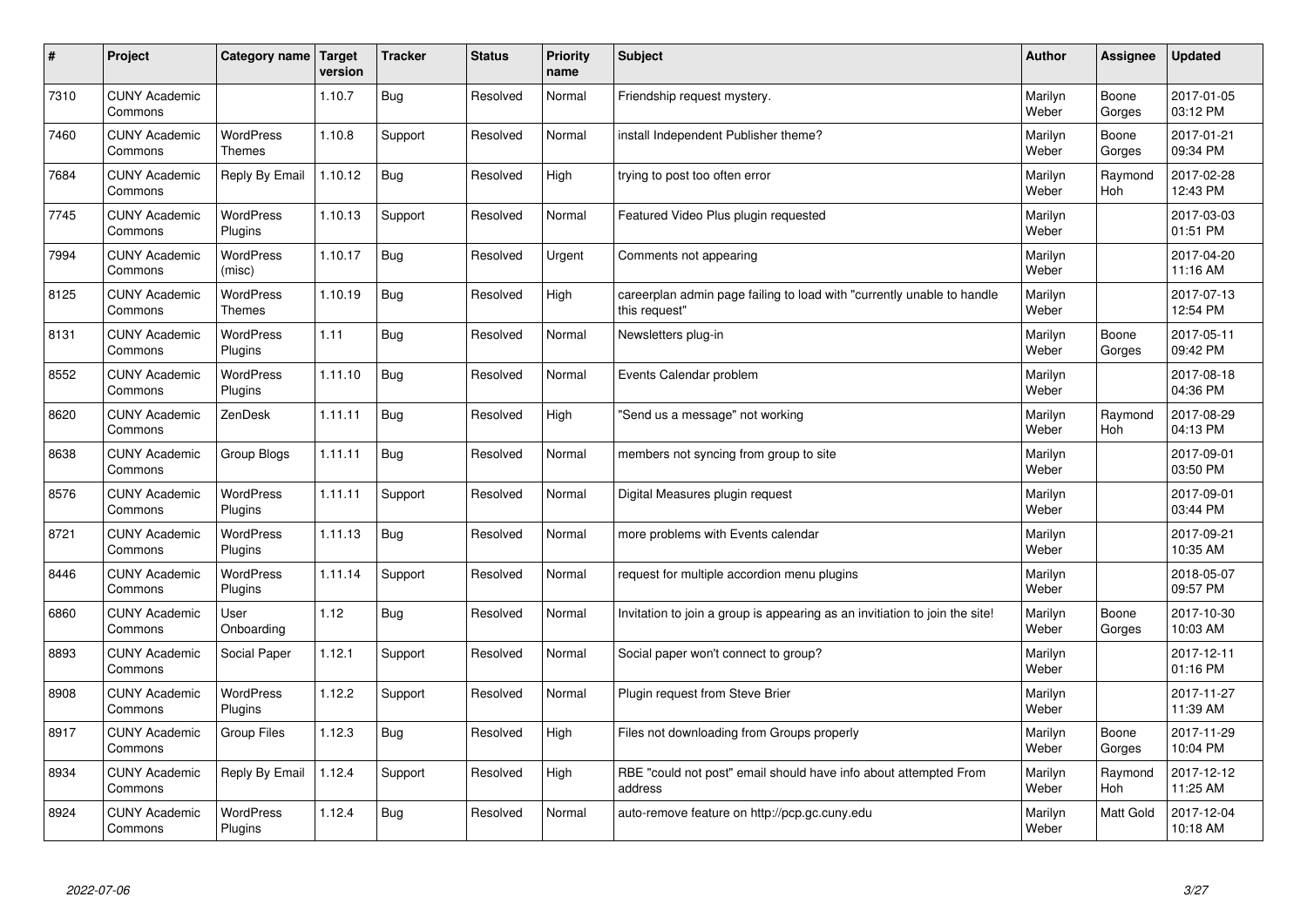| #    | Project                         | Category name                     | <b>Target</b><br>version | <b>Tracker</b> | <b>Status</b> | <b>Priority</b><br>name | <b>Subject</b>                                                                          | <b>Author</b>    | <b>Assignee</b>       | <b>Updated</b>         |
|------|---------------------------------|-----------------------------------|--------------------------|----------------|---------------|-------------------------|-----------------------------------------------------------------------------------------|------------------|-----------------------|------------------------|
| 7310 | <b>CUNY Academic</b><br>Commons |                                   | 1.10.7                   | Bug            | Resolved      | Normal                  | Friendship request mystery.                                                             | Marilyn<br>Weber | Boone<br>Gorges       | 2017-01-05<br>03:12 PM |
| 7460 | <b>CUNY Academic</b><br>Commons | <b>WordPress</b><br><b>Themes</b> | 1.10.8                   | Support        | Resolved      | Normal                  | install Independent Publisher theme?                                                    | Marilyn<br>Weber | Boone<br>Gorges       | 2017-01-21<br>09:34 PM |
| 7684 | <b>CUNY Academic</b><br>Commons | Reply By Email                    | 1.10.12                  | <b>Bug</b>     | Resolved      | High                    | trying to post too often error                                                          | Marilyn<br>Weber | Raymond<br><b>Hoh</b> | 2017-02-28<br>12:43 PM |
| 7745 | <b>CUNY Academic</b><br>Commons | <b>WordPress</b><br>Plugins       | 1.10.13                  | Support        | Resolved      | Normal                  | Featured Video Plus plugin requested                                                    | Marilyn<br>Weber |                       | 2017-03-03<br>01:51 PM |
| 7994 | <b>CUNY Academic</b><br>Commons | <b>WordPress</b><br>(misc)        | 1.10.17                  | Bug            | Resolved      | Urgent                  | Comments not appearing                                                                  | Marilyn<br>Weber |                       | 2017-04-20<br>11:16 AM |
| 8125 | <b>CUNY Academic</b><br>Commons | <b>WordPress</b><br><b>Themes</b> | 1.10.19                  | Bug            | Resolved      | High                    | careerplan admin page failing to load with "currently unable to handle<br>this request" | Marilyn<br>Weber |                       | 2017-07-13<br>12:54 PM |
| 8131 | <b>CUNY Academic</b><br>Commons | WordPress<br>Plugins              | 1.11                     | Bug            | Resolved      | Normal                  | Newsletters plug-in                                                                     | Marilyn<br>Weber | Boone<br>Gorges       | 2017-05-11<br>09:42 PM |
| 8552 | <b>CUNY Academic</b><br>Commons | WordPress<br>Plugins              | 1.11.10                  | Bug            | Resolved      | Normal                  | Events Calendar problem                                                                 | Marilyn<br>Weber |                       | 2017-08-18<br>04:36 PM |
| 8620 | <b>CUNY Academic</b><br>Commons | ZenDesk                           | 1.11.11                  | Bug            | Resolved      | High                    | 'Send us a message" not working                                                         | Marilyn<br>Weber | Raymond<br><b>Hoh</b> | 2017-08-29<br>04:13 PM |
| 8638 | <b>CUNY Academic</b><br>Commons | Group Blogs                       | 1.11.11                  | Bug            | Resolved      | Normal                  | members not syncing from group to site                                                  | Marilyn<br>Weber |                       | 2017-09-01<br>03:50 PM |
| 8576 | <b>CUNY Academic</b><br>Commons | WordPress<br>Plugins              | 1.11.11                  | Support        | Resolved      | Normal                  | Digital Measures plugin request                                                         | Marilyn<br>Weber |                       | 2017-09-01<br>03:44 PM |
| 8721 | <b>CUNY Academic</b><br>Commons | WordPress<br>Plugins              | 1.11.13                  | <b>Bug</b>     | Resolved      | Normal                  | more problems with Events calendar                                                      | Marilyn<br>Weber |                       | 2017-09-21<br>10:35 AM |
| 8446 | <b>CUNY Academic</b><br>Commons | <b>WordPress</b><br>Plugins       | 1.11.14                  | Support        | Resolved      | Normal                  | request for multiple accordion menu plugins                                             | Marilyn<br>Weber |                       | 2018-05-07<br>09:57 PM |
| 6860 | <b>CUNY Academic</b><br>Commons | User<br>Onboarding                | 1.12                     | <b>Bug</b>     | Resolved      | Normal                  | Invitation to join a group is appearing as an invitiation to join the site!             | Marilyn<br>Weber | Boone<br>Gorges       | 2017-10-30<br>10:03 AM |
| 8893 | <b>CUNY Academic</b><br>Commons | Social Paper                      | 1.12.1                   | Support        | Resolved      | Normal                  | Social paper won't connect to group?                                                    | Marilyn<br>Weber |                       | 2017-12-11<br>01:16 PM |
| 8908 | <b>CUNY Academic</b><br>Commons | WordPress<br>Plugins              | 1.12.2                   | Support        | Resolved      | Normal                  | Plugin request from Steve Brier                                                         | Marilyn<br>Weber |                       | 2017-11-27<br>11:39 AM |
| 8917 | <b>CUNY Academic</b><br>Commons | <b>Group Files</b>                | 1.12.3                   | <b>Bug</b>     | Resolved      | High                    | Files not downloading from Groups properly                                              | Marilyn<br>Weber | Boone<br>Gorges       | 2017-11-29<br>10:04 PM |
| 8934 | <b>CUNY Academic</b><br>Commons | Reply By Email                    | 1.12.4                   | Support        | Resolved      | High                    | RBE "could not post" email should have info about attempted From<br>address             | Marilyn<br>Weber | Raymond<br><b>Hoh</b> | 2017-12-12<br>11:25 AM |
| 8924 | <b>CUNY Academic</b><br>Commons | <b>WordPress</b><br>Plugins       | 1.12.4                   | Bug            | Resolved      | Normal                  | auto-remove feature on http://pcp.gc.cuny.edu                                           | Marilyn<br>Weber | <b>Matt Gold</b>      | 2017-12-04<br>10:18 AM |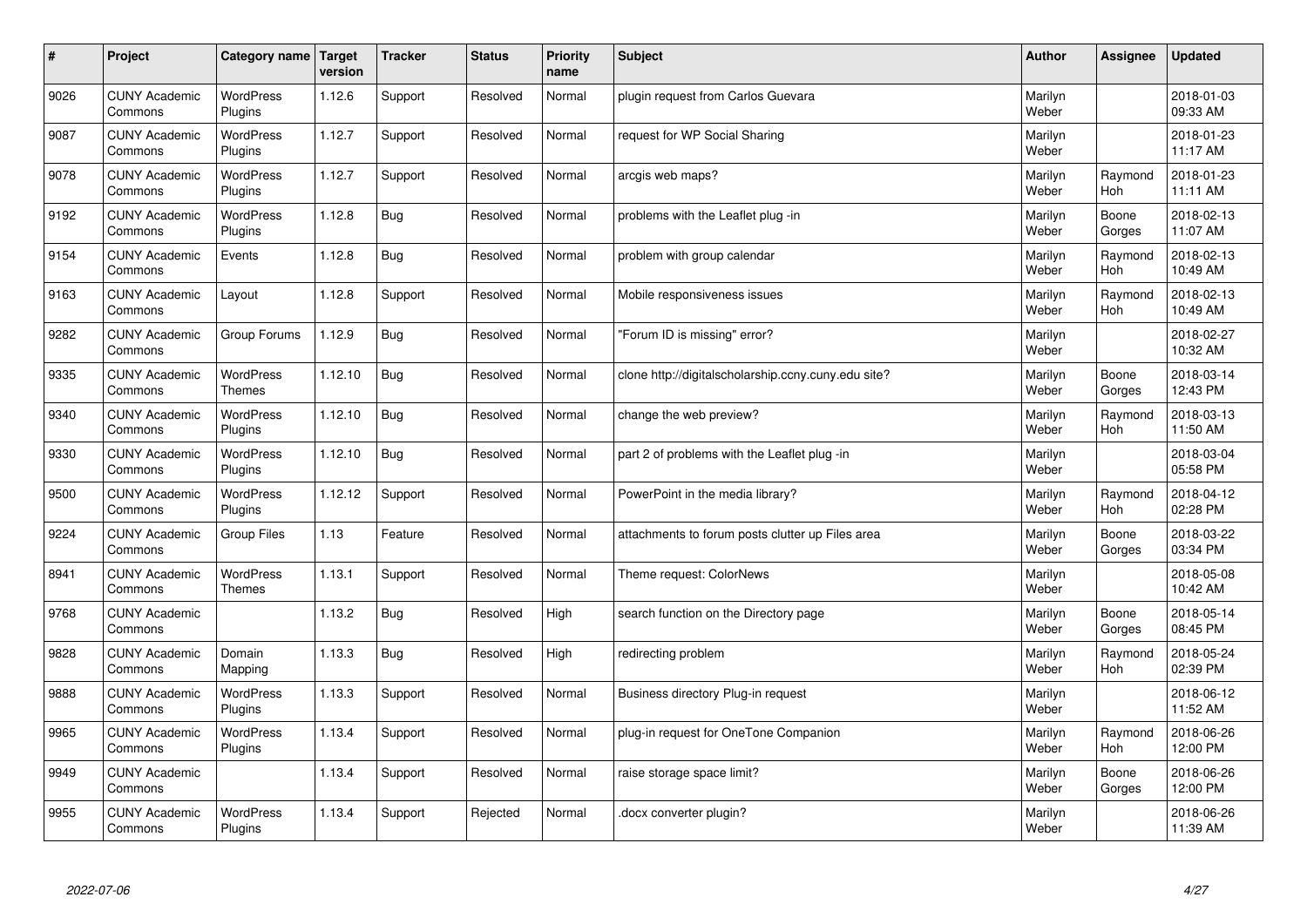| $\sharp$ | Project                         | Category name   Target            | version | <b>Tracker</b> | <b>Status</b> | <b>Priority</b><br>name | <b>Subject</b>                                      | <b>Author</b>    | Assignee              | <b>Updated</b>         |
|----------|---------------------------------|-----------------------------------|---------|----------------|---------------|-------------------------|-----------------------------------------------------|------------------|-----------------------|------------------------|
| 9026     | <b>CUNY Academic</b><br>Commons | <b>WordPress</b><br>Plugins       | 1.12.6  | Support        | Resolved      | Normal                  | plugin request from Carlos Guevara                  | Marilyn<br>Weber |                       | 2018-01-03<br>09:33 AM |
| 9087     | <b>CUNY Academic</b><br>Commons | <b>WordPress</b><br>Plugins       | 1.12.7  | Support        | Resolved      | Normal                  | request for WP Social Sharing                       | Marilyn<br>Weber |                       | 2018-01-23<br>11:17 AM |
| 9078     | <b>CUNY Academic</b><br>Commons | <b>WordPress</b><br>Plugins       | 1.12.7  | Support        | Resolved      | Normal                  | arcgis web maps?                                    | Marilyn<br>Weber | Raymond<br>Hoh        | 2018-01-23<br>11:11 AM |
| 9192     | <b>CUNY Academic</b><br>Commons | <b>WordPress</b><br>Plugins       | 1.12.8  | <b>Bug</b>     | Resolved      | Normal                  | problems with the Leaflet plug -in                  | Marilyn<br>Weber | Boone<br>Gorges       | 2018-02-13<br>11:07 AM |
| 9154     | <b>CUNY Academic</b><br>Commons | Events                            | 1.12.8  | <b>Bug</b>     | Resolved      | Normal                  | problem with group calendar                         | Marilyn<br>Weber | Raymond<br><b>Hoh</b> | 2018-02-13<br>10:49 AM |
| 9163     | <b>CUNY Academic</b><br>Commons | Layout                            | 1.12.8  | Support        | Resolved      | Normal                  | Mobile responsiveness issues                        | Marilyn<br>Weber | Raymond<br>Hoh        | 2018-02-13<br>10:49 AM |
| 9282     | <b>CUNY Academic</b><br>Commons | Group Forums                      | 1.12.9  | Bug            | Resolved      | Normal                  | 'Forum ID is missing" error?                        | Marilyn<br>Weber |                       | 2018-02-27<br>10:32 AM |
| 9335     | <b>CUNY Academic</b><br>Commons | WordPress<br><b>Themes</b>        | 1.12.10 | Bug            | Resolved      | Normal                  | clone http://digitalscholarship.ccny.cuny.edu site? | Marilyn<br>Weber | Boone<br>Gorges       | 2018-03-14<br>12:43 PM |
| 9340     | <b>CUNY Academic</b><br>Commons | WordPress<br>Plugins              | 1.12.10 | Bug            | Resolved      | Normal                  | change the web preview?                             | Marilyn<br>Weber | Raymond<br>Hoh        | 2018-03-13<br>11:50 AM |
| 9330     | <b>CUNY Academic</b><br>Commons | WordPress<br>Plugins              | 1.12.10 | <b>Bug</b>     | Resolved      | Normal                  | part 2 of problems with the Leaflet plug -in        | Marilyn<br>Weber |                       | 2018-03-04<br>05:58 PM |
| 9500     | <b>CUNY Academic</b><br>Commons | <b>WordPress</b><br>Plugins       | 1.12.12 | Support        | Resolved      | Normal                  | PowerPoint in the media library?                    | Marilyn<br>Weber | Raymond<br>Hoh        | 2018-04-12<br>02:28 PM |
| 9224     | <b>CUNY Academic</b><br>Commons | <b>Group Files</b>                | 1.13    | Feature        | Resolved      | Normal                  | attachments to forum posts clutter up Files area    | Marilyn<br>Weber | Boone<br>Gorges       | 2018-03-22<br>03:34 PM |
| 8941     | <b>CUNY Academic</b><br>Commons | <b>WordPress</b><br><b>Themes</b> | 1.13.1  | Support        | Resolved      | Normal                  | Theme request: ColorNews                            | Marilyn<br>Weber |                       | 2018-05-08<br>10:42 AM |
| 9768     | <b>CUNY Academic</b><br>Commons |                                   | 1.13.2  | Bug            | Resolved      | High                    | search function on the Directory page               | Marilyn<br>Weber | Boone<br>Gorges       | 2018-05-14<br>08:45 PM |
| 9828     | <b>CUNY Academic</b><br>Commons | Domain<br>Mapping                 | 1.13.3  | <b>Bug</b>     | Resolved      | High                    | redirecting problem                                 | Marilyn<br>Weber | Raymond<br><b>Hoh</b> | 2018-05-24<br>02:39 PM |
| 9888     | <b>CUNY Academic</b><br>Commons | <b>WordPress</b><br>Plugins       | 1.13.3  | Support        | Resolved      | Normal                  | Business directory Plug-in request                  | Marilyn<br>Weber |                       | 2018-06-12<br>11:52 AM |
| 9965     | <b>CUNY Academic</b><br>Commons | WordPress<br>Plugins              | 1.13.4  | Support        | Resolved      | Normal                  | plug-in request for OneTone Companion               | Marilyn<br>Weber | Raymond<br><b>Hoh</b> | 2018-06-26<br>12:00 PM |
| 9949     | <b>CUNY Academic</b><br>Commons |                                   | 1.13.4  | Support        | Resolved      | Normal                  | raise storage space limit?                          | Marilyn<br>Weber | Boone<br>Gorges       | 2018-06-26<br>12:00 PM |
| 9955     | <b>CUNY Academic</b><br>Commons | <b>WordPress</b><br>Plugins       | 1.13.4  | Support        | Rejected      | Normal                  | docx converter plugin?                              | Marilyn<br>Weber |                       | 2018-06-26<br>11:39 AM |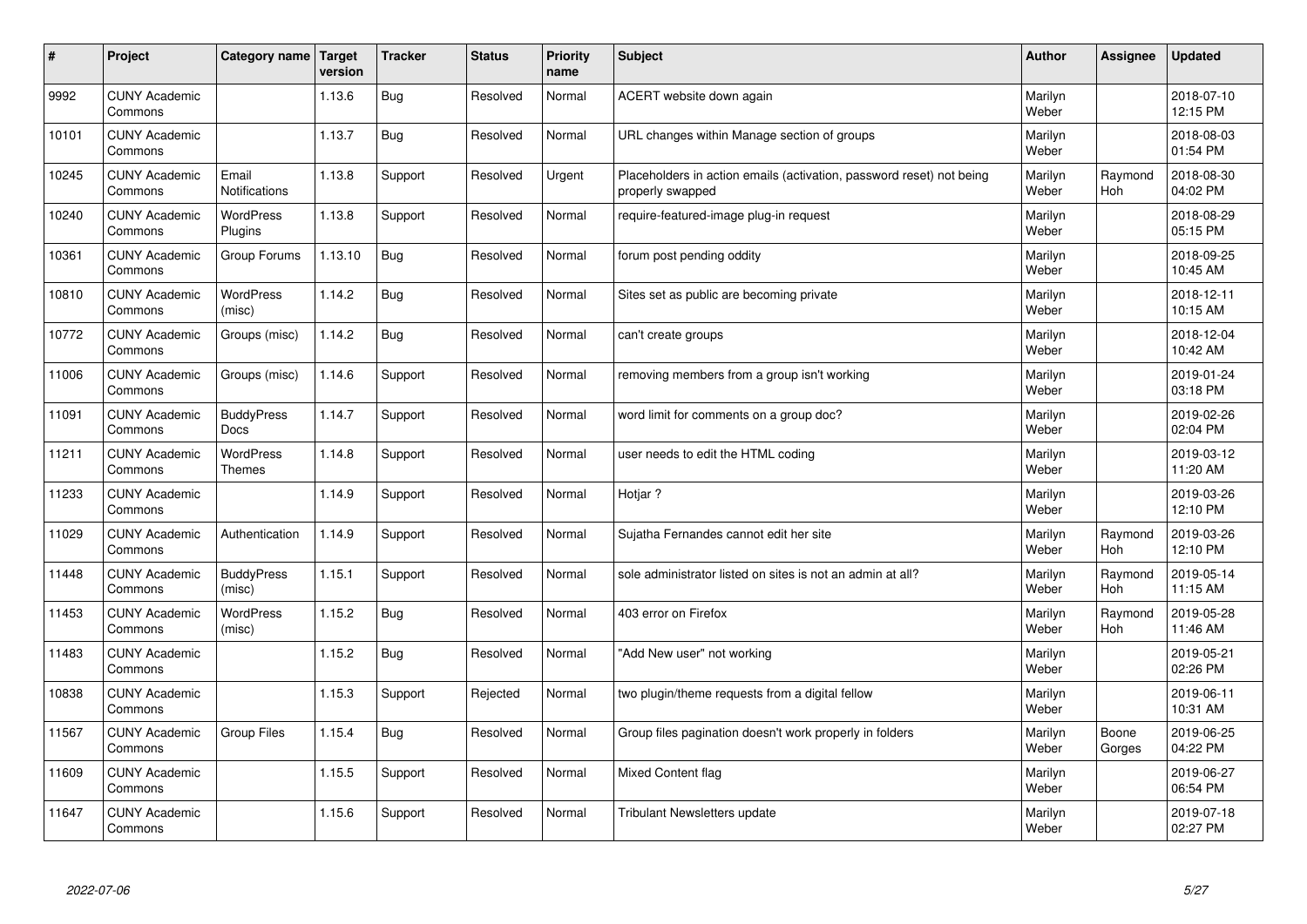| #     | Project                         | Category name   Target            | version | <b>Tracker</b> | <b>Status</b> | <b>Priority</b><br>name | <b>Subject</b>                                                                           | <b>Author</b>    | Assignee        | <b>Updated</b>         |
|-------|---------------------------------|-----------------------------------|---------|----------------|---------------|-------------------------|------------------------------------------------------------------------------------------|------------------|-----------------|------------------------|
| 9992  | <b>CUNY Academic</b><br>Commons |                                   | 1.13.6  | <b>Bug</b>     | Resolved      | Normal                  | ACERT website down again                                                                 | Marilyn<br>Weber |                 | 2018-07-10<br>12:15 PM |
| 10101 | <b>CUNY Academic</b><br>Commons |                                   | 1.13.7  | <b>Bug</b>     | Resolved      | Normal                  | URL changes within Manage section of groups                                              | Marilyn<br>Weber |                 | 2018-08-03<br>01:54 PM |
| 10245 | <b>CUNY Academic</b><br>Commons | Email<br><b>Notifications</b>     | 1.13.8  | Support        | Resolved      | Urgent                  | Placeholders in action emails (activation, password reset) not being<br>properly swapped | Marilyn<br>Weber | Raymond<br>Hoh  | 2018-08-30<br>04:02 PM |
| 10240 | <b>CUNY Academic</b><br>Commons | <b>WordPress</b><br>Plugins       | 1.13.8  | Support        | Resolved      | Normal                  | require-featured-image plug-in request                                                   | Marilyn<br>Weber |                 | 2018-08-29<br>05:15 PM |
| 10361 | <b>CUNY Academic</b><br>Commons | Group Forums                      | 1.13.10 | <b>Bug</b>     | Resolved      | Normal                  | forum post pending oddity                                                                | Marilyn<br>Weber |                 | 2018-09-25<br>10:45 AM |
| 10810 | <b>CUNY Academic</b><br>Commons | <b>WordPress</b><br>(misc)        | 1.14.2  | <b>Bug</b>     | Resolved      | Normal                  | Sites set as public are becoming private                                                 | Marilyn<br>Weber |                 | 2018-12-11<br>10:15 AM |
| 10772 | <b>CUNY Academic</b><br>Commons | Groups (misc)                     | 1.14.2  | Bug            | Resolved      | Normal                  | can't create groups                                                                      | Marilyn<br>Weber |                 | 2018-12-04<br>10:42 AM |
| 11006 | <b>CUNY Academic</b><br>Commons | Groups (misc)                     | 1.14.6  | Support        | Resolved      | Normal                  | removing members from a group isn't working                                              | Marilyn<br>Weber |                 | 2019-01-24<br>03:18 PM |
| 11091 | <b>CUNY Academic</b><br>Commons | <b>BuddyPress</b><br>Docs         | 1.14.7  | Support        | Resolved      | Normal                  | word limit for comments on a group doc?                                                  | Marilyn<br>Weber |                 | 2019-02-26<br>02:04 PM |
| 11211 | <b>CUNY Academic</b><br>Commons | <b>WordPress</b><br><b>Themes</b> | 1.14.8  | Support        | Resolved      | Normal                  | user needs to edit the HTML coding                                                       | Marilyn<br>Weber |                 | 2019-03-12<br>11:20 AM |
| 11233 | <b>CUNY Academic</b><br>Commons |                                   | 1.14.9  | Support        | Resolved      | Normal                  | Hotjar?                                                                                  | Marilyn<br>Weber |                 | 2019-03-26<br>12:10 PM |
| 11029 | <b>CUNY Academic</b><br>Commons | Authentication                    | 1.14.9  | Support        | Resolved      | Normal                  | Sujatha Fernandes cannot edit her site                                                   | Marilyn<br>Weber | Raymond<br>Hoh  | 2019-03-26<br>12:10 PM |
| 11448 | <b>CUNY Academic</b><br>Commons | <b>BuddyPress</b><br>(misc)       | 1.15.1  | Support        | Resolved      | Normal                  | sole administrator listed on sites is not an admin at all?                               | Marilyn<br>Weber | Raymond<br>Hoh  | 2019-05-14<br>11:15 AM |
| 11453 | <b>CUNY Academic</b><br>Commons | WordPress<br>(misc)               | 1.15.2  | <b>Bug</b>     | Resolved      | Normal                  | 403 error on Firefox                                                                     | Marilyn<br>Weber | Raymond<br>Hoh  | 2019-05-28<br>11:46 AM |
| 11483 | <b>CUNY Academic</b><br>Commons |                                   | 1.15.2  | <b>Bug</b>     | Resolved      | Normal                  | 'Add New user" not working                                                               | Marilyn<br>Weber |                 | 2019-05-21<br>02:26 PM |
| 10838 | <b>CUNY Academic</b><br>Commons |                                   | 1.15.3  | Support        | Rejected      | Normal                  | two plugin/theme requests from a digital fellow                                          | Marilyn<br>Weber |                 | 2019-06-11<br>10:31 AM |
| 11567 | <b>CUNY Academic</b><br>Commons | <b>Group Files</b>                | 1.15.4  | Bug            | Resolved      | Normal                  | Group files pagination doesn't work properly in folders                                  | Marilyn<br>Weber | Boone<br>Gorges | 2019-06-25<br>04:22 PM |
| 11609 | <b>CUNY Academic</b><br>Commons |                                   | 1.15.5  | Support        | Resolved      | Normal                  | Mixed Content flag                                                                       | Marilyn<br>Weber |                 | 2019-06-27<br>06:54 PM |
| 11647 | <b>CUNY Academic</b><br>Commons |                                   | 1.15.6  | Support        | Resolved      | Normal                  | Tribulant Newsletters update                                                             | Marilyn<br>Weber |                 | 2019-07-18<br>02:27 PM |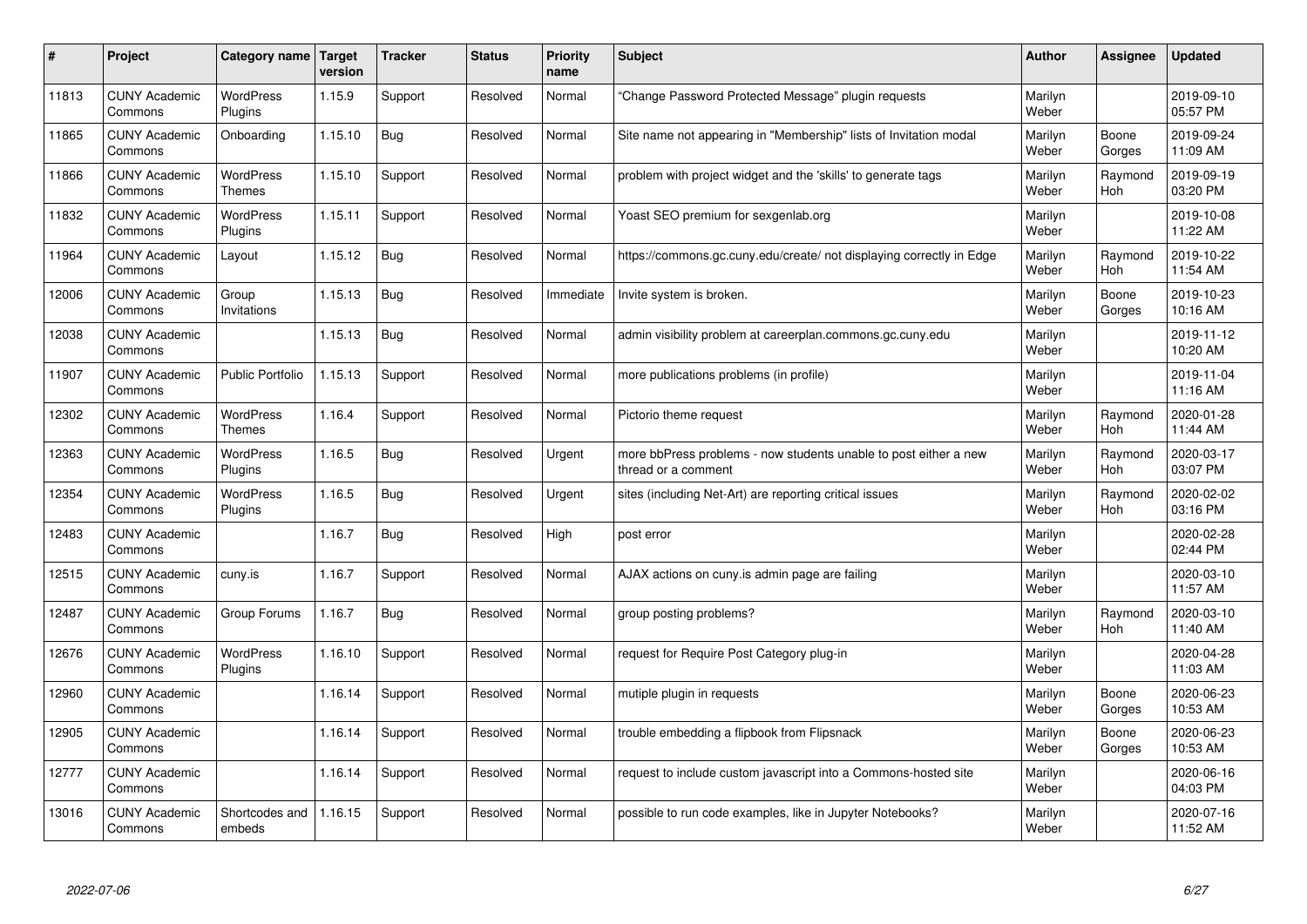| #     | Project                         | Category name   Target            | version | <b>Tracker</b> | <b>Status</b> | <b>Priority</b><br>name | <b>Subject</b>                                                                          | <b>Author</b>    | Assignee              | <b>Updated</b>         |
|-------|---------------------------------|-----------------------------------|---------|----------------|---------------|-------------------------|-----------------------------------------------------------------------------------------|------------------|-----------------------|------------------------|
| 11813 | <b>CUNY Academic</b><br>Commons | <b>WordPress</b><br>Plugins       | 1.15.9  | Support        | Resolved      | Normal                  | 'Change Password Protected Message" plugin requests                                     | Marilyn<br>Weber |                       | 2019-09-10<br>05:57 PM |
| 11865 | <b>CUNY Academic</b><br>Commons | Onboarding                        | 1.15.10 | Bug            | Resolved      | Normal                  | Site name not appearing in "Membership" lists of Invitation modal                       | Marilyn<br>Weber | Boone<br>Gorges       | 2019-09-24<br>11:09 AM |
| 11866 | <b>CUNY Academic</b><br>Commons | <b>WordPress</b><br><b>Themes</b> | 1.15.10 | Support        | Resolved      | Normal                  | problem with project widget and the 'skills' to generate tags                           | Marilyn<br>Weber | Raymond<br><b>Hoh</b> | 2019-09-19<br>03:20 PM |
| 11832 | <b>CUNY Academic</b><br>Commons | <b>WordPress</b><br>Plugins       | 1.15.11 | Support        | Resolved      | Normal                  | Yoast SEO premium for sexgenlab.org                                                     | Marilyn<br>Weber |                       | 2019-10-08<br>11:22 AM |
| 11964 | <b>CUNY Academic</b><br>Commons | Layout                            | 1.15.12 | Bug            | Resolved      | Normal                  | https://commons.gc.cuny.edu/create/ not displaying correctly in Edge                    | Marilyn<br>Weber | Raymond<br>Hoh        | 2019-10-22<br>11:54 AM |
| 12006 | <b>CUNY Academic</b><br>Commons | Group<br>Invitations              | 1.15.13 | Bug            | Resolved      | Immediate               | Invite system is broken.                                                                | Marilyn<br>Weber | Boone<br>Gorges       | 2019-10-23<br>10:16 AM |
| 12038 | <b>CUNY Academic</b><br>Commons |                                   | 1.15.13 | Bug            | Resolved      | Normal                  | admin visibility problem at careerplan.commons.gc.cuny.edu                              | Marilyn<br>Weber |                       | 2019-11-12<br>10:20 AM |
| 11907 | <b>CUNY Academic</b><br>Commons | <b>Public Portfolio</b>           | 1.15.13 | Support        | Resolved      | Normal                  | more publications problems (in profile)                                                 | Marilyn<br>Weber |                       | 2019-11-04<br>11:16 AM |
| 12302 | <b>CUNY Academic</b><br>Commons | <b>WordPress</b><br><b>Themes</b> | 1.16.4  | Support        | Resolved      | Normal                  | Pictorio theme request                                                                  | Marilyn<br>Weber | Raymond<br><b>Hoh</b> | 2020-01-28<br>11:44 AM |
| 12363 | <b>CUNY Academic</b><br>Commons | WordPress<br>Plugins              | 1.16.5  | <b>Bug</b>     | Resolved      | Urgent                  | more bbPress problems - now students unable to post either a new<br>thread or a comment | Marilyn<br>Weber | Raymond<br><b>Hoh</b> | 2020-03-17<br>03:07 PM |
| 12354 | <b>CUNY Academic</b><br>Commons | WordPress<br>Plugins              | 1.16.5  | Bug            | Resolved      | Urgent                  | sites (including Net-Art) are reporting critical issues                                 | Marilyn<br>Weber | Raymond<br>Hoh        | 2020-02-02<br>03:16 PM |
| 12483 | <b>CUNY Academic</b><br>Commons |                                   | 1.16.7  | Bug            | Resolved      | High                    | post error                                                                              | Marilyn<br>Weber |                       | 2020-02-28<br>02:44 PM |
| 12515 | <b>CUNY Academic</b><br>Commons | cuny.is                           | 1.16.7  | Support        | Resolved      | Normal                  | AJAX actions on cuny is admin page are failing                                          | Marilyn<br>Weber |                       | 2020-03-10<br>11:57 AM |
| 12487 | <b>CUNY Academic</b><br>Commons | Group Forums                      | 1.16.7  | Bug            | Resolved      | Normal                  | group posting problems?                                                                 | Marilyn<br>Weber | Raymond<br><b>Hoh</b> | 2020-03-10<br>11:40 AM |
| 12676 | <b>CUNY Academic</b><br>Commons | <b>WordPress</b><br>Plugins       | 1.16.10 | Support        | Resolved      | Normal                  | request for Require Post Category plug-in                                               | Marilyn<br>Weber |                       | 2020-04-28<br>11:03 AM |
| 12960 | <b>CUNY Academic</b><br>Commons |                                   | 1.16.14 | Support        | Resolved      | Normal                  | mutiple plugin in requests                                                              | Marilyn<br>Weber | Boone<br>Gorges       | 2020-06-23<br>10:53 AM |
| 12905 | <b>CUNY Academic</b><br>Commons |                                   | 1.16.14 | Support        | Resolved      | Normal                  | trouble embedding a flipbook from Flipsnack                                             | Marilyn<br>Weber | Boone<br>Gorges       | 2020-06-23<br>10:53 AM |
| 12777 | <b>CUNY Academic</b><br>Commons |                                   | 1.16.14 | Support        | Resolved      | Normal                  | request to include custom javascript into a Commons-hosted site                         | Marilyn<br>Weber |                       | 2020-06-16<br>04:03 PM |
| 13016 | <b>CUNY Academic</b><br>Commons | Shortcodes and<br>embeds          | 1.16.15 | Support        | Resolved      | Normal                  | possible to run code examples, like in Jupyter Notebooks?                               | Marilyn<br>Weber |                       | 2020-07-16<br>11:52 AM |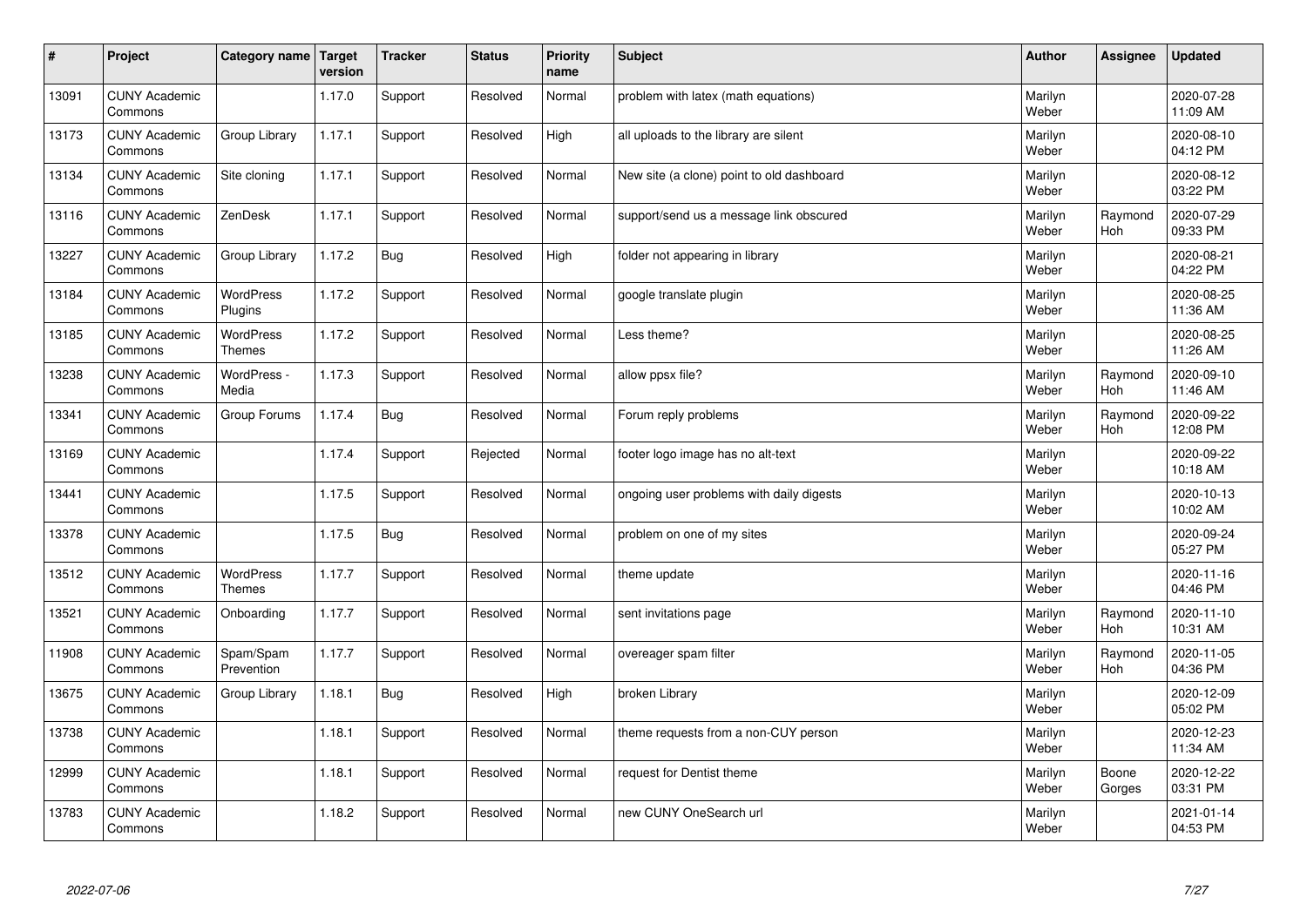| $\sharp$ | Project                         | Category name   Target            | version | <b>Tracker</b> | <b>Status</b> | <b>Priority</b><br>name | <b>Subject</b>                            | <b>Author</b>    | <b>Assignee</b>       | <b>Updated</b>         |
|----------|---------------------------------|-----------------------------------|---------|----------------|---------------|-------------------------|-------------------------------------------|------------------|-----------------------|------------------------|
| 13091    | <b>CUNY Academic</b><br>Commons |                                   | 1.17.0  | Support        | Resolved      | Normal                  | problem with latex (math equations)       | Marilyn<br>Weber |                       | 2020-07-28<br>11:09 AM |
| 13173    | <b>CUNY Academic</b><br>Commons | Group Library                     | 1.17.1  | Support        | Resolved      | High                    | all uploads to the library are silent     | Marilyn<br>Weber |                       | 2020-08-10<br>04:12 PM |
| 13134    | <b>CUNY Academic</b><br>Commons | Site cloning                      | 1.17.1  | Support        | Resolved      | Normal                  | New site (a clone) point to old dashboard | Marilyn<br>Weber |                       | 2020-08-12<br>03:22 PM |
| 13116    | <b>CUNY Academic</b><br>Commons | ZenDesk                           | 1.17.1  | Support        | Resolved      | Normal                  | support/send us a message link obscured   | Marilyn<br>Weber | Raymond<br>Hoh        | 2020-07-29<br>09:33 PM |
| 13227    | <b>CUNY Academic</b><br>Commons | Group Library                     | 1.17.2  | Bug            | Resolved      | High                    | folder not appearing in library           | Marilyn<br>Weber |                       | 2020-08-21<br>04:22 PM |
| 13184    | <b>CUNY Academic</b><br>Commons | <b>WordPress</b><br>Plugins       | 1.17.2  | Support        | Resolved      | Normal                  | google translate plugin                   | Marilyn<br>Weber |                       | 2020-08-25<br>11:36 AM |
| 13185    | <b>CUNY Academic</b><br>Commons | <b>WordPress</b><br><b>Themes</b> | 1.17.2  | Support        | Resolved      | Normal                  | Less theme?                               | Marilyn<br>Weber |                       | 2020-08-25<br>11:26 AM |
| 13238    | <b>CUNY Academic</b><br>Commons | WordPress -<br>Media              | 1.17.3  | Support        | Resolved      | Normal                  | allow ppsx file?                          | Marilyn<br>Weber | Raymond<br>Hoh        | 2020-09-10<br>11:46 AM |
| 13341    | <b>CUNY Academic</b><br>Commons | Group Forums                      | 1.17.4  | Bug            | Resolved      | Normal                  | Forum reply problems                      | Marilyn<br>Weber | Raymond<br>Hoh        | 2020-09-22<br>12:08 PM |
| 13169    | <b>CUNY Academic</b><br>Commons |                                   | 1.17.4  | Support        | Rejected      | Normal                  | footer logo image has no alt-text         | Marilyn<br>Weber |                       | 2020-09-22<br>10:18 AM |
| 13441    | <b>CUNY Academic</b><br>Commons |                                   | 1.17.5  | Support        | Resolved      | Normal                  | ongoing user problems with daily digests  | Marilyn<br>Weber |                       | 2020-10-13<br>10:02 AM |
| 13378    | <b>CUNY Academic</b><br>Commons |                                   | 1.17.5  | Bug            | Resolved      | Normal                  | problem on one of my sites                | Marilyn<br>Weber |                       | 2020-09-24<br>05:27 PM |
| 13512    | <b>CUNY Academic</b><br>Commons | <b>WordPress</b><br><b>Themes</b> | 1.17.7  | Support        | Resolved      | Normal                  | theme update                              | Marilyn<br>Weber |                       | 2020-11-16<br>04:46 PM |
| 13521    | <b>CUNY Academic</b><br>Commons | Onboarding                        | 1.17.7  | Support        | Resolved      | Normal                  | sent invitations page                     | Marilyn<br>Weber | Raymond<br><b>Hoh</b> | 2020-11-10<br>10:31 AM |
| 11908    | <b>CUNY Academic</b><br>Commons | Spam/Spam<br>Prevention           | 1.17.7  | Support        | Resolved      | Normal                  | overeager spam filter                     | Marilyn<br>Weber | Raymond<br><b>Hoh</b> | 2020-11-05<br>04:36 PM |
| 13675    | <b>CUNY Academic</b><br>Commons | Group Library                     | 1.18.1  | Bug            | Resolved      | High                    | broken Library                            | Marilyn<br>Weber |                       | 2020-12-09<br>05:02 PM |
| 13738    | <b>CUNY Academic</b><br>Commons |                                   | 1.18.1  | Support        | Resolved      | Normal                  | theme requests from a non-CUY person      | Marilyn<br>Weber |                       | 2020-12-23<br>11:34 AM |
| 12999    | <b>CUNY Academic</b><br>Commons |                                   | 1.18.1  | Support        | Resolved      | Normal                  | request for Dentist theme                 | Marilyn<br>Weber | Boone<br>Gorges       | 2020-12-22<br>03:31 PM |
| 13783    | <b>CUNY Academic</b><br>Commons |                                   | 1.18.2  | Support        | Resolved      | Normal                  | new CUNY OneSearch url                    | Marilyn<br>Weber |                       | 2021-01-14<br>04:53 PM |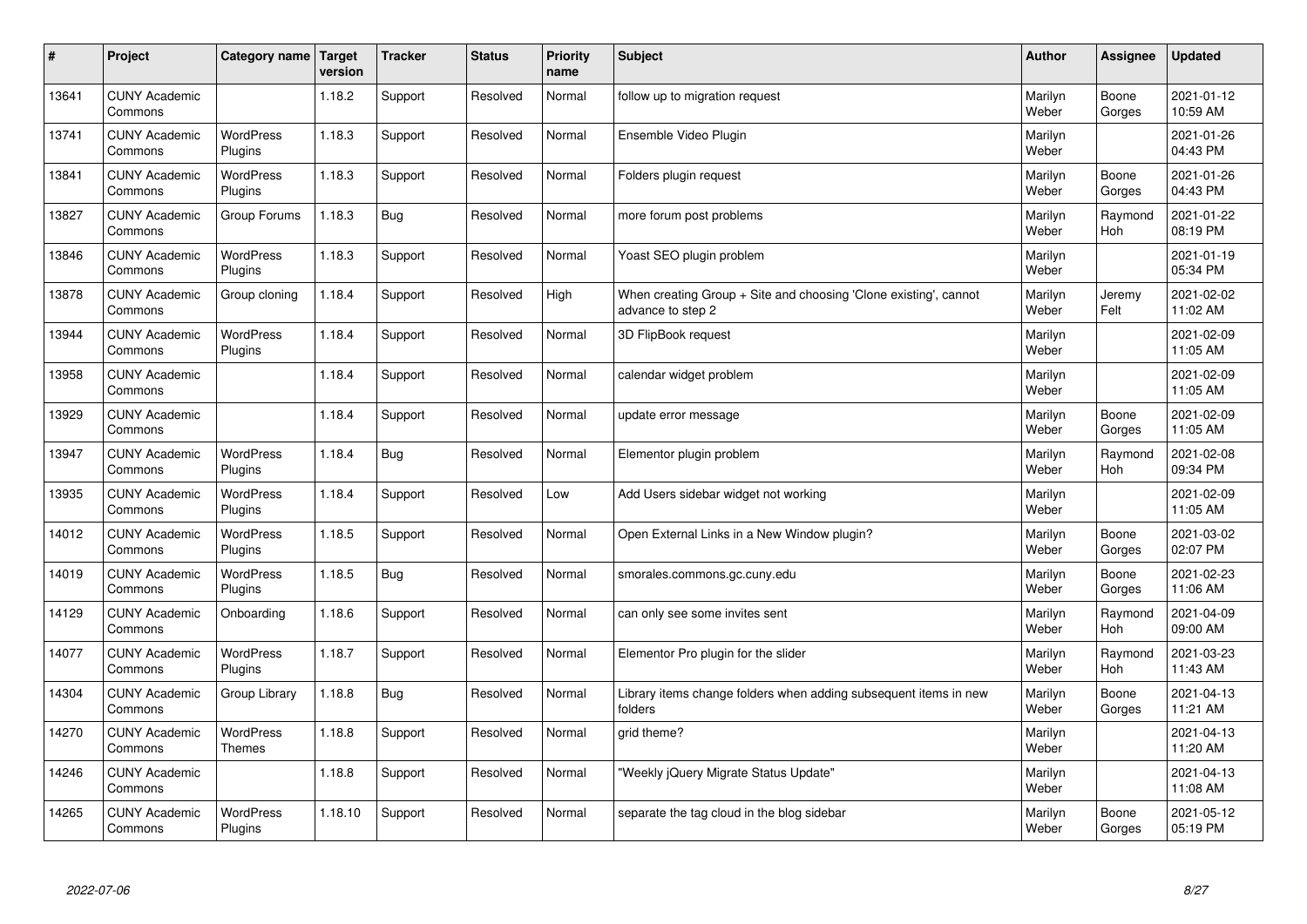| $\sharp$ | Project                         | Category name   Target      | version | <b>Tracker</b> | <b>Status</b> | <b>Priority</b><br>name | <b>Subject</b>                                                                        | <b>Author</b>    | Assignee              | <b>Updated</b>         |
|----------|---------------------------------|-----------------------------|---------|----------------|---------------|-------------------------|---------------------------------------------------------------------------------------|------------------|-----------------------|------------------------|
| 13641    | <b>CUNY Academic</b><br>Commons |                             | 1.18.2  | Support        | Resolved      | Normal                  | follow up to migration request                                                        | Marilyn<br>Weber | Boone<br>Gorges       | 2021-01-12<br>10:59 AM |
| 13741    | <b>CUNY Academic</b><br>Commons | <b>WordPress</b><br>Plugins | 1.18.3  | Support        | Resolved      | Normal                  | Ensemble Video Plugin                                                                 | Marilyn<br>Weber |                       | 2021-01-26<br>04:43 PM |
| 13841    | <b>CUNY Academic</b><br>Commons | <b>WordPress</b><br>Plugins | 1.18.3  | Support        | Resolved      | Normal                  | Folders plugin request                                                                | Marilyn<br>Weber | Boone<br>Gorges       | 2021-01-26<br>04:43 PM |
| 13827    | <b>CUNY Academic</b><br>Commons | Group Forums                | 1.18.3  | <b>Bug</b>     | Resolved      | Normal                  | more forum post problems                                                              | Marilyn<br>Weber | Raymond<br>Hoh        | 2021-01-22<br>08:19 PM |
| 13846    | <b>CUNY Academic</b><br>Commons | <b>WordPress</b><br>Plugins | 1.18.3  | Support        | Resolved      | Normal                  | Yoast SEO plugin problem                                                              | Marilyn<br>Weber |                       | 2021-01-19<br>05:34 PM |
| 13878    | <b>CUNY Academic</b><br>Commons | Group cloning               | 1.18.4  | Support        | Resolved      | High                    | When creating Group + Site and choosing 'Clone existing', cannot<br>advance to step 2 | Marilyn<br>Weber | Jeremy<br>Felt        | 2021-02-02<br>11:02 AM |
| 13944    | <b>CUNY Academic</b><br>Commons | <b>WordPress</b><br>Plugins | 1.18.4  | Support        | Resolved      | Normal                  | 3D FlipBook request                                                                   | Marilyn<br>Weber |                       | 2021-02-09<br>11:05 AM |
| 13958    | <b>CUNY Academic</b><br>Commons |                             | 1.18.4  | Support        | Resolved      | Normal                  | calendar widget problem                                                               | Marilyn<br>Weber |                       | 2021-02-09<br>11:05 AM |
| 13929    | <b>CUNY Academic</b><br>Commons |                             | 1.18.4  | Support        | Resolved      | Normal                  | update error message                                                                  | Marilyn<br>Weber | Boone<br>Gorges       | 2021-02-09<br>11:05 AM |
| 13947    | <b>CUNY Academic</b><br>Commons | <b>WordPress</b><br>Plugins | 1.18.4  | Bug            | Resolved      | Normal                  | Elementor plugin problem                                                              | Marilyn<br>Weber | Raymond<br><b>Hoh</b> | 2021-02-08<br>09:34 PM |
| 13935    | <b>CUNY Academic</b><br>Commons | <b>WordPress</b><br>Plugins | 1.18.4  | Support        | Resolved      | Low                     | Add Users sidebar widget not working                                                  | Marilyn<br>Weber |                       | 2021-02-09<br>11:05 AM |
| 14012    | <b>CUNY Academic</b><br>Commons | <b>WordPress</b><br>Plugins | 1.18.5  | Support        | Resolved      | Normal                  | Open External Links in a New Window plugin?                                           | Marilyn<br>Weber | Boone<br>Gorges       | 2021-03-02<br>02:07 PM |
| 14019    | <b>CUNY Academic</b><br>Commons | <b>WordPress</b><br>Plugins | 1.18.5  | Bug            | Resolved      | Normal                  | smorales.commons.gc.cuny.edu                                                          | Marilyn<br>Weber | Boone<br>Gorges       | 2021-02-23<br>11:06 AM |
| 14129    | <b>CUNY Academic</b><br>Commons | Onboarding                  | 1.18.6  | Support        | Resolved      | Normal                  | can only see some invites sent                                                        | Marilyn<br>Weber | Raymond<br><b>Hoh</b> | 2021-04-09<br>09:00 AM |
| 14077    | <b>CUNY Academic</b><br>Commons | WordPress<br>Plugins        | 1.18.7  | Support        | Resolved      | Normal                  | Elementor Pro plugin for the slider                                                   | Marilyn<br>Weber | Raymond<br>Hoh        | 2021-03-23<br>11:43 AM |
| 14304    | <b>CUNY Academic</b><br>Commons | Group Library               | 1.18.8  | Bug            | Resolved      | Normal                  | Library items change folders when adding subsequent items in new<br>folders           | Marilyn<br>Weber | Boone<br>Gorges       | 2021-04-13<br>11:21 AM |
| 14270    | <b>CUNY Academic</b><br>Commons | WordPress<br>Themes         | 1.18.8  | Support        | Resolved      | Normal                  | grid theme?                                                                           | Marilyn<br>Weber |                       | 2021-04-13<br>11:20 AM |
| 14246    | <b>CUNY Academic</b><br>Commons |                             | 1.18.8  | Support        | Resolved      | Normal                  | 'Weekly jQuery Migrate Status Update"                                                 | Marilyn<br>Weber |                       | 2021-04-13<br>11:08 AM |
| 14265    | <b>CUNY Academic</b><br>Commons | <b>WordPress</b><br>Plugins | 1.18.10 | Support        | Resolved      | Normal                  | separate the tag cloud in the blog sidebar                                            | Marilyn<br>Weber | Boone<br>Gorges       | 2021-05-12<br>05:19 PM |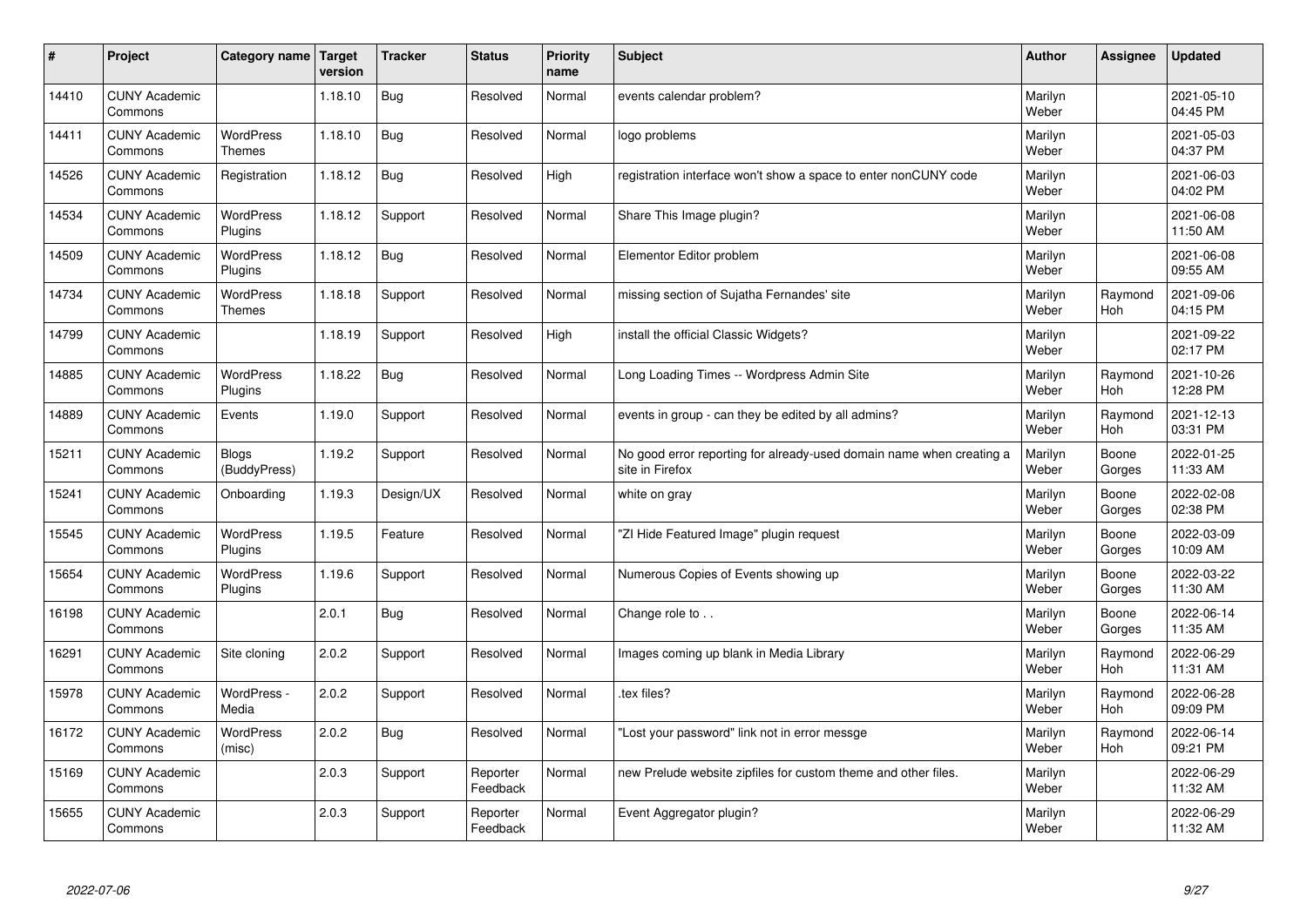| #     | Project                         | Category name   Target            | version | <b>Tracker</b> | <b>Status</b>        | <b>Priority</b><br>name | <b>Subject</b>                                                                          | <b>Author</b>    | Assignee              | <b>Updated</b>         |
|-------|---------------------------------|-----------------------------------|---------|----------------|----------------------|-------------------------|-----------------------------------------------------------------------------------------|------------------|-----------------------|------------------------|
| 14410 | <b>CUNY Academic</b><br>Commons |                                   | 1.18.10 | <b>Bug</b>     | Resolved             | Normal                  | events calendar problem?                                                                | Marilyn<br>Weber |                       | 2021-05-10<br>04:45 PM |
| 14411 | <b>CUNY Academic</b><br>Commons | <b>WordPress</b><br><b>Themes</b> | 1.18.10 | <b>Bug</b>     | Resolved             | Normal                  | logo problems                                                                           | Marilyn<br>Weber |                       | 2021-05-03<br>04:37 PM |
| 14526 | <b>CUNY Academic</b><br>Commons | Registration                      | 1.18.12 | <b>Bug</b>     | Resolved             | High                    | registration interface won't show a space to enter nonCUNY code                         | Marilyn<br>Weber |                       | 2021-06-03<br>04:02 PM |
| 14534 | <b>CUNY Academic</b><br>Commons | <b>WordPress</b><br>Plugins       | 1.18.12 | Support        | Resolved             | Normal                  | Share This Image plugin?                                                                | Marilyn<br>Weber |                       | 2021-06-08<br>11:50 AM |
| 14509 | <b>CUNY Academic</b><br>Commons | <b>WordPress</b><br>Plugins       | 1.18.12 | Bug            | Resolved             | Normal                  | Elementor Editor problem                                                                | Marilyn<br>Weber |                       | 2021-06-08<br>09:55 AM |
| 14734 | <b>CUNY Academic</b><br>Commons | <b>WordPress</b><br><b>Themes</b> | 1.18.18 | Support        | Resolved             | Normal                  | missing section of Sujatha Fernandes' site                                              | Marilyn<br>Weber | Raymond<br>Hoh        | 2021-09-06<br>04:15 PM |
| 14799 | <b>CUNY Academic</b><br>Commons |                                   | 1.18.19 | Support        | Resolved             | High                    | install the official Classic Widgets?                                                   | Marilyn<br>Weber |                       | 2021-09-22<br>02:17 PM |
| 14885 | <b>CUNY Academic</b><br>Commons | WordPress<br>Plugins              | 1.18.22 | <b>Bug</b>     | Resolved             | Normal                  | Long Loading Times -- Wordpress Admin Site                                              | Marilyn<br>Weber | Raymond<br><b>Hoh</b> | 2021-10-26<br>12:28 PM |
| 14889 | <b>CUNY Academic</b><br>Commons | Events                            | 1.19.0  | Support        | Resolved             | Normal                  | events in group - can they be edited by all admins?                                     | Marilyn<br>Weber | Raymond<br>Hoh        | 2021-12-13<br>03:31 PM |
| 15211 | <b>CUNY Academic</b><br>Commons | <b>Blogs</b><br>(BuddyPress)      | 1.19.2  | Support        | Resolved             | Normal                  | No good error reporting for already-used domain name when creating a<br>site in Firefox | Marilyn<br>Weber | Boone<br>Gorges       | 2022-01-25<br>11:33 AM |
| 15241 | <b>CUNY Academic</b><br>Commons | Onboarding                        | 1.19.3  | Design/UX      | Resolved             | Normal                  | white on gray                                                                           | Marilyn<br>Weber | Boone<br>Gorges       | 2022-02-08<br>02:38 PM |
| 15545 | <b>CUNY Academic</b><br>Commons | WordPress<br>Plugins              | 1.19.5  | Feature        | Resolved             | Normal                  | "ZI Hide Featured Image" plugin request                                                 | Marilyn<br>Weber | Boone<br>Gorges       | 2022-03-09<br>10:09 AM |
| 15654 | <b>CUNY Academic</b><br>Commons | <b>WordPress</b><br>Plugins       | 1.19.6  | Support        | Resolved             | Normal                  | Numerous Copies of Events showing up                                                    | Marilyn<br>Weber | Boone<br>Gorges       | 2022-03-22<br>11:30 AM |
| 16198 | <b>CUNY Academic</b><br>Commons |                                   | 2.0.1   | <b>Bug</b>     | Resolved             | Normal                  | Change role to                                                                          | Marilyn<br>Weber | Boone<br>Gorges       | 2022-06-14<br>11:35 AM |
| 16291 | <b>CUNY Academic</b><br>Commons | Site cloning                      | 2.0.2   | Support        | Resolved             | Normal                  | Images coming up blank in Media Library                                                 | Marilyn<br>Weber | Raymond<br>Hoh        | 2022-06-29<br>11:31 AM |
| 15978 | <b>CUNY Academic</b><br>Commons | WordPress -<br>Media              | 2.0.2   | Support        | Resolved             | Normal                  | tex files?                                                                              | Marilyn<br>Weber | Raymond<br>Hoh        | 2022-06-28<br>09:09 PM |
| 16172 | <b>CUNY Academic</b><br>Commons | WordPress<br>(misc)               | 2.0.2   | <b>Bug</b>     | Resolved             | Normal                  | 'Lost your password" link not in error messge                                           | Marilyn<br>Weber | Raymond<br>Hoh        | 2022-06-14<br>09:21 PM |
| 15169 | <b>CUNY Academic</b><br>Commons |                                   | 2.0.3   | Support        | Reporter<br>Feedback | Normal                  | new Prelude website zipfiles for custom theme and other files.                          | Marilyn<br>Weber |                       | 2022-06-29<br>11:32 AM |
| 15655 | <b>CUNY Academic</b><br>Commons |                                   | 2.0.3   | Support        | Reporter<br>Feedback | Normal                  | Event Aggregator plugin?                                                                | Marilyn<br>Weber |                       | 2022-06-29<br>11:32 AM |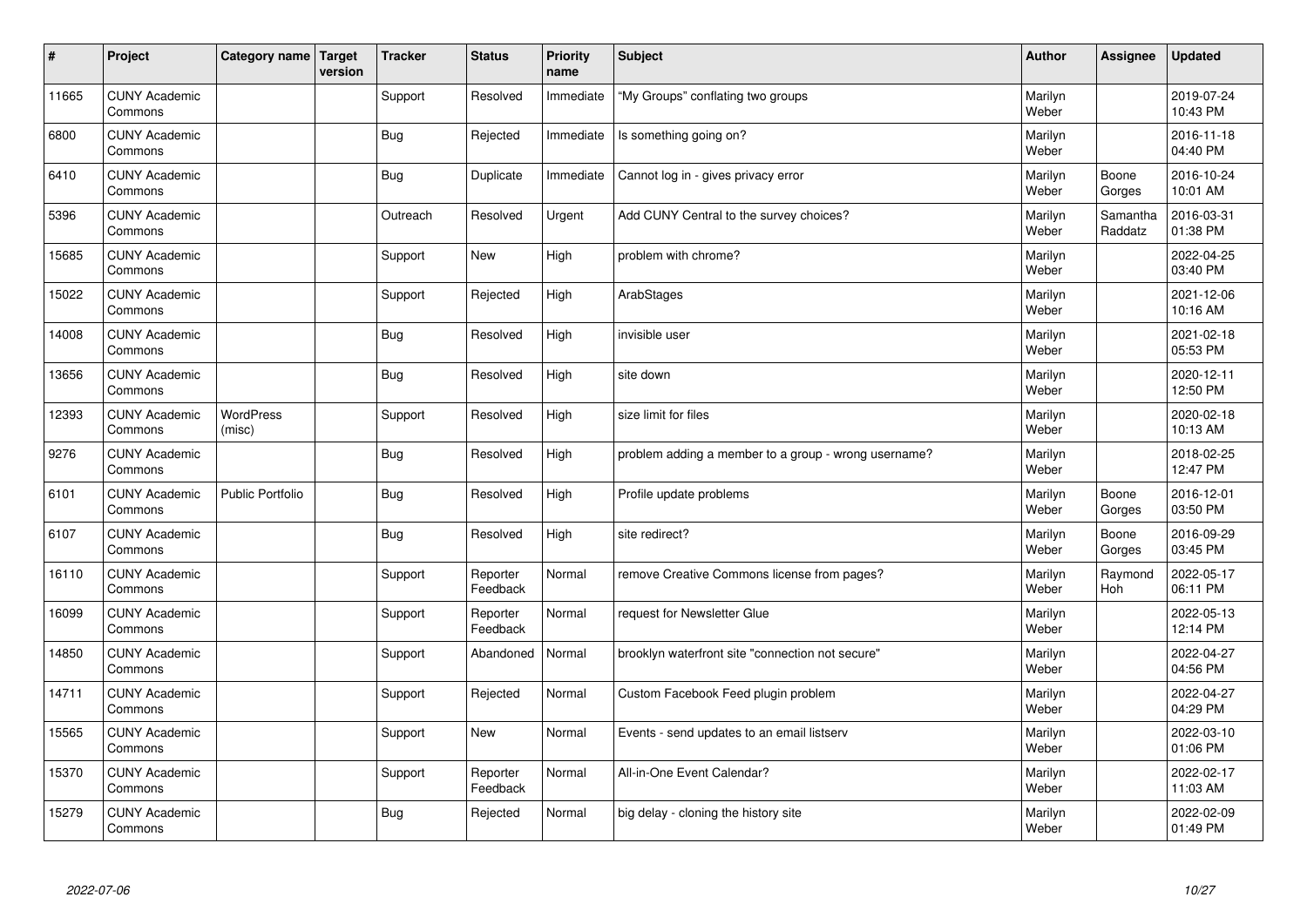| #     | Project                         | Category name   Target     | version | <b>Tracker</b> | <b>Status</b>        | <b>Priority</b><br>name | <b>Subject</b>                                       | <b>Author</b>    | Assignee            | <b>Updated</b>         |
|-------|---------------------------------|----------------------------|---------|----------------|----------------------|-------------------------|------------------------------------------------------|------------------|---------------------|------------------------|
| 11665 | <b>CUNY Academic</b><br>Commons |                            |         | Support        | Resolved             | Immediate               | "My Groups" conflating two groups                    | Marilyn<br>Weber |                     | 2019-07-24<br>10:43 PM |
| 6800  | <b>CUNY Academic</b><br>Commons |                            |         | Bug            | Rejected             | Immediate               | Is something going on?                               | Marilyn<br>Weber |                     | 2016-11-18<br>04:40 PM |
| 6410  | <b>CUNY Academic</b><br>Commons |                            |         | Bug            | Duplicate            | Immediate               | Cannot log in - gives privacy error                  | Marilyn<br>Weber | Boone<br>Gorges     | 2016-10-24<br>10:01 AM |
| 5396  | <b>CUNY Academic</b><br>Commons |                            |         | Outreach       | Resolved             | Urgent                  | Add CUNY Central to the survey choices?              | Marilyn<br>Weber | Samantha<br>Raddatz | 2016-03-31<br>01:38 PM |
| 15685 | <b>CUNY Academic</b><br>Commons |                            |         | Support        | <b>New</b>           | High                    | problem with chrome?                                 | Marilyn<br>Weber |                     | 2022-04-25<br>03:40 PM |
| 15022 | <b>CUNY Academic</b><br>Commons |                            |         | Support        | Rejected             | High                    | ArabStages                                           | Marilyn<br>Weber |                     | 2021-12-06<br>10:16 AM |
| 14008 | <b>CUNY Academic</b><br>Commons |                            |         | Bug            | Resolved             | High                    | invisible user                                       | Marilyn<br>Weber |                     | 2021-02-18<br>05:53 PM |
| 13656 | <b>CUNY Academic</b><br>Commons |                            |         | Bug            | Resolved             | High                    | site down                                            | Marilyn<br>Weber |                     | 2020-12-11<br>12:50 PM |
| 12393 | <b>CUNY Academic</b><br>Commons | <b>WordPress</b><br>(misc) |         | Support        | Resolved             | High                    | size limit for files                                 | Marilyn<br>Weber |                     | 2020-02-18<br>10:13 AM |
| 9276  | <b>CUNY Academic</b><br>Commons |                            |         | <b>Bug</b>     | Resolved             | High                    | problem adding a member to a group - wrong username? | Marilyn<br>Weber |                     | 2018-02-25<br>12:47 PM |
| 6101  | <b>CUNY Academic</b><br>Commons | Public Portfolio           |         | Bug            | Resolved             | High                    | Profile update problems                              | Marilyn<br>Weber | Boone<br>Gorges     | 2016-12-01<br>03:50 PM |
| 6107  | <b>CUNY Academic</b><br>Commons |                            |         | <b>Bug</b>     | Resolved             | High                    | site redirect?                                       | Marilyn<br>Weber | Boone<br>Gorges     | 2016-09-29<br>03:45 PM |
| 16110 | <b>CUNY Academic</b><br>Commons |                            |         | Support        | Reporter<br>Feedback | Normal                  | remove Creative Commons license from pages?          | Marilyn<br>Weber | Raymond<br>Hoh      | 2022-05-17<br>06:11 PM |
| 16099 | <b>CUNY Academic</b><br>Commons |                            |         | Support        | Reporter<br>Feedback | Normal                  | request for Newsletter Glue                          | Marilyn<br>Weber |                     | 2022-05-13<br>12:14 PM |
| 14850 | <b>CUNY Academic</b><br>Commons |                            |         | Support        | Abandoned            | Normal                  | brooklyn waterfront site "connection not secure"     | Marilyn<br>Weber |                     | 2022-04-27<br>04:56 PM |
| 14711 | <b>CUNY Academic</b><br>Commons |                            |         | Support        | Rejected             | Normal                  | Custom Facebook Feed plugin problem                  | Marilyn<br>Weber |                     | 2022-04-27<br>04:29 PM |
| 15565 | <b>CUNY Academic</b><br>Commons |                            |         | Support        | New                  | Normal                  | Events - send updates to an email listserv           | Marilyn<br>Weber |                     | 2022-03-10<br>01:06 PM |
| 15370 | <b>CUNY Academic</b><br>Commons |                            |         | Support        | Reporter<br>Feedback | Normal                  | All-in-One Event Calendar?                           | Marilyn<br>Weber |                     | 2022-02-17<br>11:03 AM |
| 15279 | <b>CUNY Academic</b><br>Commons |                            |         | <b>Bug</b>     | Rejected             | Normal                  | big delay - cloning the history site                 | Marilyn<br>Weber |                     | 2022-02-09<br>01:49 PM |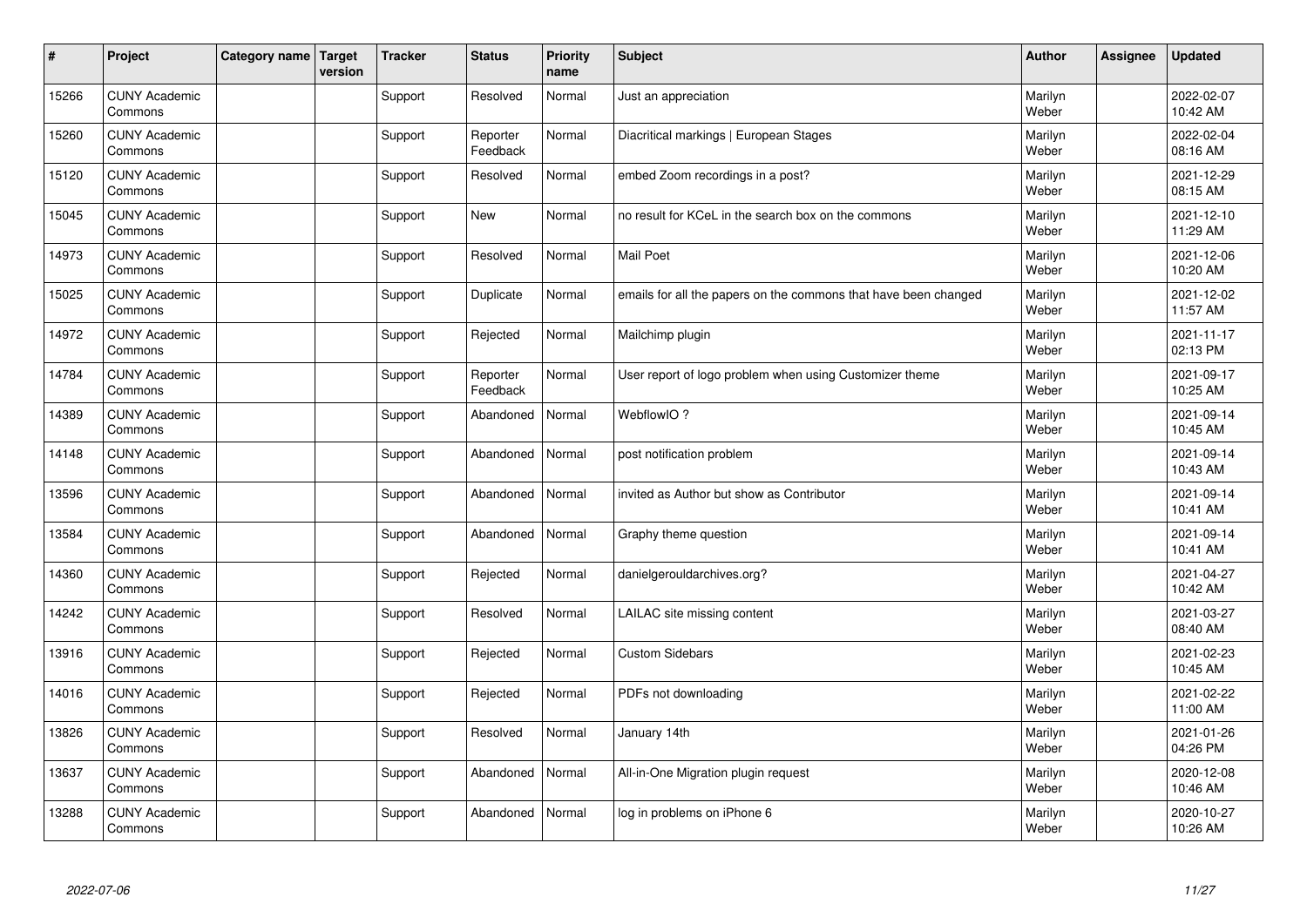| #     | Project                         | Category name   Target | version | <b>Tracker</b> | <b>Status</b>        | <b>Priority</b><br>name | <b>Subject</b>                                                  | <b>Author</b>    | Assignee | <b>Updated</b>         |
|-------|---------------------------------|------------------------|---------|----------------|----------------------|-------------------------|-----------------------------------------------------------------|------------------|----------|------------------------|
| 15266 | <b>CUNY Academic</b><br>Commons |                        |         | Support        | Resolved             | Normal                  | Just an appreciation                                            | Marilyn<br>Weber |          | 2022-02-07<br>10:42 AM |
| 15260 | <b>CUNY Academic</b><br>Commons |                        |         | Support        | Reporter<br>Feedback | Normal                  | Diacritical markings   European Stages                          | Marilyn<br>Weber |          | 2022-02-04<br>08:16 AM |
| 15120 | <b>CUNY Academic</b><br>Commons |                        |         | Support        | Resolved             | Normal                  | embed Zoom recordings in a post?                                | Marilyn<br>Weber |          | 2021-12-29<br>08:15 AM |
| 15045 | <b>CUNY Academic</b><br>Commons |                        |         | Support        | <b>New</b>           | Normal                  | no result for KCeL in the search box on the commons             | Marilyn<br>Weber |          | 2021-12-10<br>11:29 AM |
| 14973 | <b>CUNY Academic</b><br>Commons |                        |         | Support        | Resolved             | Normal                  | <b>Mail Poet</b>                                                | Marilyn<br>Weber |          | 2021-12-06<br>10:20 AM |
| 15025 | <b>CUNY Academic</b><br>Commons |                        |         | Support        | Duplicate            | Normal                  | emails for all the papers on the commons that have been changed | Marilyn<br>Weber |          | 2021-12-02<br>11:57 AM |
| 14972 | <b>CUNY Academic</b><br>Commons |                        |         | Support        | Rejected             | Normal                  | Mailchimp plugin                                                | Marilyn<br>Weber |          | 2021-11-17<br>02:13 PM |
| 14784 | <b>CUNY Academic</b><br>Commons |                        |         | Support        | Reporter<br>Feedback | Normal                  | User report of logo problem when using Customizer theme         | Marilyn<br>Weber |          | 2021-09-17<br>10:25 AM |
| 14389 | <b>CUNY Academic</b><br>Commons |                        |         | Support        | Abandoned            | Normal                  | WebflowIO?                                                      | Marilyn<br>Weber |          | 2021-09-14<br>10:45 AM |
| 14148 | <b>CUNY Academic</b><br>Commons |                        |         | Support        | Abandoned            | Normal                  | post notification problem                                       | Marilyn<br>Weber |          | 2021-09-14<br>10:43 AM |
| 13596 | <b>CUNY Academic</b><br>Commons |                        |         | Support        | Abandoned            | Normal                  | invited as Author but show as Contributor                       | Marilyn<br>Weber |          | 2021-09-14<br>10:41 AM |
| 13584 | <b>CUNY Academic</b><br>Commons |                        |         | Support        | Abandoned            | Normal                  | Graphy theme question                                           | Marilyn<br>Weber |          | 2021-09-14<br>10:41 AM |
| 14360 | <b>CUNY Academic</b><br>Commons |                        |         | Support        | Rejected             | Normal                  | danielgerouldarchives.org?                                      | Marilyn<br>Weber |          | 2021-04-27<br>10:42 AM |
| 14242 | <b>CUNY Academic</b><br>Commons |                        |         | Support        | Resolved             | Normal                  | LAILAC site missing content                                     | Marilyn<br>Weber |          | 2021-03-27<br>08:40 AM |
| 13916 | <b>CUNY Academic</b><br>Commons |                        |         | Support        | Rejected             | Normal                  | <b>Custom Sidebars</b>                                          | Marilyn<br>Weber |          | 2021-02-23<br>10:45 AM |
| 14016 | <b>CUNY Academic</b><br>Commons |                        |         | Support        | Rejected             | Normal                  | PDFs not downloading                                            | Marilyn<br>Weber |          | 2021-02-22<br>11:00 AM |
| 13826 | <b>CUNY Academic</b><br>Commons |                        |         | Support        | Resolved             | Normal                  | January 14th                                                    | Marilyn<br>Weber |          | 2021-01-26<br>04:26 PM |
| 13637 | <b>CUNY Academic</b><br>Commons |                        |         | Support        | Abandoned            | Normal                  | All-in-One Migration plugin request                             | Marilyn<br>Weber |          | 2020-12-08<br>10:46 AM |
| 13288 | <b>CUNY Academic</b><br>Commons |                        |         | Support        | Abandoned            | Normal                  | log in problems on iPhone 6                                     | Marilyn<br>Weber |          | 2020-10-27<br>10:26 AM |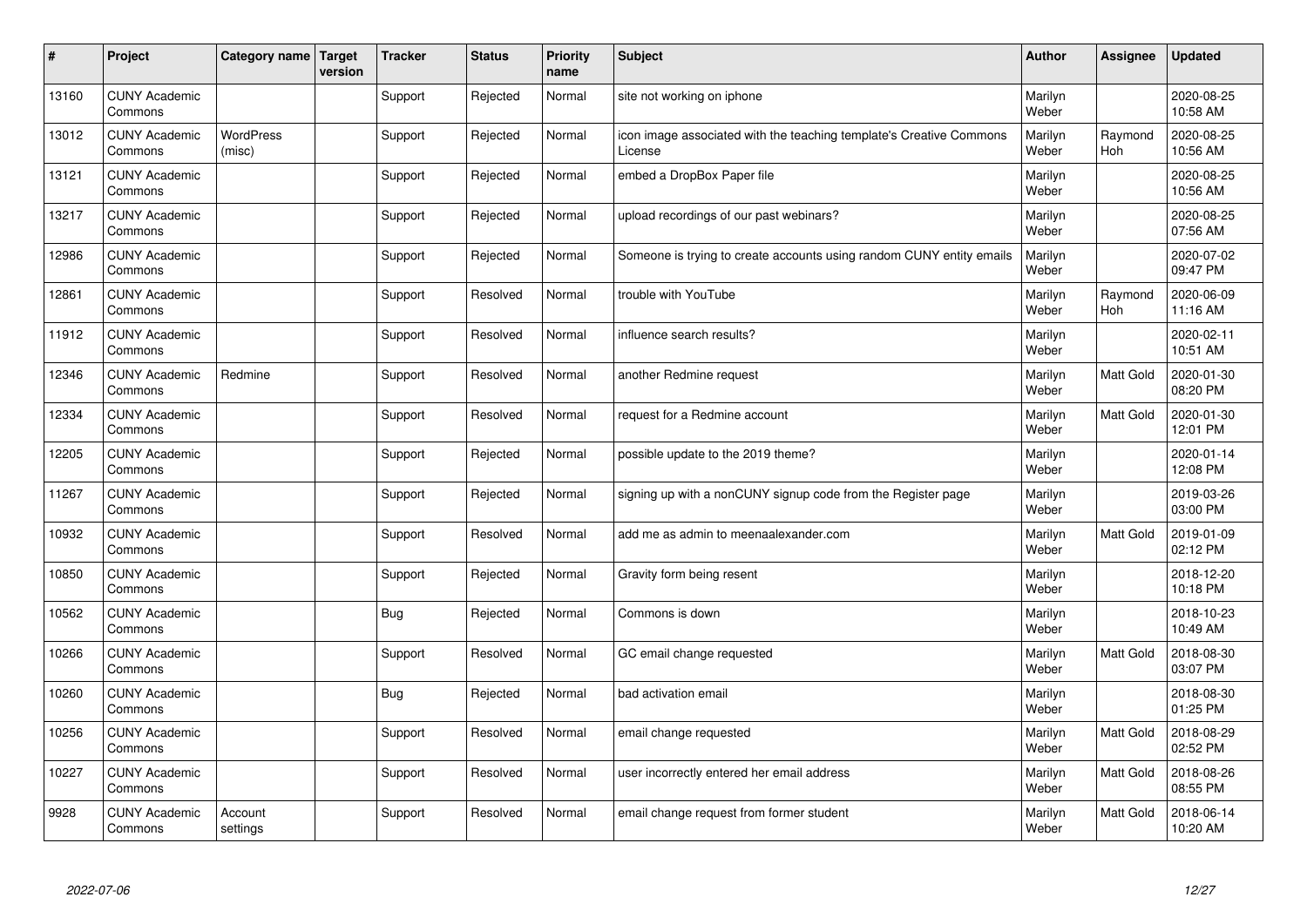| #     | Project                         | Category name   Target     | version | <b>Tracker</b> | <b>Status</b> | <b>Priority</b><br>name | <b>Subject</b>                                                                 | <b>Author</b>    | Assignee              | <b>Updated</b>         |
|-------|---------------------------------|----------------------------|---------|----------------|---------------|-------------------------|--------------------------------------------------------------------------------|------------------|-----------------------|------------------------|
| 13160 | <b>CUNY Academic</b><br>Commons |                            |         | Support        | Rejected      | Normal                  | site not working on iphone                                                     | Marilyn<br>Weber |                       | 2020-08-25<br>10:58 AM |
| 13012 | <b>CUNY Academic</b><br>Commons | <b>WordPress</b><br>(misc) |         | Support        | Rejected      | Normal                  | icon image associated with the teaching template's Creative Commons<br>License | Marilyn<br>Weber | Raymond<br><b>Hoh</b> | 2020-08-25<br>10:56 AM |
| 13121 | <b>CUNY Academic</b><br>Commons |                            |         | Support        | Rejected      | Normal                  | embed a DropBox Paper file                                                     | Marilyn<br>Weber |                       | 2020-08-25<br>10:56 AM |
| 13217 | <b>CUNY Academic</b><br>Commons |                            |         | Support        | Rejected      | Normal                  | upload recordings of our past webinars?                                        | Marilyn<br>Weber |                       | 2020-08-25<br>07:56 AM |
| 12986 | <b>CUNY Academic</b><br>Commons |                            |         | Support        | Rejected      | Normal                  | Someone is trying to create accounts using random CUNY entity emails           | Marilyn<br>Weber |                       | 2020-07-02<br>09:47 PM |
| 12861 | <b>CUNY Academic</b><br>Commons |                            |         | Support        | Resolved      | Normal                  | trouble with YouTube                                                           | Marilyn<br>Weber | Raymond<br>Hoh        | 2020-06-09<br>11:16 AM |
| 11912 | <b>CUNY Academic</b><br>Commons |                            |         | Support        | Resolved      | Normal                  | influence search results?                                                      | Marilyn<br>Weber |                       | 2020-02-11<br>10:51 AM |
| 12346 | <b>CUNY Academic</b><br>Commons | Redmine                    |         | Support        | Resolved      | Normal                  | another Redmine request                                                        | Marilyn<br>Weber | Matt Gold             | 2020-01-30<br>08:20 PM |
| 12334 | <b>CUNY Academic</b><br>Commons |                            |         | Support        | Resolved      | Normal                  | request for a Redmine account                                                  | Marilyn<br>Weber | Matt Gold             | 2020-01-30<br>12:01 PM |
| 12205 | <b>CUNY Academic</b><br>Commons |                            |         | Support        | Rejected      | Normal                  | possible update to the 2019 theme?                                             | Marilyn<br>Weber |                       | 2020-01-14<br>12:08 PM |
| 11267 | <b>CUNY Academic</b><br>Commons |                            |         | Support        | Rejected      | Normal                  | signing up with a nonCUNY signup code from the Register page                   | Marilyn<br>Weber |                       | 2019-03-26<br>03:00 PM |
| 10932 | <b>CUNY Academic</b><br>Commons |                            |         | Support        | Resolved      | Normal                  | add me as admin to meenaalexander.com                                          | Marilyn<br>Weber | Matt Gold             | 2019-01-09<br>02:12 PM |
| 10850 | <b>CUNY Academic</b><br>Commons |                            |         | Support        | Rejected      | Normal                  | Gravity form being resent                                                      | Marilyn<br>Weber |                       | 2018-12-20<br>10:18 PM |
| 10562 | <b>CUNY Academic</b><br>Commons |                            |         | <b>Bug</b>     | Rejected      | Normal                  | Commons is down                                                                | Marilyn<br>Weber |                       | 2018-10-23<br>10:49 AM |
| 10266 | <b>CUNY Academic</b><br>Commons |                            |         | Support        | Resolved      | Normal                  | GC email change requested                                                      | Marilyn<br>Weber | Matt Gold             | 2018-08-30<br>03:07 PM |
| 10260 | <b>CUNY Academic</b><br>Commons |                            |         | Bug            | Rejected      | Normal                  | bad activation email                                                           | Marilyn<br>Weber |                       | 2018-08-30<br>01:25 PM |
| 10256 | <b>CUNY Academic</b><br>Commons |                            |         | Support        | Resolved      | Normal                  | email change requested                                                         | Marilyn<br>Weber | Matt Gold             | 2018-08-29<br>02:52 PM |
| 10227 | <b>CUNY Academic</b><br>Commons |                            |         | Support        | Resolved      | Normal                  | user incorrectly entered her email address                                     | Marilyn<br>Weber | Matt Gold             | 2018-08-26<br>08:55 PM |
| 9928  | <b>CUNY Academic</b><br>Commons | Account<br>settings        |         | Support        | Resolved      | Normal                  | email change request from former student                                       | Marilyn<br>Weber | Matt Gold             | 2018-06-14<br>10:20 AM |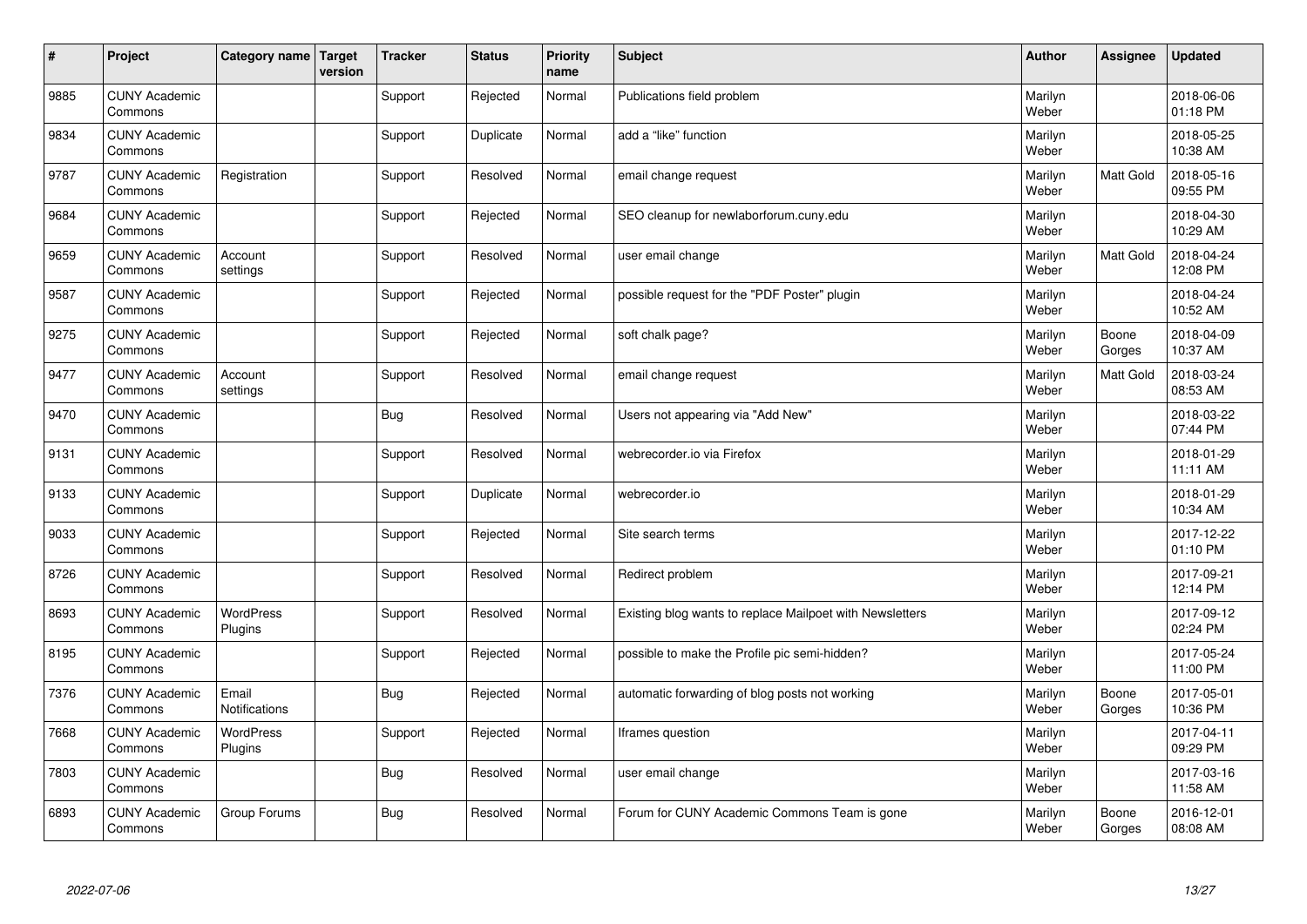| #    | Project                         | Category name   Target | version | <b>Tracker</b> | <b>Status</b> | <b>Priority</b><br>name | <b>Subject</b>                                           | <b>Author</b>    | Assignee         | <b>Updated</b>         |
|------|---------------------------------|------------------------|---------|----------------|---------------|-------------------------|----------------------------------------------------------|------------------|------------------|------------------------|
| 9885 | <b>CUNY Academic</b><br>Commons |                        |         | Support        | Rejected      | Normal                  | Publications field problem                               | Marilyn<br>Weber |                  | 2018-06-06<br>01:18 PM |
| 9834 | <b>CUNY Academic</b><br>Commons |                        |         | Support        | Duplicate     | Normal                  | add a "like" function                                    | Marilyn<br>Weber |                  | 2018-05-25<br>10:38 AM |
| 9787 | <b>CUNY Academic</b><br>Commons | Registration           |         | Support        | Resolved      | Normal                  | email change request                                     | Marilyn<br>Weber | Matt Gold        | 2018-05-16<br>09:55 PM |
| 9684 | <b>CUNY Academic</b><br>Commons |                        |         | Support        | Rejected      | Normal                  | SEO cleanup for newlaborforum.cuny.edu                   | Marilyn<br>Weber |                  | 2018-04-30<br>10:29 AM |
| 9659 | <b>CUNY Academic</b><br>Commons | Account<br>settings    |         | Support        | Resolved      | Normal                  | user email change                                        | Marilyn<br>Weber | <b>Matt Gold</b> | 2018-04-24<br>12:08 PM |
| 9587 | <b>CUNY Academic</b><br>Commons |                        |         | Support        | Rejected      | Normal                  | possible request for the "PDF Poster" plugin             | Marilyn<br>Weber |                  | 2018-04-24<br>10:52 AM |
| 9275 | <b>CUNY Academic</b><br>Commons |                        |         | Support        | Rejected      | Normal                  | soft chalk page?                                         | Marilyn<br>Weber | Boone<br>Gorges  | 2018-04-09<br>10:37 AM |
| 9477 | <b>CUNY Academic</b><br>Commons | Account<br>settings    |         | Support        | Resolved      | Normal                  | email change request                                     | Marilyn<br>Weber | Matt Gold        | 2018-03-24<br>08:53 AM |
| 9470 | <b>CUNY Academic</b><br>Commons |                        |         | Bug            | Resolved      | Normal                  | Users not appearing via "Add New"                        | Marilyn<br>Weber |                  | 2018-03-22<br>07:44 PM |
| 9131 | <b>CUNY Academic</b><br>Commons |                        |         | Support        | Resolved      | Normal                  | webrecorder.io via Firefox                               | Marilyn<br>Weber |                  | 2018-01-29<br>11:11 AM |
| 9133 | <b>CUNY Academic</b><br>Commons |                        |         | Support        | Duplicate     | Normal                  | webrecorder.io                                           | Marilyn<br>Weber |                  | 2018-01-29<br>10:34 AM |
| 9033 | <b>CUNY Academic</b><br>Commons |                        |         | Support        | Rejected      | Normal                  | Site search terms                                        | Marilyn<br>Weber |                  | 2017-12-22<br>01:10 PM |
| 8726 | <b>CUNY Academic</b><br>Commons |                        |         | Support        | Resolved      | Normal                  | Redirect problem                                         | Marilyn<br>Weber |                  | 2017-09-21<br>12:14 PM |
| 8693 | <b>CUNY Academic</b><br>Commons | WordPress<br>Plugins   |         | Support        | Resolved      | Normal                  | Existing blog wants to replace Mailpoet with Newsletters | Marilyn<br>Weber |                  | 2017-09-12<br>02:24 PM |
| 8195 | <b>CUNY Academic</b><br>Commons |                        |         | Support        | Rejected      | Normal                  | possible to make the Profile pic semi-hidden?            | Marilyn<br>Weber |                  | 2017-05-24<br>11:00 PM |
| 7376 | <b>CUNY Academic</b><br>Commons | Email<br>Notifications |         | Bug            | Rejected      | Normal                  | automatic forwarding of blog posts not working           | Marilyn<br>Weber | Boone<br>Gorges  | 2017-05-01<br>10:36 PM |
| 7668 | <b>CUNY Academic</b><br>Commons | WordPress<br>Plugins   |         | Support        | Rejected      | Normal                  | Iframes question                                         | Marilyn<br>Weber |                  | 2017-04-11<br>09:29 PM |
| 7803 | <b>CUNY Academic</b><br>Commons |                        |         | Bug            | Resolved      | Normal                  | user email change                                        | Marilyn<br>Weber |                  | 2017-03-16<br>11:58 AM |
| 6893 | <b>CUNY Academic</b><br>Commons | Group Forums           |         | Bug            | Resolved      | Normal                  | Forum for CUNY Academic Commons Team is gone             | Marilyn<br>Weber | Boone<br>Gorges  | 2016-12-01<br>08:08 AM |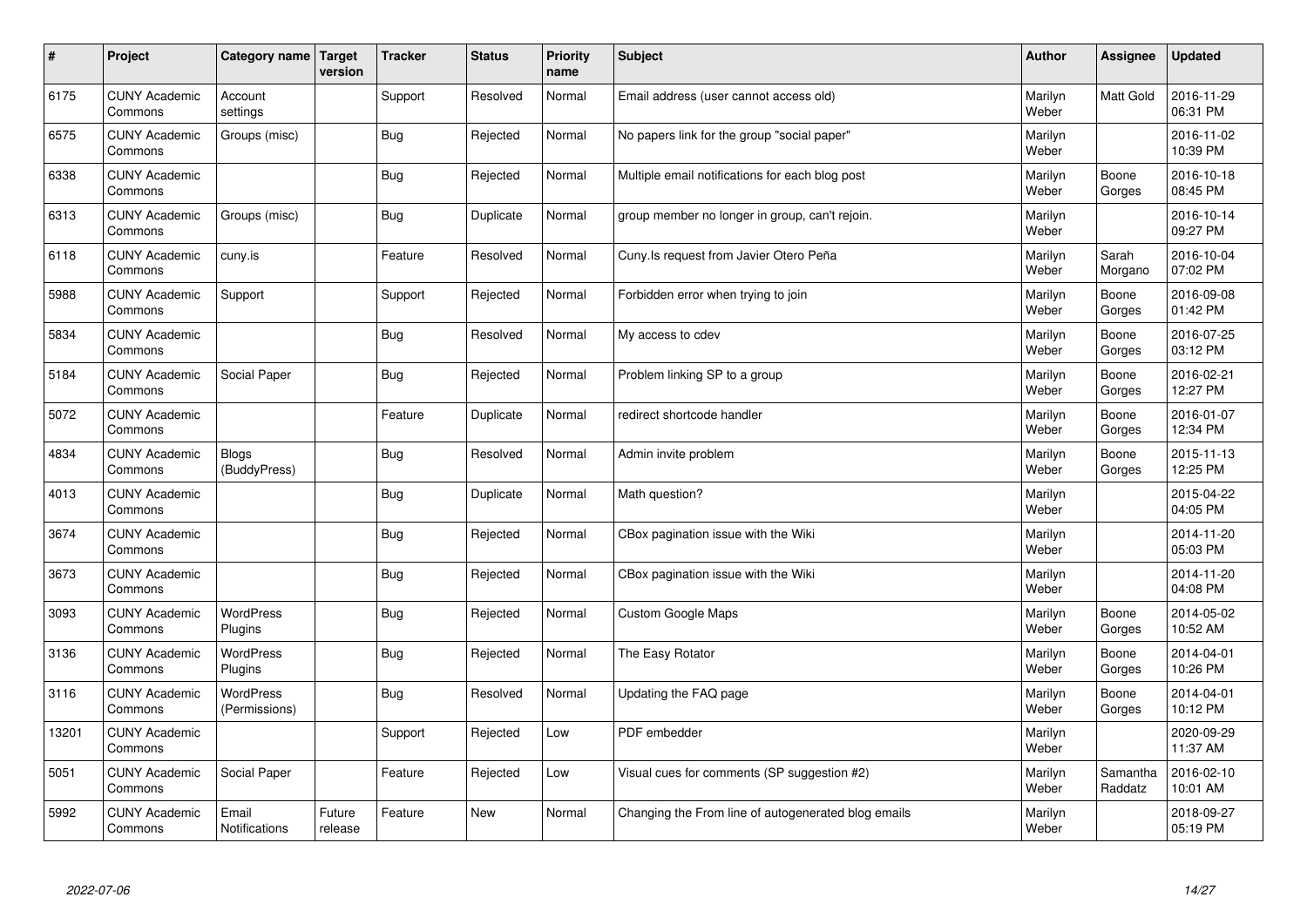| $\sharp$ | Project                         | Category name   Target            | version           | <b>Tracker</b> | <b>Status</b> | <b>Priority</b><br>name | <b>Subject</b>                                      | <b>Author</b>    | <b>Assignee</b>     | <b>Updated</b>         |
|----------|---------------------------------|-----------------------------------|-------------------|----------------|---------------|-------------------------|-----------------------------------------------------|------------------|---------------------|------------------------|
| 6175     | <b>CUNY Academic</b><br>Commons | Account<br>settings               |                   | Support        | Resolved      | Normal                  | Email address (user cannot access old)              | Marilyn<br>Weber | <b>Matt Gold</b>    | 2016-11-29<br>06:31 PM |
| 6575     | <b>CUNY Academic</b><br>Commons | Groups (misc)                     |                   | Bug            | Rejected      | Normal                  | No papers link for the group "social paper"         | Marilyn<br>Weber |                     | 2016-11-02<br>10:39 PM |
| 6338     | <b>CUNY Academic</b><br>Commons |                                   |                   | Bug            | Rejected      | Normal                  | Multiple email notifications for each blog post     | Marilyn<br>Weber | Boone<br>Gorges     | 2016-10-18<br>08:45 PM |
| 6313     | <b>CUNY Academic</b><br>Commons | Groups (misc)                     |                   | <b>Bug</b>     | Duplicate     | Normal                  | group member no longer in group, can't rejoin.      | Marilyn<br>Weber |                     | 2016-10-14<br>09:27 PM |
| 6118     | <b>CUNY Academic</b><br>Commons | cuny.is                           |                   | Feature        | Resolved      | Normal                  | Cuny. Is request from Javier Otero Peña             | Marilyn<br>Weber | Sarah<br>Morgano    | 2016-10-04<br>07:02 PM |
| 5988     | <b>CUNY Academic</b><br>Commons | Support                           |                   | Support        | Rejected      | Normal                  | Forbidden error when trying to join                 | Marilyn<br>Weber | Boone<br>Gorges     | 2016-09-08<br>01:42 PM |
| 5834     | <b>CUNY Academic</b><br>Commons |                                   |                   | Bug            | Resolved      | Normal                  | My access to cdev                                   | Marilyn<br>Weber | Boone<br>Gorges     | 2016-07-25<br>03:12 PM |
| 5184     | <b>CUNY Academic</b><br>Commons | Social Paper                      |                   | Bug            | Rejected      | Normal                  | Problem linking SP to a group                       | Marilyn<br>Weber | Boone<br>Gorges     | 2016-02-21<br>12:27 PM |
| 5072     | <b>CUNY Academic</b><br>Commons |                                   |                   | Feature        | Duplicate     | Normal                  | redirect shortcode handler                          | Marilyn<br>Weber | Boone<br>Gorges     | 2016-01-07<br>12:34 PM |
| 4834     | <b>CUNY Academic</b><br>Commons | <b>Blogs</b><br>(BuddyPress)      |                   | Bug            | Resolved      | Normal                  | Admin invite problem                                | Marilyn<br>Weber | Boone<br>Gorges     | 2015-11-13<br>12:25 PM |
| 4013     | <b>CUNY Academic</b><br>Commons |                                   |                   | Bug            | Duplicate     | Normal                  | Math question?                                      | Marilyn<br>Weber |                     | 2015-04-22<br>04:05 PM |
| 3674     | <b>CUNY Academic</b><br>Commons |                                   |                   | <b>Bug</b>     | Rejected      | Normal                  | CBox pagination issue with the Wiki                 | Marilyn<br>Weber |                     | 2014-11-20<br>05:03 PM |
| 3673     | <b>CUNY Academic</b><br>Commons |                                   |                   | <b>Bug</b>     | Rejected      | Normal                  | CBox pagination issue with the Wiki                 | Marilyn<br>Weber |                     | 2014-11-20<br>04:08 PM |
| 3093     | <b>CUNY Academic</b><br>Commons | <b>WordPress</b><br>Plugins       |                   | Bug            | Rejected      | Normal                  | <b>Custom Google Maps</b>                           | Marilyn<br>Weber | Boone<br>Gorges     | 2014-05-02<br>10:52 AM |
| 3136     | <b>CUNY Academic</b><br>Commons | WordPress<br>Plugins              |                   | Bug            | Rejected      | Normal                  | The Easy Rotator                                    | Marilyn<br>Weber | Boone<br>Gorges     | 2014-04-01<br>10:26 PM |
| 3116     | <b>CUNY Academic</b><br>Commons | <b>WordPress</b><br>(Permissions) |                   | <b>Bug</b>     | Resolved      | Normal                  | Updating the FAQ page                               | Marilyn<br>Weber | Boone<br>Gorges     | 2014-04-01<br>10:12 PM |
| 13201    | <b>CUNY Academic</b><br>Commons |                                   |                   | Support        | Rejected      | Low                     | PDF embedder                                        | Marilyn<br>Weber |                     | 2020-09-29<br>11:37 AM |
| 5051     | <b>CUNY Academic</b><br>Commons | Social Paper                      |                   | Feature        | Rejected      | Low                     | Visual cues for comments (SP suggestion #2)         | Marilyn<br>Weber | Samantha<br>Raddatz | 2016-02-10<br>10:01 AM |
| 5992     | <b>CUNY Academic</b><br>Commons | Email<br><b>Notifications</b>     | Future<br>release | Feature        | <b>New</b>    | Normal                  | Changing the From line of autogenerated blog emails | Marilyn<br>Weber |                     | 2018-09-27<br>05:19 PM |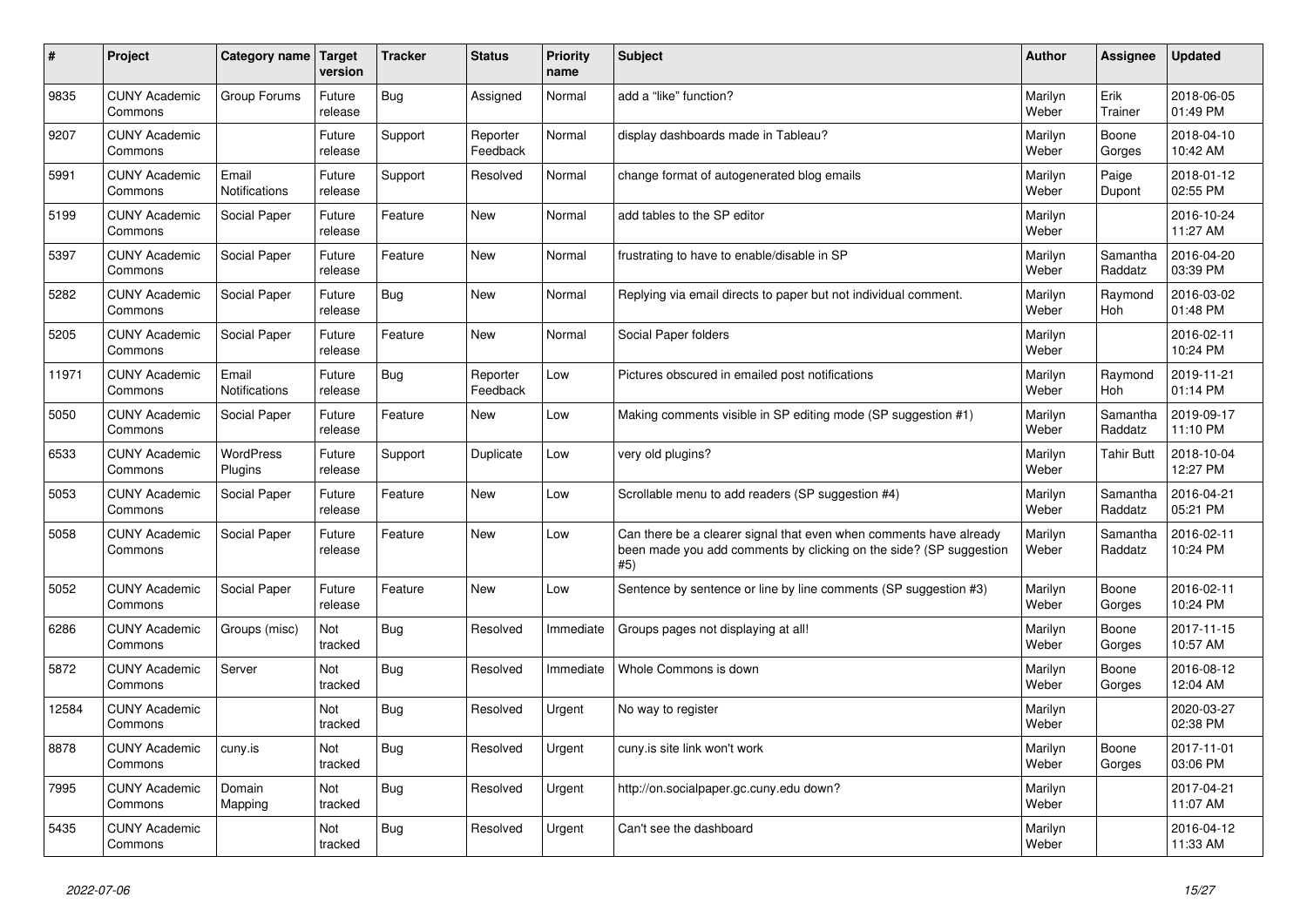| #     | Project                         | Category name          | <b>Target</b><br>version | <b>Tracker</b> | <b>Status</b>        | <b>Priority</b><br>name | Subject                                                                                                                                         | Author           | Assignee              | <b>Updated</b>         |
|-------|---------------------------------|------------------------|--------------------------|----------------|----------------------|-------------------------|-------------------------------------------------------------------------------------------------------------------------------------------------|------------------|-----------------------|------------------------|
| 9835  | <b>CUNY Academic</b><br>Commons | Group Forums           | Future<br>release        | Bug            | Assigned             | Normal                  | add a "like" function?                                                                                                                          | Marilyn<br>Weber | Erik<br>Trainer       | 2018-06-05<br>01:49 PM |
| 9207  | <b>CUNY Academic</b><br>Commons |                        | Future<br>release        | Support        | Reporter<br>Feedback | Normal                  | display dashboards made in Tableau?                                                                                                             | Marilyn<br>Weber | Boone<br>Gorges       | 2018-04-10<br>10:42 AM |
| 5991  | <b>CUNY Academic</b><br>Commons | Email<br>Notifications | Future<br>release        | Support        | Resolved             | Normal                  | change format of autogenerated blog emails                                                                                                      | Marilyn<br>Weber | Paige<br>Dupont       | 2018-01-12<br>02:55 PM |
| 5199  | <b>CUNY Academic</b><br>Commons | Social Paper           | Future<br>release        | Feature        | New                  | Normal                  | add tables to the SP editor                                                                                                                     | Marilyn<br>Weber |                       | 2016-10-24<br>11:27 AM |
| 5397  | <b>CUNY Academic</b><br>Commons | Social Paper           | Future<br>release        | Feature        | <b>New</b>           | Normal                  | frustrating to have to enable/disable in SP                                                                                                     | Marilyn<br>Weber | Samantha<br>Raddatz   | 2016-04-20<br>03:39 PM |
| 5282  | <b>CUNY Academic</b><br>Commons | Social Paper           | Future<br>release        | Bug            | New                  | Normal                  | Replying via email directs to paper but not individual comment.                                                                                 | Marilyn<br>Weber | Raymond<br><b>Hoh</b> | 2016-03-02<br>01:48 PM |
| 5205  | <b>CUNY Academic</b><br>Commons | Social Paper           | Future<br>release        | Feature        | New                  | Normal                  | Social Paper folders                                                                                                                            | Marilyn<br>Weber |                       | 2016-02-11<br>10:24 PM |
| 11971 | <b>CUNY Academic</b><br>Commons | Email<br>Notifications | Future<br>release        | Bug            | Reporter<br>Feedback | Low                     | Pictures obscured in emailed post notifications                                                                                                 | Marilyn<br>Weber | Raymond<br>Hoh        | 2019-11-21<br>01:14 PM |
| 5050  | <b>CUNY Academic</b><br>Commons | Social Paper           | Future<br>release        | Feature        | New                  | Low                     | Making comments visible in SP editing mode (SP suggestion #1)                                                                                   | Marilyn<br>Weber | Samantha<br>Raddatz   | 2019-09-17<br>11:10 PM |
| 6533  | <b>CUNY Academic</b><br>Commons | WordPress<br>Plugins   | Future<br>release        | Support        | Duplicate            | Low                     | very old plugins?                                                                                                                               | Marilyn<br>Weber | Tahir Butt            | 2018-10-04<br>12:27 PM |
| 5053  | <b>CUNY Academic</b><br>Commons | Social Paper           | Future<br>release        | Feature        | New                  | Low                     | Scrollable menu to add readers (SP suggestion #4)                                                                                               | Marilyn<br>Weber | Samantha<br>Raddatz   | 2016-04-21<br>05:21 PM |
| 5058  | <b>CUNY Academic</b><br>Commons | Social Paper           | Future<br>release        | Feature        | <b>New</b>           | Low                     | Can there be a clearer signal that even when comments have already<br>been made you add comments by clicking on the side? (SP suggestion<br>#5) | Marilyn<br>Weber | Samantha<br>Raddatz   | 2016-02-11<br>10:24 PM |
| 5052  | <b>CUNY Academic</b><br>Commons | Social Paper           | Future<br>release        | Feature        | New                  | Low                     | Sentence by sentence or line by line comments (SP suggestion #3)                                                                                | Marilyn<br>Weber | Boone<br>Gorges       | 2016-02-11<br>10:24 PM |
| 6286  | <b>CUNY Academic</b><br>Commons | Groups (misc)          | Not<br>tracked           | Bug            | Resolved             | Immediate               | Groups pages not displaying at all!                                                                                                             | Marilyn<br>Weber | Boone<br>Gorges       | 2017-11-15<br>10:57 AM |
| 5872  | <b>CUNY Academic</b><br>Commons | Server                 | Not<br>tracked           | Bug            | Resolved             | Immediate               | Whole Commons is down                                                                                                                           | Marilyn<br>Weber | Boone<br>Gorges       | 2016-08-12<br>12:04 AM |
| 12584 | <b>CUNY Academic</b><br>Commons |                        | Not<br>tracked           | Bug            | Resolved             | Urgent                  | No way to register                                                                                                                              | Marilyn<br>Weber |                       | 2020-03-27<br>02:38 PM |
| 8878  | <b>CUNY Academic</b><br>Commons | cuny.is                | Not<br>tracked           | <b>Bug</b>     | Resolved             | Urgent                  | cuny.is site link won't work                                                                                                                    | Marilyn<br>Weber | Boone<br>Gorges       | 2017-11-01<br>03:06 PM |
| 7995  | <b>CUNY Academic</b><br>Commons | Domain<br>Mapping      | Not<br>tracked           | <b>Bug</b>     | Resolved             | Urgent                  | http://on.socialpaper.gc.cuny.edu down?                                                                                                         | Marilyn<br>Weber |                       | 2017-04-21<br>11:07 AM |
| 5435  | <b>CUNY Academic</b><br>Commons |                        | Not<br>tracked           | Bug            | Resolved             | Urgent                  | Can't see the dashboard                                                                                                                         | Marilyn<br>Weber |                       | 2016-04-12<br>11:33 AM |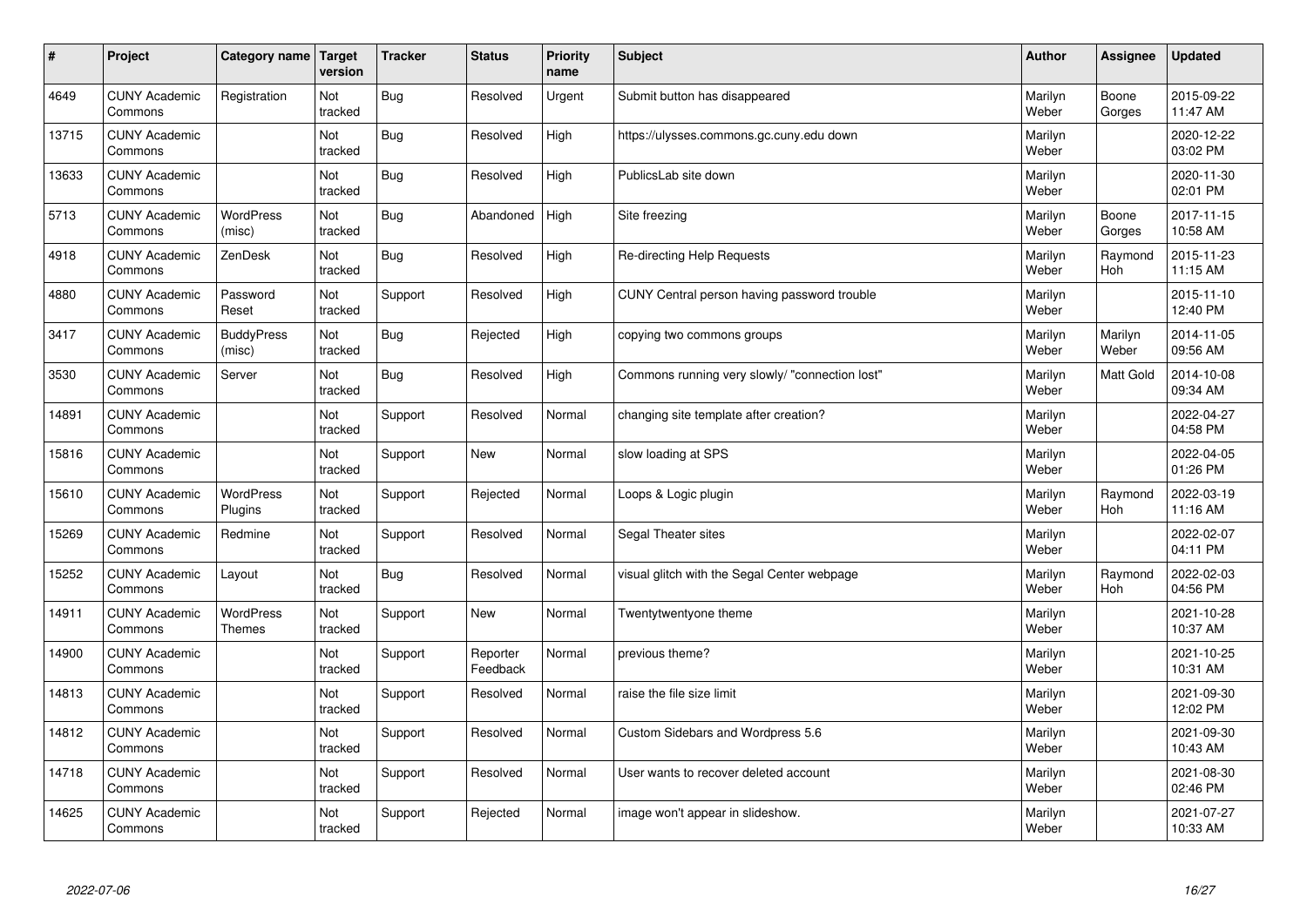| #     | Project                         | Category name   Target            | version        | <b>Tracker</b> | <b>Status</b>        | <b>Priority</b><br>name | <b>Subject</b>                                 | <b>Author</b>    | Assignee         | <b>Updated</b>         |
|-------|---------------------------------|-----------------------------------|----------------|----------------|----------------------|-------------------------|------------------------------------------------|------------------|------------------|------------------------|
| 4649  | <b>CUNY Academic</b><br>Commons | Registration                      | Not<br>tracked | Bug            | Resolved             | Urgent                  | Submit button has disappeared                  | Marilyn<br>Weber | Boone<br>Gorges  | 2015-09-22<br>11:47 AM |
| 13715 | <b>CUNY Academic</b><br>Commons |                                   | Not<br>tracked | Bug            | Resolved             | High                    | https://ulysses.commons.gc.cuny.edu down       | Marilyn<br>Weber |                  | 2020-12-22<br>03:02 PM |
| 13633 | <b>CUNY Academic</b><br>Commons |                                   | Not<br>tracked | Bug            | Resolved             | High                    | PublicsLab site down                           | Marilyn<br>Weber |                  | 2020-11-30<br>02:01 PM |
| 5713  | <b>CUNY Academic</b><br>Commons | <b>WordPress</b><br>(misc)        | Not<br>tracked | Bug            | Abandoned            | High                    | Site freezing                                  | Marilyn<br>Weber | Boone<br>Gorges  | 2017-11-15<br>10:58 AM |
| 4918  | <b>CUNY Academic</b><br>Commons | ZenDesk                           | Not<br>tracked | Bug            | Resolved             | High                    | Re-directing Help Requests                     | Marilyn<br>Weber | Raymond<br>Hoh   | 2015-11-23<br>11:15 AM |
| 4880  | <b>CUNY Academic</b><br>Commons | Password<br>Reset                 | Not<br>tracked | Support        | Resolved             | High                    | CUNY Central person having password trouble    | Marilyn<br>Weber |                  | 2015-11-10<br>12:40 PM |
| 3417  | <b>CUNY Academic</b><br>Commons | <b>BuddyPress</b><br>(misc)       | Not<br>tracked | Bug            | Rejected             | High                    | copying two commons groups                     | Marilyn<br>Weber | Marilyn<br>Weber | 2014-11-05<br>09:56 AM |
| 3530  | <b>CUNY Academic</b><br>Commons | Server                            | Not<br>tracked | Bug            | Resolved             | High                    | Commons running very slowly/ "connection lost" | Marilyn<br>Weber | Matt Gold        | 2014-10-08<br>09:34 AM |
| 14891 | <b>CUNY Academic</b><br>Commons |                                   | Not<br>tracked | Support        | Resolved             | Normal                  | changing site template after creation?         | Marilyn<br>Weber |                  | 2022-04-27<br>04:58 PM |
| 15816 | <b>CUNY Academic</b><br>Commons |                                   | Not<br>tracked | Support        | <b>New</b>           | Normal                  | slow loading at SPS                            | Marilyn<br>Weber |                  | 2022-04-05<br>01:26 PM |
| 15610 | <b>CUNY Academic</b><br>Commons | <b>WordPress</b><br>Plugins       | Not<br>tracked | Support        | Rejected             | Normal                  | Loops & Logic plugin                           | Marilyn<br>Weber | Raymond<br>Hoh   | 2022-03-19<br>11:16 AM |
| 15269 | <b>CUNY Academic</b><br>Commons | Redmine                           | Not<br>tracked | Support        | Resolved             | Normal                  | Segal Theater sites                            | Marilyn<br>Weber |                  | 2022-02-07<br>04:11 PM |
| 15252 | <b>CUNY Academic</b><br>Commons | Layout                            | Not<br>tracked | Bug            | Resolved             | Normal                  | visual glitch with the Segal Center webpage    | Marilyn<br>Weber | Raymond<br>Hoh   | 2022-02-03<br>04:56 PM |
| 14911 | <b>CUNY Academic</b><br>Commons | <b>WordPress</b><br><b>Themes</b> | Not<br>tracked | Support        | New                  | Normal                  | Twentytwentyone theme                          | Marilyn<br>Weber |                  | 2021-10-28<br>10:37 AM |
| 14900 | <b>CUNY Academic</b><br>Commons |                                   | Not<br>tracked | Support        | Reporter<br>Feedback | Normal                  | previous theme?                                | Marilyn<br>Weber |                  | 2021-10-25<br>10:31 AM |
| 14813 | <b>CUNY Academic</b><br>Commons |                                   | Not<br>tracked | Support        | Resolved             | Normal                  | raise the file size limit                      | Marilyn<br>Weber |                  | 2021-09-30<br>12:02 PM |
| 14812 | <b>CUNY Academic</b><br>Commons |                                   | Not<br>tracked | Support        | Resolved             | Normal                  | Custom Sidebars and Wordpress 5.6              | Marilyn<br>Weber |                  | 2021-09-30<br>10:43 AM |
| 14718 | <b>CUNY Academic</b><br>Commons |                                   | Not<br>tracked | Support        | Resolved             | Normal                  | User wants to recover deleted account          | Marilyn<br>Weber |                  | 2021-08-30<br>02:46 PM |
| 14625 | <b>CUNY Academic</b><br>Commons |                                   | Not<br>tracked | Support        | Rejected             | Normal                  | image won't appear in slideshow.               | Marilyn<br>Weber |                  | 2021-07-27<br>10:33 AM |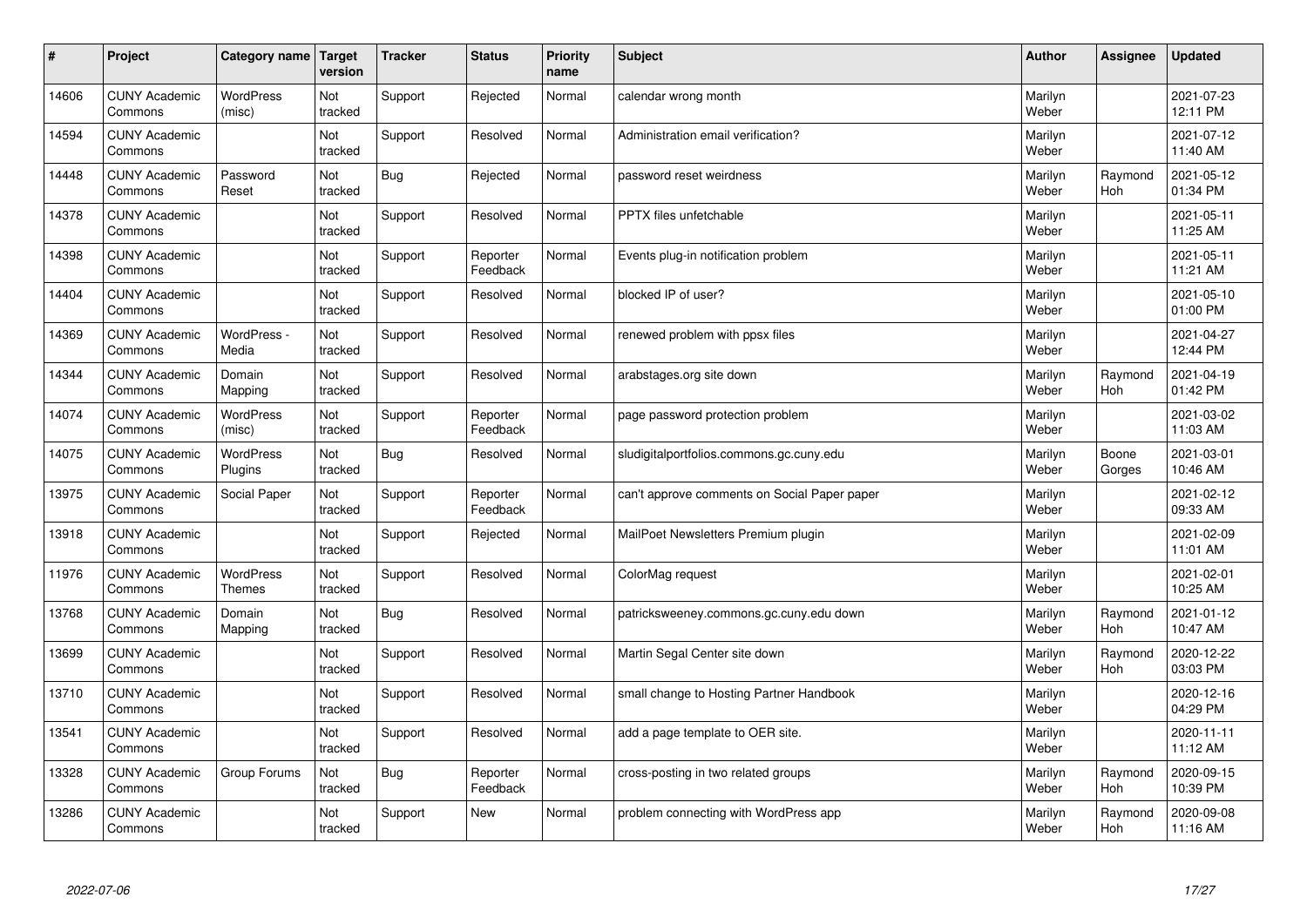| #     | Project                         | Category name                     | Target<br>version | <b>Tracker</b> | <b>Status</b>        | <b>Priority</b><br>name | <b>Subject</b>                               | <b>Author</b>    | Assignee              | <b>Updated</b>         |
|-------|---------------------------------|-----------------------------------|-------------------|----------------|----------------------|-------------------------|----------------------------------------------|------------------|-----------------------|------------------------|
| 14606 | <b>CUNY Academic</b><br>Commons | <b>WordPress</b><br>(misc)        | Not<br>tracked    | Support        | Rejected             | Normal                  | calendar wrong month                         | Marilyn<br>Weber |                       | 2021-07-23<br>12:11 PM |
| 14594 | <b>CUNY Academic</b><br>Commons |                                   | Not<br>tracked    | Support        | Resolved             | Normal                  | Administration email verification?           | Marilyn<br>Weber |                       | 2021-07-12<br>11:40 AM |
| 14448 | <b>CUNY Academic</b><br>Commons | Password<br>Reset                 | Not<br>tracked    | Bug            | Rejected             | Normal                  | password reset weirdness                     | Marilyn<br>Weber | Raymond<br><b>Hoh</b> | 2021-05-12<br>01:34 PM |
| 14378 | <b>CUNY Academic</b><br>Commons |                                   | Not<br>tracked    | Support        | Resolved             | Normal                  | PPTX files unfetchable                       | Marilyn<br>Weber |                       | 2021-05-11<br>11:25 AM |
| 14398 | <b>CUNY Academic</b><br>Commons |                                   | Not<br>tracked    | Support        | Reporter<br>Feedback | Normal                  | Events plug-in notification problem          | Marilyn<br>Weber |                       | 2021-05-11<br>11:21 AM |
| 14404 | <b>CUNY Academic</b><br>Commons |                                   | Not<br>tracked    | Support        | Resolved             | Normal                  | blocked IP of user?                          | Marilyn<br>Weber |                       | 2021-05-10<br>01:00 PM |
| 14369 | <b>CUNY Academic</b><br>Commons | WordPress -<br>Media              | Not<br>tracked    | Support        | Resolved             | Normal                  | renewed problem with ppsx files              | Marilyn<br>Weber |                       | 2021-04-27<br>12:44 PM |
| 14344 | <b>CUNY Academic</b><br>Commons | Domain<br>Mapping                 | Not<br>tracked    | Support        | Resolved             | Normal                  | arabstages.org site down                     | Marilyn<br>Weber | Raymond<br>Hoh        | 2021-04-19<br>01:42 PM |
| 14074 | <b>CUNY Academic</b><br>Commons | <b>WordPress</b><br>(misc)        | Not<br>tracked    | Support        | Reporter<br>Feedback | Normal                  | page password protection problem             | Marilyn<br>Weber |                       | 2021-03-02<br>11:03 AM |
| 14075 | <b>CUNY Academic</b><br>Commons | WordPress<br>Plugins              | Not<br>tracked    | Bug            | Resolved             | Normal                  | sludigitalportfolios.commons.gc.cuny.edu     | Marilyn<br>Weber | Boone<br>Gorges       | 2021-03-01<br>10:46 AM |
| 13975 | <b>CUNY Academic</b><br>Commons | Social Paper                      | Not<br>tracked    | Support        | Reporter<br>Feedback | Normal                  | can't approve comments on Social Paper paper | Marilyn<br>Weber |                       | 2021-02-12<br>09:33 AM |
| 13918 | <b>CUNY Academic</b><br>Commons |                                   | Not<br>tracked    | Support        | Rejected             | Normal                  | MailPoet Newsletters Premium plugin          | Marilyn<br>Weber |                       | 2021-02-09<br>11:01 AM |
| 11976 | <b>CUNY Academic</b><br>Commons | <b>WordPress</b><br><b>Themes</b> | Not<br>tracked    | Support        | Resolved             | Normal                  | ColorMag request                             | Marilyn<br>Weber |                       | 2021-02-01<br>10:25 AM |
| 13768 | <b>CUNY Academic</b><br>Commons | Domain<br>Mapping                 | Not<br>tracked    | Bug            | Resolved             | Normal                  | patricksweeney.commons.gc.cuny.edu down      | Marilyn<br>Weber | Raymond<br>Hoh        | 2021-01-12<br>10:47 AM |
| 13699 | <b>CUNY Academic</b><br>Commons |                                   | Not<br>tracked    | Support        | Resolved             | Normal                  | Martin Segal Center site down                | Marilyn<br>Weber | Raymond<br><b>Hoh</b> | 2020-12-22<br>03:03 PM |
| 13710 | <b>CUNY Academic</b><br>Commons |                                   | Not<br>tracked    | Support        | Resolved             | Normal                  | small change to Hosting Partner Handbook     | Marilyn<br>Weber |                       | 2020-12-16<br>04:29 PM |
| 13541 | <b>CUNY Academic</b><br>Commons |                                   | Not<br>tracked    | Support        | Resolved             | Normal                  | add a page template to OER site.             | Marilyn<br>Weber |                       | 2020-11-11<br>11:12 AM |
| 13328 | <b>CUNY Academic</b><br>Commons | Group Forums                      | Not<br>tracked    | Bug            | Reporter<br>Feedback | Normal                  | cross-posting in two related groups          | Marilyn<br>Weber | Raymond<br>Hoh        | 2020-09-15<br>10:39 PM |
| 13286 | <b>CUNY Academic</b><br>Commons |                                   | Not<br>tracked    | Support        | <b>New</b>           | Normal                  | problem connecting with WordPress app        | Marilyn<br>Weber | Raymond<br>Hoh        | 2020-09-08<br>11:16 AM |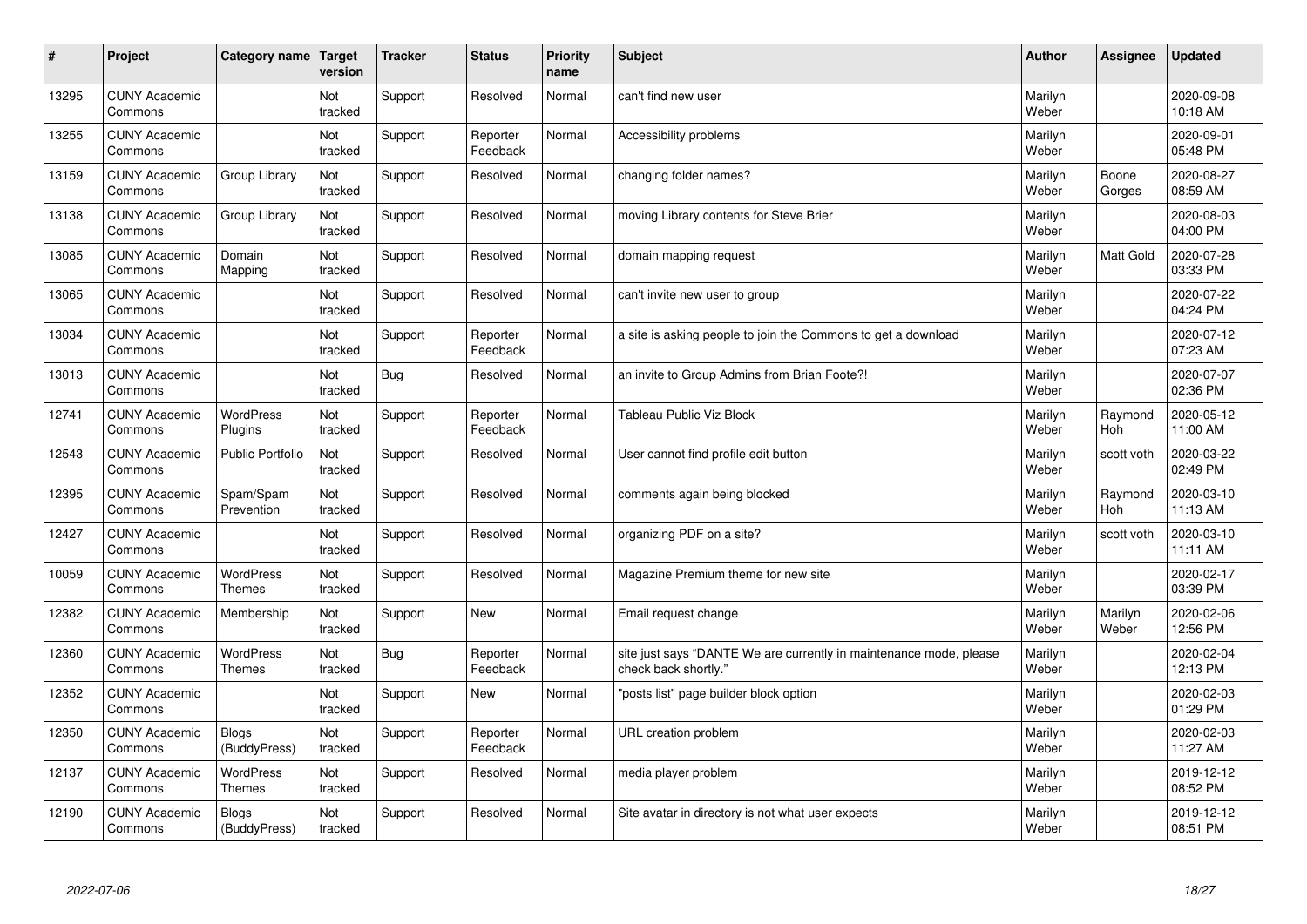| $\vert$ # | Project                         | Category name                     | Target<br>version | <b>Tracker</b> | <b>Status</b>        | <b>Priority</b><br>name | <b>Subject</b>                                                                             | <b>Author</b>    | Assignee              | <b>Updated</b>         |
|-----------|---------------------------------|-----------------------------------|-------------------|----------------|----------------------|-------------------------|--------------------------------------------------------------------------------------------|------------------|-----------------------|------------------------|
| 13295     | <b>CUNY Academic</b><br>Commons |                                   | Not<br>tracked    | Support        | Resolved             | Normal                  | can't find new user                                                                        | Marilyn<br>Weber |                       | 2020-09-08<br>10:18 AM |
| 13255     | <b>CUNY Academic</b><br>Commons |                                   | Not<br>tracked    | Support        | Reporter<br>Feedback | Normal                  | Accessibility problems                                                                     | Marilyn<br>Weber |                       | 2020-09-01<br>05:48 PM |
| 13159     | <b>CUNY Academic</b><br>Commons | Group Library                     | Not<br>tracked    | Support        | Resolved             | Normal                  | changing folder names?                                                                     | Marilyn<br>Weber | Boone<br>Gorges       | 2020-08-27<br>08:59 AM |
| 13138     | <b>CUNY Academic</b><br>Commons | Group Library                     | Not<br>tracked    | Support        | Resolved             | Normal                  | moving Library contents for Steve Brier                                                    | Marilyn<br>Weber |                       | 2020-08-03<br>04:00 PM |
| 13085     | <b>CUNY Academic</b><br>Commons | Domain<br>Mapping                 | Not<br>tracked    | Support        | Resolved             | Normal                  | domain mapping request                                                                     | Marilyn<br>Weber | Matt Gold             | 2020-07-28<br>03:33 PM |
| 13065     | <b>CUNY Academic</b><br>Commons |                                   | Not<br>tracked    | Support        | Resolved             | Normal                  | can't invite new user to group                                                             | Marilyn<br>Weber |                       | 2020-07-22<br>04:24 PM |
| 13034     | <b>CUNY Academic</b><br>Commons |                                   | Not<br>tracked    | Support        | Reporter<br>Feedback | Normal                  | a site is asking people to join the Commons to get a download                              | Marilyn<br>Weber |                       | 2020-07-12<br>07:23 AM |
| 13013     | <b>CUNY Academic</b><br>Commons |                                   | Not<br>tracked    | Bug            | Resolved             | Normal                  | an invite to Group Admins from Brian Foote?!                                               | Marilyn<br>Weber |                       | 2020-07-07<br>02:36 PM |
| 12741     | <b>CUNY Academic</b><br>Commons | <b>WordPress</b><br>Plugins       | Not<br>tracked    | Support        | Reporter<br>Feedback | Normal                  | <b>Tableau Public Viz Block</b>                                                            | Marilyn<br>Weber | Raymond<br><b>Hoh</b> | 2020-05-12<br>11:00 AM |
| 12543     | <b>CUNY Academic</b><br>Commons | <b>Public Portfolio</b>           | Not<br>tracked    | Support        | Resolved             | Normal                  | User cannot find profile edit button                                                       | Marilyn<br>Weber | scott voth            | 2020-03-22<br>02:49 PM |
| 12395     | <b>CUNY Academic</b><br>Commons | Spam/Spam<br>Prevention           | Not<br>tracked    | Support        | Resolved             | Normal                  | comments again being blocked                                                               | Marilyn<br>Weber | Raymond<br>Hoh        | 2020-03-10<br>11:13 AM |
| 12427     | <b>CUNY Academic</b><br>Commons |                                   | Not<br>tracked    | Support        | Resolved             | Normal                  | organizing PDF on a site?                                                                  | Marilyn<br>Weber | scott voth            | 2020-03-10<br>11:11 AM |
| 10059     | <b>CUNY Academic</b><br>Commons | <b>WordPress</b><br><b>Themes</b> | Not<br>tracked    | Support        | Resolved             | Normal                  | Magazine Premium theme for new site                                                        | Marilyn<br>Weber |                       | 2020-02-17<br>03:39 PM |
| 12382     | <b>CUNY Academic</b><br>Commons | Membership                        | Not<br>tracked    | Support        | New                  | Normal                  | Email request change                                                                       | Marilyn<br>Weber | Marilyn<br>Weber      | 2020-02-06<br>12:56 PM |
| 12360     | <b>CUNY Academic</b><br>Commons | <b>WordPress</b><br><b>Themes</b> | Not<br>tracked    | Bug            | Reporter<br>Feedback | Normal                  | site just says "DANTE We are currently in maintenance mode, please<br>check back shortly." | Marilyn<br>Weber |                       | 2020-02-04<br>12:13 PM |
| 12352     | <b>CUNY Academic</b><br>Commons |                                   | Not<br>tracked    | Support        | <b>New</b>           | Normal                  | 'posts list" page builder block option                                                     | Marilyn<br>Weber |                       | 2020-02-03<br>01:29 PM |
| 12350     | <b>CUNY Academic</b><br>Commons | <b>Blogs</b><br>(BuddyPress)      | Not<br>tracked    | Support        | Reporter<br>Feedback | Normal                  | URL creation problem                                                                       | Marilyn<br>Weber |                       | 2020-02-03<br>11:27 AM |
| 12137     | <b>CUNY Academic</b><br>Commons | WordPress<br><b>Themes</b>        | Not<br>tracked    | Support        | Resolved             | Normal                  | media player problem                                                                       | Marilyn<br>Weber |                       | 2019-12-12<br>08:52 PM |
| 12190     | <b>CUNY Academic</b><br>Commons | <b>Blogs</b><br>(BuddyPress)      | Not<br>tracked    | Support        | Resolved             | Normal                  | Site avatar in directory is not what user expects                                          | Marilyn<br>Weber |                       | 2019-12-12<br>08:51 PM |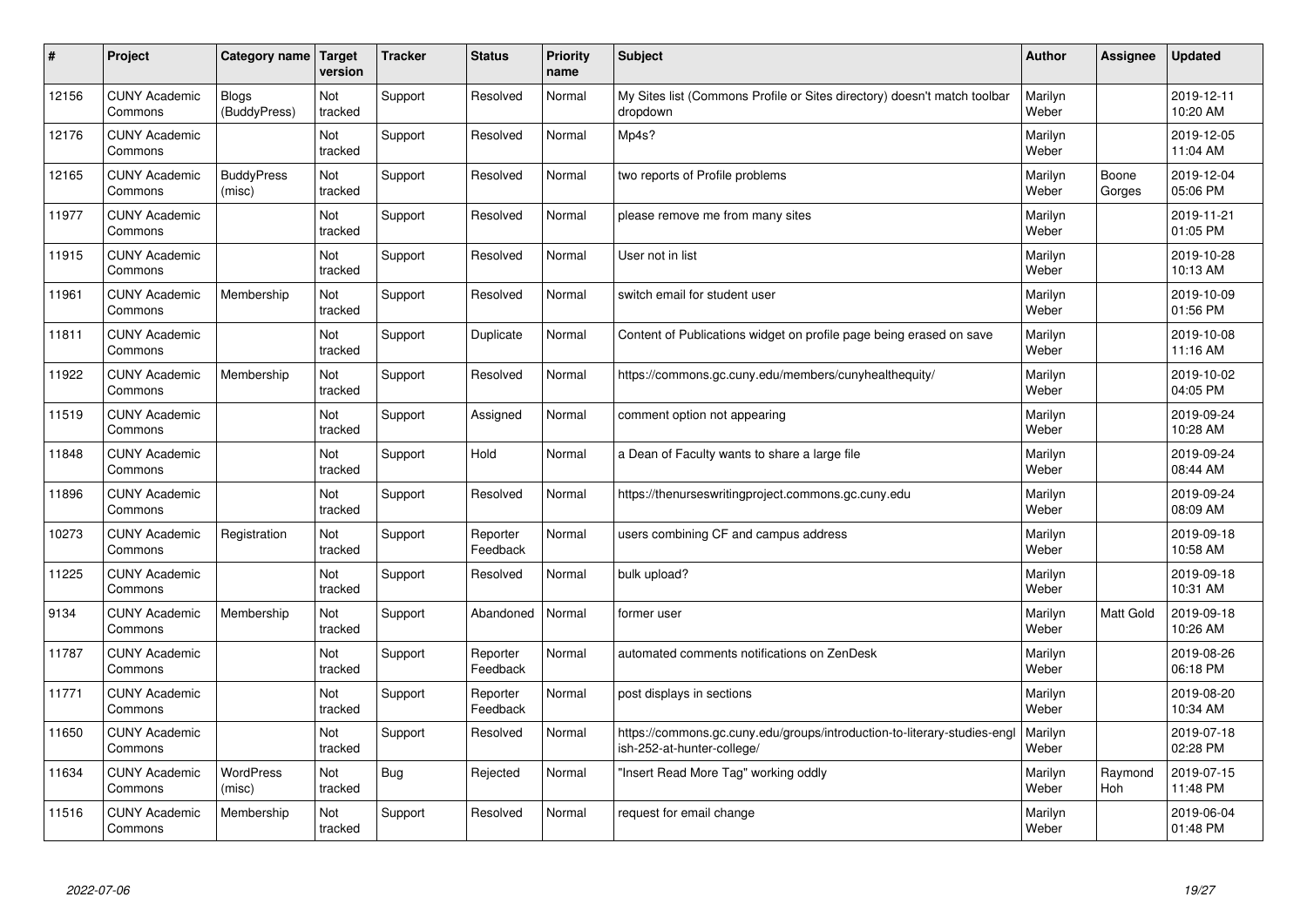| $\sharp$ | Project                         | Category name   Target       | version        | <b>Tracker</b> | <b>Status</b>        | <b>Priority</b><br>name | <b>Subject</b>                                                                                        | <b>Author</b>    | Assignee         | <b>Updated</b>         |
|----------|---------------------------------|------------------------------|----------------|----------------|----------------------|-------------------------|-------------------------------------------------------------------------------------------------------|------------------|------------------|------------------------|
| 12156    | <b>CUNY Academic</b><br>Commons | <b>Blogs</b><br>(BuddyPress) | Not<br>tracked | Support        | Resolved             | Normal                  | My Sites list (Commons Profile or Sites directory) doesn't match toolbar<br>dropdown                  | Marilyn<br>Weber |                  | 2019-12-11<br>10:20 AM |
| 12176    | <b>CUNY Academic</b><br>Commons |                              | Not<br>tracked | Support        | Resolved             | Normal                  | Mp4s?                                                                                                 | Marilyn<br>Weber |                  | 2019-12-05<br>11:04 AM |
| 12165    | <b>CUNY Academic</b><br>Commons | <b>BuddyPress</b><br>(misc)  | Not<br>tracked | Support        | Resolved             | Normal                  | two reports of Profile problems                                                                       | Marilyn<br>Weber | Boone<br>Gorges  | 2019-12-04<br>05:06 PM |
| 11977    | <b>CUNY Academic</b><br>Commons |                              | Not<br>tracked | Support        | Resolved             | Normal                  | please remove me from many sites                                                                      | Marilyn<br>Weber |                  | 2019-11-21<br>01:05 PM |
| 11915    | <b>CUNY Academic</b><br>Commons |                              | Not<br>tracked | Support        | Resolved             | Normal                  | User not in list                                                                                      | Marilyn<br>Weber |                  | 2019-10-28<br>10:13 AM |
| 11961    | <b>CUNY Academic</b><br>Commons | Membership                   | Not<br>tracked | Support        | Resolved             | Normal                  | switch email for student user                                                                         | Marilyn<br>Weber |                  | 2019-10-09<br>01:56 PM |
| 11811    | <b>CUNY Academic</b><br>Commons |                              | Not<br>tracked | Support        | Duplicate            | Normal                  | Content of Publications widget on profile page being erased on save                                   | Marilyn<br>Weber |                  | 2019-10-08<br>11:16 AM |
| 11922    | <b>CUNY Academic</b><br>Commons | Membership                   | Not<br>tracked | Support        | Resolved             | Normal                  | https://commons.gc.cuny.edu/members/cunyhealthequity/                                                 | Marilyn<br>Weber |                  | 2019-10-02<br>04:05 PM |
| 11519    | <b>CUNY Academic</b><br>Commons |                              | Not<br>tracked | Support        | Assigned             | Normal                  | comment option not appearing                                                                          | Marilyn<br>Weber |                  | 2019-09-24<br>10:28 AM |
| 11848    | <b>CUNY Academic</b><br>Commons |                              | Not<br>tracked | Support        | Hold                 | Normal                  | a Dean of Faculty wants to share a large file                                                         | Marilyn<br>Weber |                  | 2019-09-24<br>08:44 AM |
| 11896    | <b>CUNY Academic</b><br>Commons |                              | Not<br>tracked | Support        | Resolved             | Normal                  | https://thenurseswritingproject.commons.gc.cuny.edu                                                   | Marilyn<br>Weber |                  | 2019-09-24<br>08:09 AM |
| 10273    | <b>CUNY Academic</b><br>Commons | Registration                 | Not<br>tracked | Support        | Reporter<br>Feedback | Normal                  | users combining CF and campus address                                                                 | Marilyn<br>Weber |                  | 2019-09-18<br>10:58 AM |
| 11225    | <b>CUNY Academic</b><br>Commons |                              | Not<br>tracked | Support        | Resolved             | Normal                  | bulk upload?                                                                                          | Marilyn<br>Weber |                  | 2019-09-18<br>10:31 AM |
| 9134     | <b>CUNY Academic</b><br>Commons | Membership                   | Not<br>tracked | Support        | Abandoned            | Normal                  | former user                                                                                           | Marilyn<br>Weber | <b>Matt Gold</b> | 2019-09-18<br>10:26 AM |
| 11787    | <b>CUNY Academic</b><br>Commons |                              | Not<br>tracked | Support        | Reporter<br>Feedback | Normal                  | automated comments notifications on ZenDesk                                                           | Marilyn<br>Weber |                  | 2019-08-26<br>06:18 PM |
| 11771    | <b>CUNY Academic</b><br>Commons |                              | Not<br>tracked | Support        | Reporter<br>Feedback | Normal                  | post displays in sections                                                                             | Marilyn<br>Weber |                  | 2019-08-20<br>10:34 AM |
| 11650    | <b>CUNY Academic</b><br>Commons |                              | Not<br>tracked | Support        | Resolved             | Normal                  | https://commons.gc.cuny.edu/groups/introduction-to-literary-studies-eng<br>ish-252-at-hunter-college/ | Marilyn<br>Weber |                  | 2019-07-18<br>02:28 PM |
| 11634    | <b>CUNY Academic</b><br>Commons | WordPress<br>(misc)          | Not<br>tracked | Bug            | Rejected             | Normal                  | 'Insert Read More Tag" working oddly                                                                  | Marilyn<br>Weber | Raymond<br>Hoh   | 2019-07-15<br>11:48 PM |
| 11516    | <b>CUNY Academic</b><br>Commons | Membership                   | Not<br>tracked | Support        | Resolved             | Normal                  | request for email change                                                                              | Marilyn<br>Weber |                  | 2019-06-04<br>01:48 PM |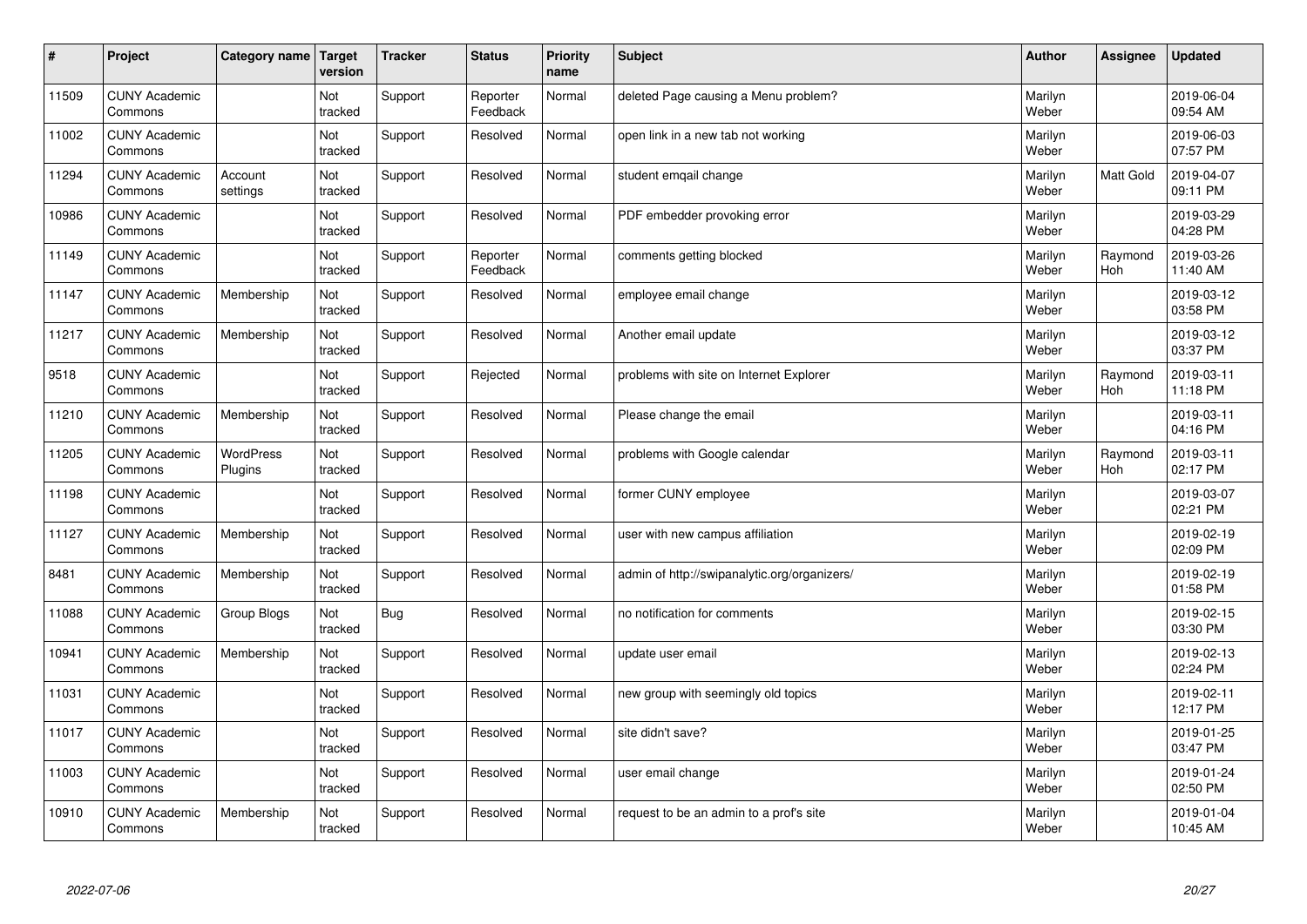| #     | Project                         | Category name        | Target<br>version | <b>Tracker</b> | <b>Status</b>        | <b>Priority</b><br>name | <b>Subject</b>                               | <b>Author</b>    | Assignee         | Updated                |
|-------|---------------------------------|----------------------|-------------------|----------------|----------------------|-------------------------|----------------------------------------------|------------------|------------------|------------------------|
| 11509 | <b>CUNY Academic</b><br>Commons |                      | Not<br>tracked    | Support        | Reporter<br>Feedback | Normal                  | deleted Page causing a Menu problem?         | Marilyn<br>Weber |                  | 2019-06-04<br>09:54 AM |
| 11002 | <b>CUNY Academic</b><br>Commons |                      | Not<br>tracked    | Support        | Resolved             | Normal                  | open link in a new tab not working           | Marilyn<br>Weber |                  | 2019-06-03<br>07:57 PM |
| 11294 | <b>CUNY Academic</b><br>Commons | Account<br>settings  | Not<br>tracked    | Support        | Resolved             | Normal                  | student emgail change                        | Marilyn<br>Weber | <b>Matt Gold</b> | 2019-04-07<br>09:11 PM |
| 10986 | <b>CUNY Academic</b><br>Commons |                      | Not<br>tracked    | Support        | Resolved             | Normal                  | PDF embedder provoking error                 | Marilyn<br>Weber |                  | 2019-03-29<br>04:28 PM |
| 11149 | <b>CUNY Academic</b><br>Commons |                      | Not<br>tracked    | Support        | Reporter<br>Feedback | Normal                  | comments getting blocked                     | Marilyn<br>Weber | Raymond<br>Hoh   | 2019-03-26<br>11:40 AM |
| 11147 | <b>CUNY Academic</b><br>Commons | Membership           | Not<br>tracked    | Support        | Resolved             | Normal                  | employee email change                        | Marilyn<br>Weber |                  | 2019-03-12<br>03:58 PM |
| 11217 | <b>CUNY Academic</b><br>Commons | Membership           | Not<br>tracked    | Support        | Resolved             | Normal                  | Another email update                         | Marilyn<br>Weber |                  | 2019-03-12<br>03:37 PM |
| 9518  | <b>CUNY Academic</b><br>Commons |                      | Not<br>tracked    | Support        | Rejected             | Normal                  | problems with site on Internet Explorer      | Marilyn<br>Weber | Raymond<br>Hoh   | 2019-03-11<br>11:18 PM |
| 11210 | <b>CUNY Academic</b><br>Commons | Membership           | Not<br>tracked    | Support        | Resolved             | Normal                  | Please change the email                      | Marilyn<br>Weber |                  | 2019-03-11<br>04:16 PM |
| 11205 | <b>CUNY Academic</b><br>Commons | WordPress<br>Plugins | Not<br>tracked    | Support        | Resolved             | Normal                  | problems with Google calendar                | Marilyn<br>Weber | Raymond<br>Hoh   | 2019-03-11<br>02:17 PM |
| 11198 | <b>CUNY Academic</b><br>Commons |                      | Not<br>tracked    | Support        | Resolved             | Normal                  | former CUNY employee                         | Marilyn<br>Weber |                  | 2019-03-07<br>02:21 PM |
| 11127 | <b>CUNY Academic</b><br>Commons | Membership           | Not<br>tracked    | Support        | Resolved             | Normal                  | user with new campus affiliation             | Marilyn<br>Weber |                  | 2019-02-19<br>02:09 PM |
| 8481  | <b>CUNY Academic</b><br>Commons | Membership           | Not<br>tracked    | Support        | Resolved             | Normal                  | admin of http://swipanalytic.org/organizers/ | Marilyn<br>Weber |                  | 2019-02-19<br>01:58 PM |
| 11088 | <b>CUNY Academic</b><br>Commons | Group Blogs          | Not<br>tracked    | Bug            | Resolved             | Normal                  | no notification for comments                 | Marilyn<br>Weber |                  | 2019-02-15<br>03:30 PM |
| 10941 | <b>CUNY Academic</b><br>Commons | Membership           | Not<br>tracked    | Support        | Resolved             | Normal                  | update user email                            | Marilyn<br>Weber |                  | 2019-02-13<br>02:24 PM |
| 11031 | <b>CUNY Academic</b><br>Commons |                      | Not<br>tracked    | Support        | Resolved             | Normal                  | new group with seemingly old topics          | Marilyn<br>Weber |                  | 2019-02-11<br>12:17 PM |
| 11017 | <b>CUNY Academic</b><br>Commons |                      | Not<br>tracked    | Support        | Resolved             | Normal                  | site didn't save?                            | Marilyn<br>Weber |                  | 2019-01-25<br>03:47 PM |
| 11003 | <b>CUNY Academic</b><br>Commons |                      | Not<br>tracked    | Support        | Resolved             | Normal                  | user email change                            | Marilyn<br>Weber |                  | 2019-01-24<br>02:50 PM |
| 10910 | <b>CUNY Academic</b><br>Commons | Membership           | Not<br>tracked    | Support        | Resolved             | Normal                  | request to be an admin to a prof's site      | Marilyn<br>Weber |                  | 2019-01-04<br>10:45 AM |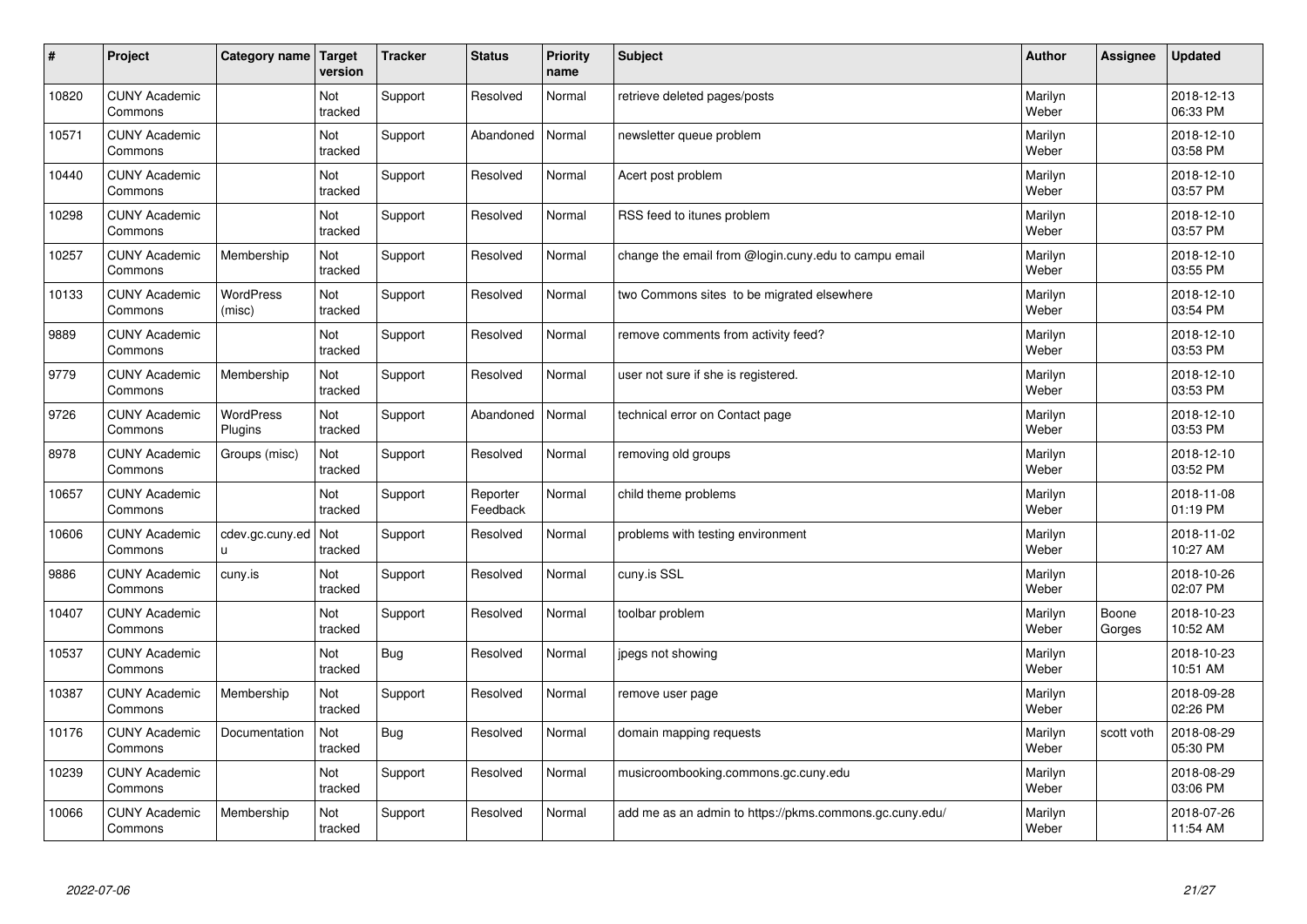| #     | Project                         | Category name               | Target<br>version | <b>Tracker</b> | <b>Status</b>        | <b>Priority</b><br>name | <b>Subject</b>                                          | <b>Author</b>    | Assignee        | <b>Updated</b>         |
|-------|---------------------------------|-----------------------------|-------------------|----------------|----------------------|-------------------------|---------------------------------------------------------|------------------|-----------------|------------------------|
| 10820 | <b>CUNY Academic</b><br>Commons |                             | Not<br>tracked    | Support        | Resolved             | Normal                  | retrieve deleted pages/posts                            | Marilyn<br>Weber |                 | 2018-12-13<br>06:33 PM |
| 10571 | <b>CUNY Academic</b><br>Commons |                             | Not<br>tracked    | Support        | Abandoned            | Normal                  | newsletter queue problem                                | Marilyn<br>Weber |                 | 2018-12-10<br>03:58 PM |
| 10440 | <b>CUNY Academic</b><br>Commons |                             | Not<br>tracked    | Support        | Resolved             | Normal                  | Acert post problem                                      | Marilyn<br>Weber |                 | 2018-12-10<br>03:57 PM |
| 10298 | <b>CUNY Academic</b><br>Commons |                             | Not<br>tracked    | Support        | Resolved             | Normal                  | RSS feed to itunes problem                              | Marilyn<br>Weber |                 | 2018-12-10<br>03:57 PM |
| 10257 | <b>CUNY Academic</b><br>Commons | Membership                  | Not<br>tracked    | Support        | Resolved             | Normal                  | change the email from @login.cuny.edu to campu email    | Marilyn<br>Weber |                 | 2018-12-10<br>03:55 PM |
| 10133 | <b>CUNY Academic</b><br>Commons | <b>WordPress</b><br>(misc)  | Not<br>tracked    | Support        | Resolved             | Normal                  | two Commons sites to be migrated elsewhere              | Marilyn<br>Weber |                 | 2018-12-10<br>03:54 PM |
| 9889  | <b>CUNY Academic</b><br>Commons |                             | Not<br>tracked    | Support        | Resolved             | Normal                  | remove comments from activity feed?                     | Marilyn<br>Weber |                 | 2018-12-10<br>03:53 PM |
| 9779  | <b>CUNY Academic</b><br>Commons | Membership                  | Not<br>tracked    | Support        | Resolved             | Normal                  | user not sure if she is registered.                     | Marilyn<br>Weber |                 | 2018-12-10<br>03:53 PM |
| 9726  | <b>CUNY Academic</b><br>Commons | <b>WordPress</b><br>Plugins | Not<br>tracked    | Support        | Abandoned            | Normal                  | technical error on Contact page                         | Marilyn<br>Weber |                 | 2018-12-10<br>03:53 PM |
| 8978  | <b>CUNY Academic</b><br>Commons | Groups (misc)               | Not<br>tracked    | Support        | Resolved             | Normal                  | removing old groups                                     | Marilyn<br>Weber |                 | 2018-12-10<br>03:52 PM |
| 10657 | <b>CUNY Academic</b><br>Commons |                             | Not<br>tracked    | Support        | Reporter<br>Feedback | Normal                  | child theme problems                                    | Marilyn<br>Weber |                 | 2018-11-08<br>01:19 PM |
| 10606 | <b>CUNY Academic</b><br>Commons | cdev.gc.cuny.ed<br>u.       | Not<br>tracked    | Support        | Resolved             | Normal                  | problems with testing environment                       | Marilyn<br>Weber |                 | 2018-11-02<br>10:27 AM |
| 9886  | <b>CUNY Academic</b><br>Commons | cuny.is                     | Not<br>tracked    | Support        | Resolved             | Normal                  | cuny.is SSL                                             | Marilyn<br>Weber |                 | 2018-10-26<br>02:07 PM |
| 10407 | <b>CUNY Academic</b><br>Commons |                             | Not<br>tracked    | Support        | Resolved             | Normal                  | toolbar problem                                         | Marilyn<br>Weber | Boone<br>Gorges | 2018-10-23<br>10:52 AM |
| 10537 | <b>CUNY Academic</b><br>Commons |                             | Not<br>tracked    | <b>Bug</b>     | Resolved             | Normal                  | jpegs not showing                                       | Marilyn<br>Weber |                 | 2018-10-23<br>10:51 AM |
| 10387 | <b>CUNY Academic</b><br>Commons | Membership                  | Not<br>tracked    | Support        | Resolved             | Normal                  | remove user page                                        | Marilyn<br>Weber |                 | 2018-09-28<br>02:26 PM |
| 10176 | <b>CUNY Academic</b><br>Commons | Documentation               | Not<br>tracked    | <b>Bug</b>     | Resolved             | Normal                  | domain mapping requests                                 | Marilyn<br>Weber | scott voth      | 2018-08-29<br>05:30 PM |
| 10239 | <b>CUNY Academic</b><br>Commons |                             | Not<br>tracked    | Support        | Resolved             | Normal                  | musicroombooking.commons.gc.cuny.edu                    | Marilyn<br>Weber |                 | 2018-08-29<br>03:06 PM |
| 10066 | <b>CUNY Academic</b><br>Commons | Membership                  | Not<br>tracked    | Support        | Resolved             | Normal                  | add me as an admin to https://pkms.commons.gc.cuny.edu/ | Marilyn<br>Weber |                 | 2018-07-26<br>11:54 AM |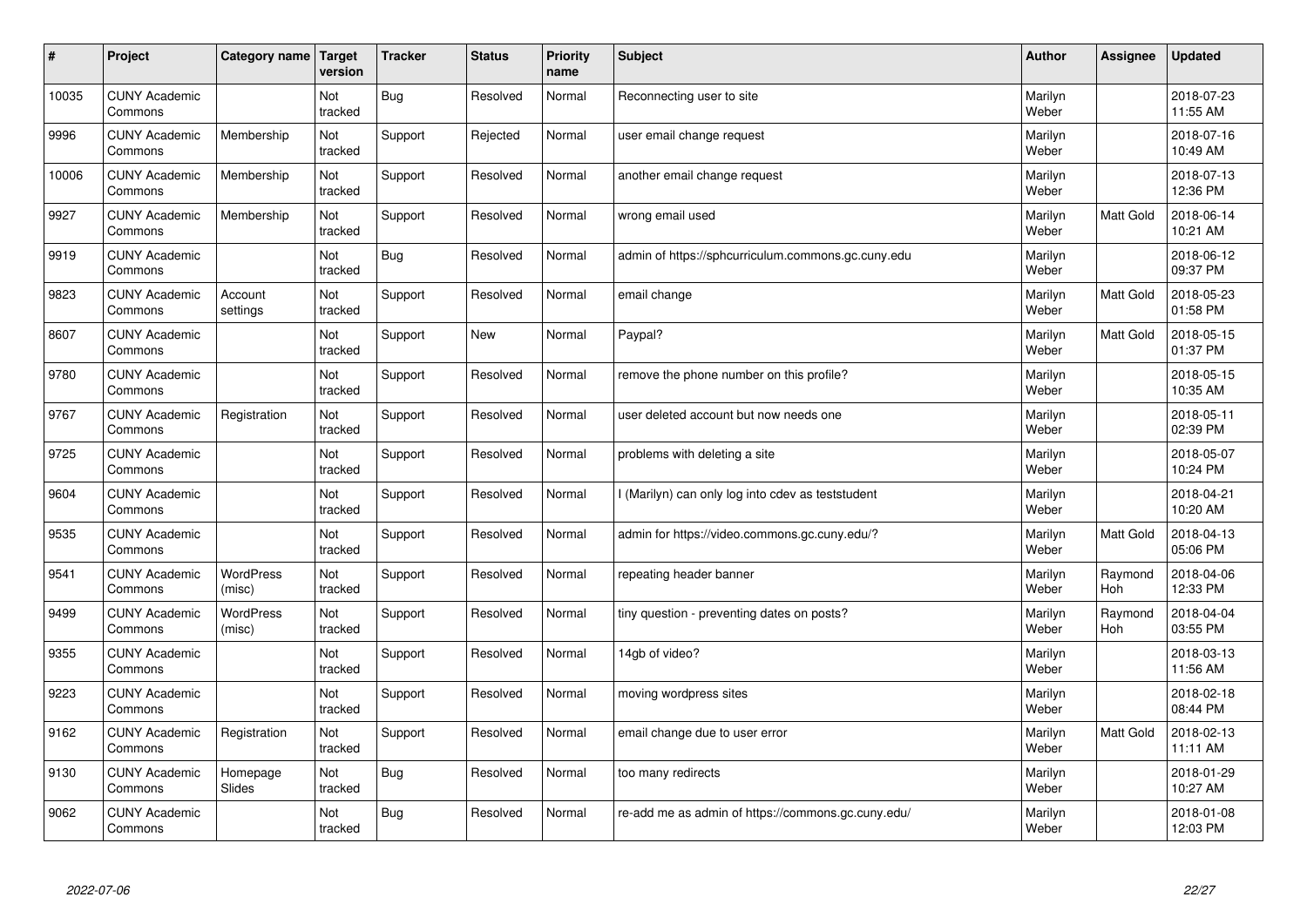| #     | Project                         | Category name   Target | version        | <b>Tracker</b> | <b>Status</b> | <b>Priority</b><br>name | <b>Subject</b>                                     | <b>Author</b>    | Assignee         | <b>Updated</b>         |
|-------|---------------------------------|------------------------|----------------|----------------|---------------|-------------------------|----------------------------------------------------|------------------|------------------|------------------------|
| 10035 | <b>CUNY Academic</b><br>Commons |                        | Not<br>tracked | Bug            | Resolved      | Normal                  | Reconnecting user to site                          | Marilyn<br>Weber |                  | 2018-07-23<br>11:55 AM |
| 9996  | <b>CUNY Academic</b><br>Commons | Membership             | Not<br>tracked | Support        | Rejected      | Normal                  | user email change request                          | Marilyn<br>Weber |                  | 2018-07-16<br>10:49 AM |
| 10006 | <b>CUNY Academic</b><br>Commons | Membership             | Not<br>tracked | Support        | Resolved      | Normal                  | another email change request                       | Marilyn<br>Weber |                  | 2018-07-13<br>12:36 PM |
| 9927  | <b>CUNY Academic</b><br>Commons | Membership             | Not<br>tracked | Support        | Resolved      | Normal                  | wrong email used                                   | Marilyn<br>Weber | <b>Matt Gold</b> | 2018-06-14<br>10:21 AM |
| 9919  | <b>CUNY Academic</b><br>Commons |                        | Not<br>tracked | Bug            | Resolved      | Normal                  | admin of https://sphcurriculum.commons.gc.cuny.edu | Marilyn<br>Weber |                  | 2018-06-12<br>09:37 PM |
| 9823  | <b>CUNY Academic</b><br>Commons | Account<br>settings    | Not<br>tracked | Support        | Resolved      | Normal                  | email change                                       | Marilyn<br>Weber | Matt Gold        | 2018-05-23<br>01:58 PM |
| 8607  | <b>CUNY Academic</b><br>Commons |                        | Not<br>tracked | Support        | <b>New</b>    | Normal                  | Paypal?                                            | Marilyn<br>Weber | <b>Matt Gold</b> | 2018-05-15<br>01:37 PM |
| 9780  | <b>CUNY Academic</b><br>Commons |                        | Not<br>tracked | Support        | Resolved      | Normal                  | remove the phone number on this profile?           | Marilyn<br>Weber |                  | 2018-05-15<br>10:35 AM |
| 9767  | <b>CUNY Academic</b><br>Commons | Registration           | Not<br>tracked | Support        | Resolved      | Normal                  | user deleted account but now needs one             | Marilyn<br>Weber |                  | 2018-05-11<br>02:39 PM |
| 9725  | <b>CUNY Academic</b><br>Commons |                        | Not<br>tracked | Support        | Resolved      | Normal                  | problems with deleting a site                      | Marilyn<br>Weber |                  | 2018-05-07<br>10:24 PM |
| 9604  | <b>CUNY Academic</b><br>Commons |                        | Not<br>tracked | Support        | Resolved      | Normal                  | (Marilyn) can only log into cdev as teststudent    | Marilyn<br>Weber |                  | 2018-04-21<br>10:20 AM |
| 9535  | <b>CUNY Academic</b><br>Commons |                        | Not<br>tracked | Support        | Resolved      | Normal                  | admin for https://video.commons.gc.cuny.edu/?      | Marilyn<br>Weber | Matt Gold        | 2018-04-13<br>05:06 PM |
| 9541  | <b>CUNY Academic</b><br>Commons | WordPress<br>(misc)    | Not<br>tracked | Support        | Resolved      | Normal                  | repeating header banner                            | Marilyn<br>Weber | Raymond<br>Hoh   | 2018-04-06<br>12:33 PM |
| 9499  | <b>CUNY Academic</b><br>Commons | WordPress<br>(misc)    | Not<br>tracked | Support        | Resolved      | Normal                  | tiny question - preventing dates on posts?         | Marilyn<br>Weber | Raymond<br>Hoh   | 2018-04-04<br>03:55 PM |
| 9355  | <b>CUNY Academic</b><br>Commons |                        | Not<br>tracked | Support        | Resolved      | Normal                  | 14gb of video?                                     | Marilyn<br>Weber |                  | 2018-03-13<br>11:56 AM |
| 9223  | <b>CUNY Academic</b><br>Commons |                        | Not<br>tracked | Support        | Resolved      | Normal                  | moving wordpress sites                             | Marilyn<br>Weber |                  | 2018-02-18<br>08:44 PM |
| 9162  | <b>CUNY Academic</b><br>Commons | Registration           | Not<br>tracked | Support        | Resolved      | Normal                  | email change due to user error                     | Marilyn<br>Weber | <b>Matt Gold</b> | 2018-02-13<br>11:11 AM |
| 9130  | <b>CUNY Academic</b><br>Commons | Homepage<br>Slides     | Not<br>tracked | Bug            | Resolved      | Normal                  | too many redirects                                 | Marilyn<br>Weber |                  | 2018-01-29<br>10:27 AM |
| 9062  | <b>CUNY Academic</b><br>Commons |                        | Not<br>tracked | Bug            | Resolved      | Normal                  | re-add me as admin of https://commons.gc.cuny.edu/ | Marilyn<br>Weber |                  | 2018-01-08<br>12:03 PM |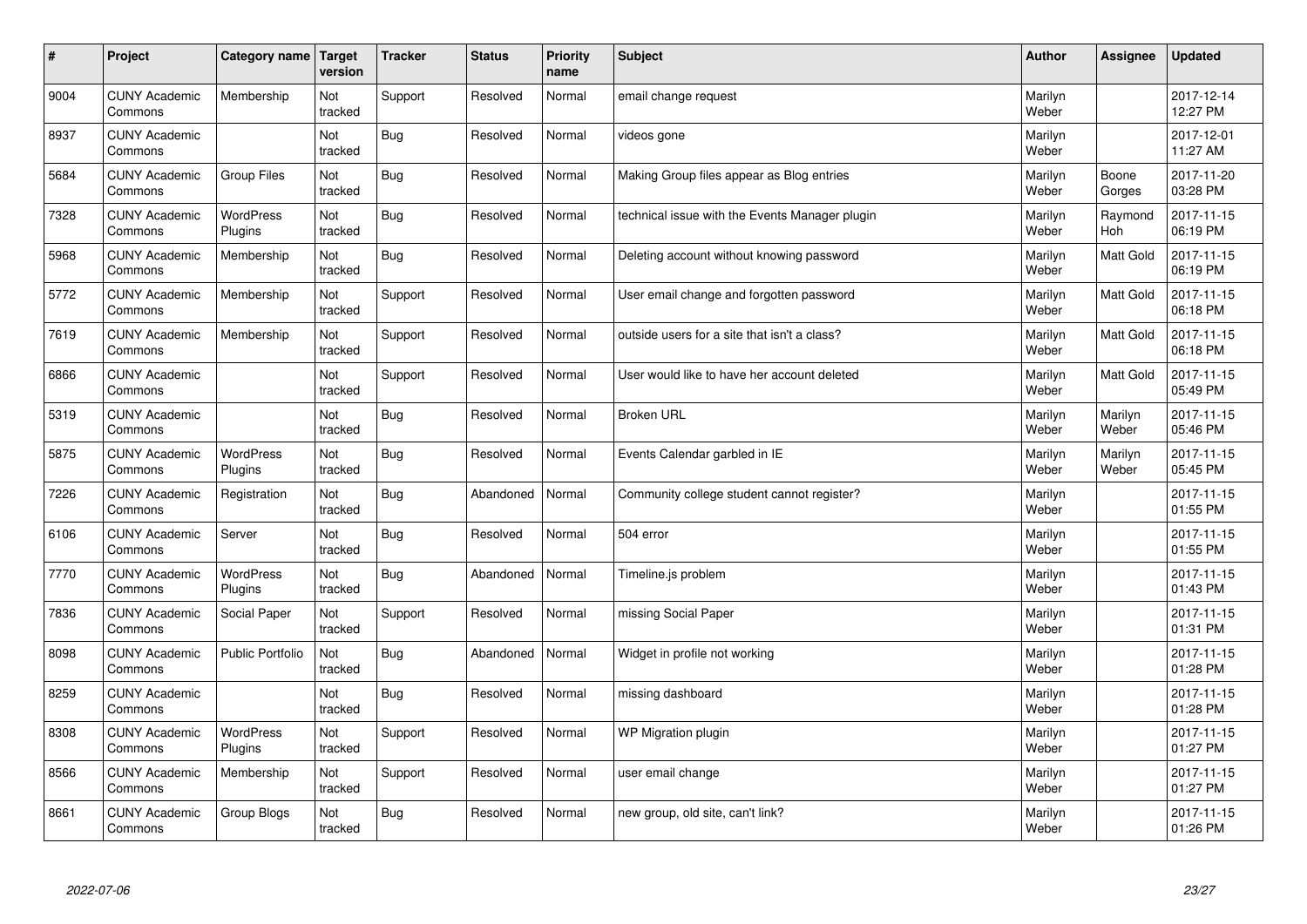| $\sharp$ | Project                         | Category name   Target      | version        | <b>Tracker</b> | <b>Status</b> | <b>Priority</b><br>name | <b>Subject</b>                                 | <b>Author</b>    | Assignee         | <b>Updated</b>         |
|----------|---------------------------------|-----------------------------|----------------|----------------|---------------|-------------------------|------------------------------------------------|------------------|------------------|------------------------|
| 9004     | <b>CUNY Academic</b><br>Commons | Membership                  | Not<br>tracked | Support        | Resolved      | Normal                  | email change request                           | Marilyn<br>Weber |                  | 2017-12-14<br>12:27 PM |
| 8937     | <b>CUNY Academic</b><br>Commons |                             | Not<br>tracked | <b>Bug</b>     | Resolved      | Normal                  | videos gone                                    | Marilyn<br>Weber |                  | 2017-12-01<br>11:27 AM |
| 5684     | <b>CUNY Academic</b><br>Commons | Group Files                 | Not<br>tracked | Bug            | Resolved      | Normal                  | Making Group files appear as Blog entries      | Marilyn<br>Weber | Boone<br>Gorges  | 2017-11-20<br>03:28 PM |
| 7328     | <b>CUNY Academic</b><br>Commons | <b>WordPress</b><br>Plugins | Not<br>tracked | Bug            | Resolved      | Normal                  | technical issue with the Events Manager plugin | Marilyn<br>Weber | Raymond<br>Hoh   | 2017-11-15<br>06:19 PM |
| 5968     | <b>CUNY Academic</b><br>Commons | Membership                  | Not<br>tracked | Bug            | Resolved      | Normal                  | Deleting account without knowing password      | Marilyn<br>Weber | <b>Matt Gold</b> | 2017-11-15<br>06:19 PM |
| 5772     | <b>CUNY Academic</b><br>Commons | Membership                  | Not<br>tracked | Support        | Resolved      | Normal                  | User email change and forgotten password       | Marilyn<br>Weber | <b>Matt Gold</b> | 2017-11-15<br>06:18 PM |
| 7619     | <b>CUNY Academic</b><br>Commons | Membership                  | Not<br>tracked | Support        | Resolved      | Normal                  | outside users for a site that isn't a class?   | Marilyn<br>Weber | Matt Gold        | 2017-11-15<br>06:18 PM |
| 6866     | <b>CUNY Academic</b><br>Commons |                             | Not<br>tracked | Support        | Resolved      | Normal                  | User would like to have her account deleted    | Marilyn<br>Weber | <b>Matt Gold</b> | 2017-11-15<br>05:49 PM |
| 5319     | <b>CUNY Academic</b><br>Commons |                             | Not<br>tracked | Bug            | Resolved      | Normal                  | <b>Broken URL</b>                              | Marilyn<br>Weber | Marilyn<br>Weber | 2017-11-15<br>05:46 PM |
| 5875     | <b>CUNY Academic</b><br>Commons | WordPress<br>Plugins        | Not<br>tracked | Bug            | Resolved      | Normal                  | Events Calendar garbled in IE                  | Marilyn<br>Weber | Marilyn<br>Weber | 2017-11-15<br>05:45 PM |
| 7226     | <b>CUNY Academic</b><br>Commons | Registration                | Not<br>tracked | Bug            | Abandoned     | Normal                  | Community college student cannot register?     | Marilyn<br>Weber |                  | 2017-11-15<br>01:55 PM |
| 6106     | <b>CUNY Academic</b><br>Commons | Server                      | Not<br>tracked | Bug            | Resolved      | Normal                  | 504 error                                      | Marilyn<br>Weber |                  | 2017-11-15<br>01:55 PM |
| 7770     | <b>CUNY Academic</b><br>Commons | WordPress<br>Plugins        | Not<br>tracked | Bug            | Abandoned     | Normal                  | Timeline.js problem                            | Marilyn<br>Weber |                  | 2017-11-15<br>01:43 PM |
| 7836     | <b>CUNY Academic</b><br>Commons | Social Paper                | Not<br>tracked | Support        | Resolved      | Normal                  | missing Social Paper                           | Marilyn<br>Weber |                  | 2017-11-15<br>01:31 PM |
| 8098     | <b>CUNY Academic</b><br>Commons | <b>Public Portfolio</b>     | Not<br>tracked | Bug            | Abandoned     | Normal                  | Widget in profile not working                  | Marilyn<br>Weber |                  | 2017-11-15<br>01:28 PM |
| 8259     | <b>CUNY Academic</b><br>Commons |                             | Not<br>tracked | Bug            | Resolved      | Normal                  | missing dashboard                              | Marilyn<br>Weber |                  | 2017-11-15<br>01:28 PM |
| 8308     | <b>CUNY Academic</b><br>Commons | <b>WordPress</b><br>Plugins | Not<br>tracked | Support        | Resolved      | Normal                  | WP Migration plugin                            | Marilyn<br>Weber |                  | 2017-11-15<br>01:27 PM |
| 8566     | <b>CUNY Academic</b><br>Commons | Membership                  | Not<br>tracked | Support        | Resolved      | Normal                  | user email change                              | Marilyn<br>Weber |                  | 2017-11-15<br>01:27 PM |
| 8661     | <b>CUNY Academic</b><br>Commons | Group Blogs                 | Not<br>tracked | Bug            | Resolved      | Normal                  | new group, old site, can't link?               | Marilyn<br>Weber |                  | 2017-11-15<br>01:26 PM |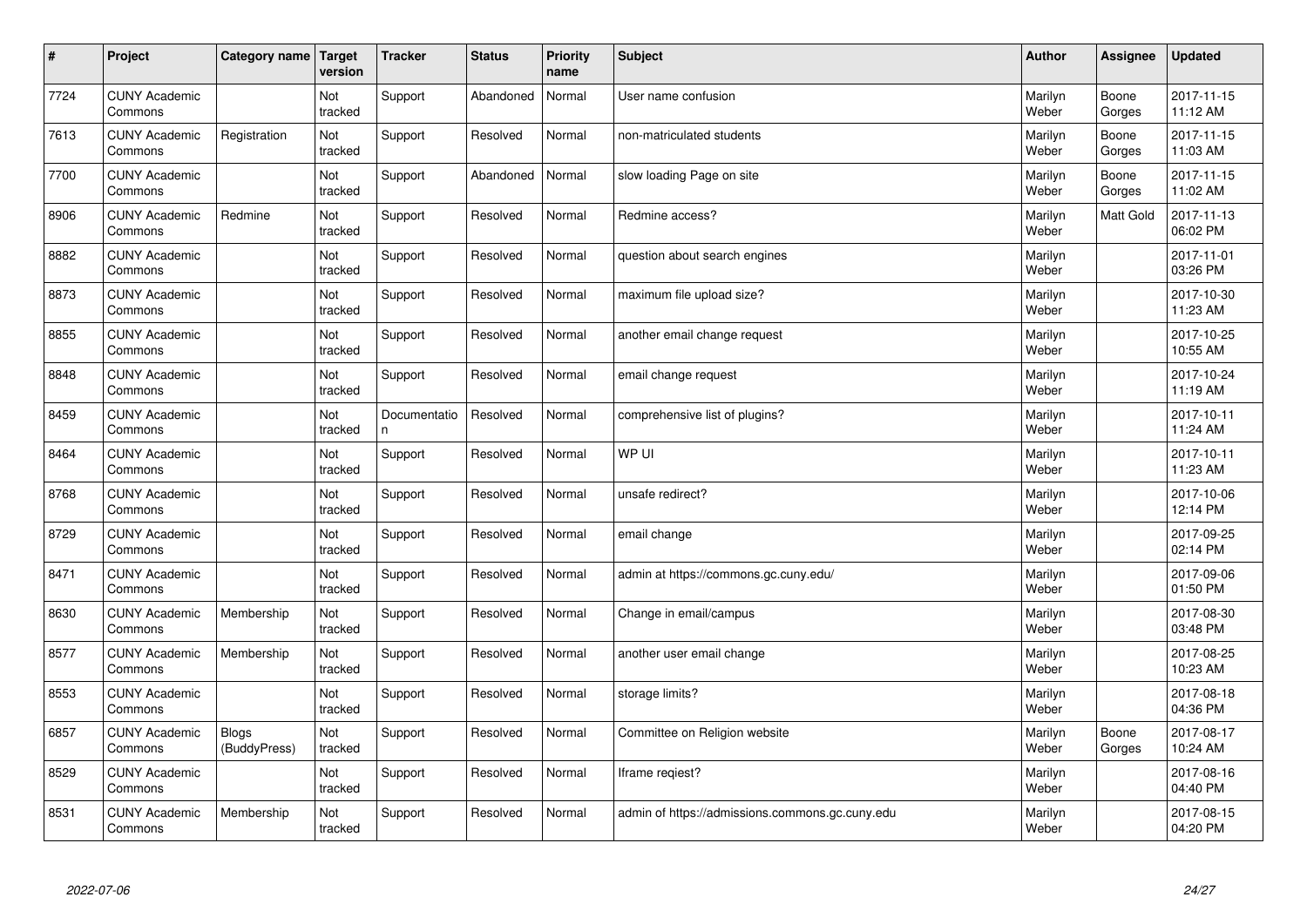| $\vert$ # | Project                         | Category name                | <b>Target</b><br>version | <b>Tracker</b>     | <b>Status</b> | <b>Priority</b><br>name | <b>Subject</b>                                  | <b>Author</b>    | <b>Assignee</b> | <b>Updated</b>         |
|-----------|---------------------------------|------------------------------|--------------------------|--------------------|---------------|-------------------------|-------------------------------------------------|------------------|-----------------|------------------------|
| 7724      | <b>CUNY Academic</b><br>Commons |                              | Not<br>tracked           | Support            | Abandoned     | Normal                  | User name confusion                             | Marilyn<br>Weber | Boone<br>Gorges | 2017-11-15<br>11:12 AM |
| 7613      | <b>CUNY Academic</b><br>Commons | Registration                 | Not<br>tracked           | Support            | Resolved      | Normal                  | non-matriculated students                       | Marilyn<br>Weber | Boone<br>Gorges | 2017-11-15<br>11:03 AM |
| 7700      | <b>CUNY Academic</b><br>Commons |                              | Not<br>tracked           | Support            | Abandoned     | Normal                  | slow loading Page on site                       | Marilyn<br>Weber | Boone<br>Gorges | 2017-11-15<br>11:02 AM |
| 8906      | <b>CUNY Academic</b><br>Commons | Redmine                      | Not<br>tracked           | Support            | Resolved      | Normal                  | Redmine access?                                 | Marilyn<br>Weber | Matt Gold       | 2017-11-13<br>06:02 PM |
| 8882      | <b>CUNY Academic</b><br>Commons |                              | Not<br>tracked           | Support            | Resolved      | Normal                  | question about search engines                   | Marilyn<br>Weber |                 | 2017-11-01<br>03:26 PM |
| 8873      | <b>CUNY Academic</b><br>Commons |                              | Not<br>tracked           | Support            | Resolved      | Normal                  | maximum file upload size?                       | Marilyn<br>Weber |                 | 2017-10-30<br>11:23 AM |
| 8855      | <b>CUNY Academic</b><br>Commons |                              | Not<br>tracked           | Support            | Resolved      | Normal                  | another email change request                    | Marilyn<br>Weber |                 | 2017-10-25<br>10:55 AM |
| 8848      | <b>CUNY Academic</b><br>Commons |                              | Not<br>tracked           | Support            | Resolved      | Normal                  | email change request                            | Marilyn<br>Weber |                 | 2017-10-24<br>11:19 AM |
| 8459      | <b>CUNY Academic</b><br>Commons |                              | Not<br>tracked           | Documentatio<br>n. | Resolved      | Normal                  | comprehensive list of plugins?                  | Marilyn<br>Weber |                 | 2017-10-11<br>11:24 AM |
| 8464      | <b>CUNY Academic</b><br>Commons |                              | Not<br>tracked           | Support            | Resolved      | Normal                  | WP UI                                           | Marilyn<br>Weber |                 | 2017-10-11<br>11:23 AM |
| 8768      | <b>CUNY Academic</b><br>Commons |                              | Not<br>tracked           | Support            | Resolved      | Normal                  | unsafe redirect?                                | Marilyn<br>Weber |                 | 2017-10-06<br>12:14 PM |
| 8729      | <b>CUNY Academic</b><br>Commons |                              | Not<br>tracked           | Support            | Resolved      | Normal                  | email change                                    | Marilyn<br>Weber |                 | 2017-09-25<br>02:14 PM |
| 8471      | <b>CUNY Academic</b><br>Commons |                              | Not<br>tracked           | Support            | Resolved      | Normal                  | admin at https://commons.gc.cuny.edu/           | Marilyn<br>Weber |                 | 2017-09-06<br>01:50 PM |
| 8630      | <b>CUNY Academic</b><br>Commons | Membership                   | Not<br>tracked           | Support            | Resolved      | Normal                  | Change in email/campus                          | Marilyn<br>Weber |                 | 2017-08-30<br>03:48 PM |
| 8577      | <b>CUNY Academic</b><br>Commons | Membership                   | Not<br>tracked           | Support            | Resolved      | Normal                  | another user email change                       | Marilyn<br>Weber |                 | 2017-08-25<br>10:23 AM |
| 8553      | <b>CUNY Academic</b><br>Commons |                              | Not<br>tracked           | Support            | Resolved      | Normal                  | storage limits?                                 | Marilyn<br>Weber |                 | 2017-08-18<br>04:36 PM |
| 6857      | <b>CUNY Academic</b><br>Commons | <b>Blogs</b><br>(BuddyPress) | Not<br>tracked           | Support            | Resolved      | Normal                  | Committee on Religion website                   | Marilyn<br>Weber | Boone<br>Gorges | 2017-08-17<br>10:24 AM |
| 8529      | <b>CUNY Academic</b><br>Commons |                              | Not<br>tracked           | Support            | Resolved      | Normal                  | Iframe regiest?                                 | Marilyn<br>Weber |                 | 2017-08-16<br>04:40 PM |
| 8531      | <b>CUNY Academic</b><br>Commons | Membership                   | Not<br>tracked           | Support            | Resolved      | Normal                  | admin of https://admissions.commons.gc.cuny.edu | Marilyn<br>Weber |                 | 2017-08-15<br>04:20 PM |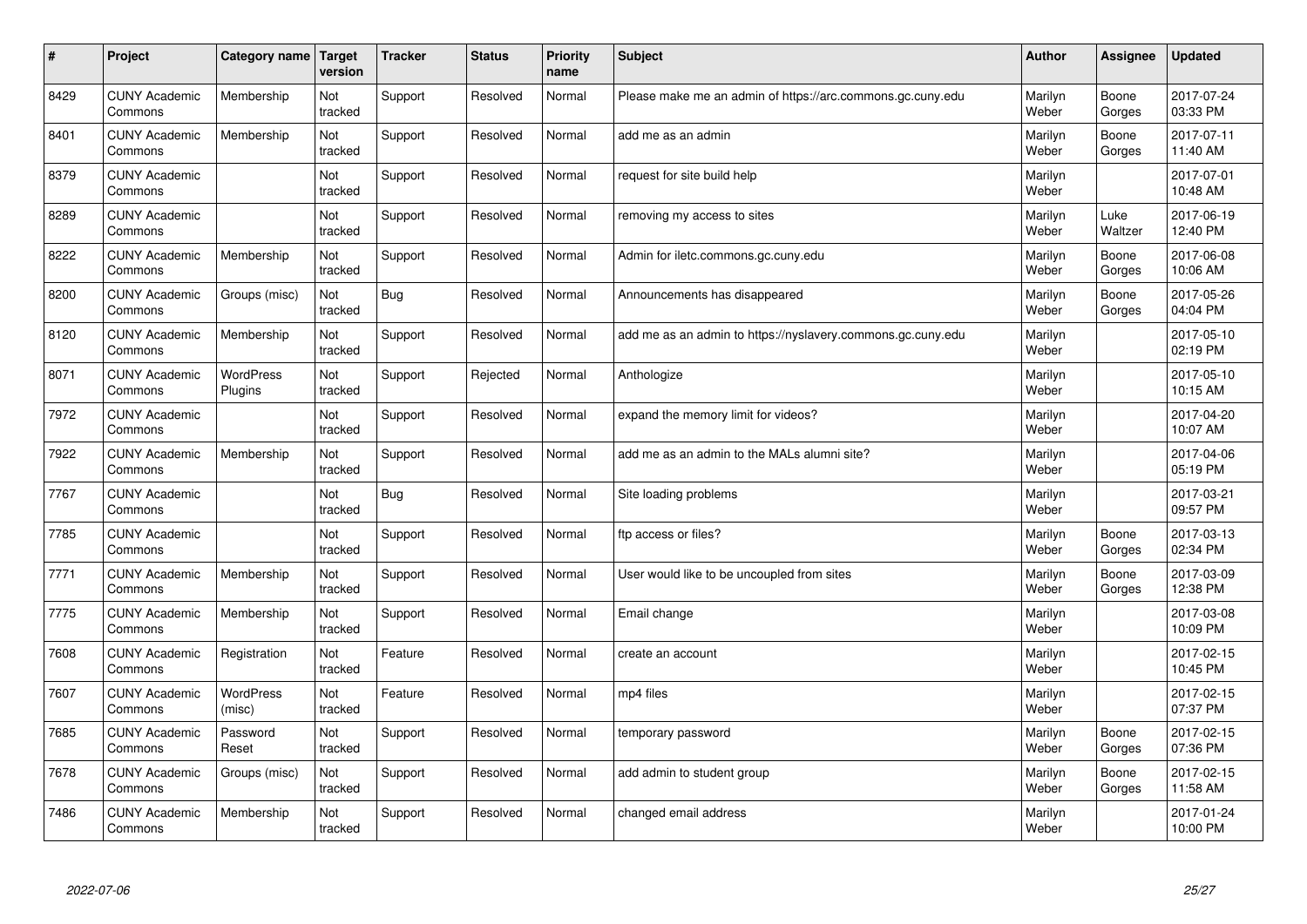| $\#$ | Project                         | Category name   Target      | version        | <b>Tracker</b> | <b>Status</b> | <b>Priority</b><br>name | <b>Subject</b>                                              | <b>Author</b>    | <b>Assignee</b> | <b>Updated</b>         |
|------|---------------------------------|-----------------------------|----------------|----------------|---------------|-------------------------|-------------------------------------------------------------|------------------|-----------------|------------------------|
| 8429 | <b>CUNY Academic</b><br>Commons | Membership                  | Not<br>tracked | Support        | Resolved      | Normal                  | Please make me an admin of https://arc.commons.gc.cuny.edu  | Marilyn<br>Weber | Boone<br>Gorges | 2017-07-24<br>03:33 PM |
| 8401 | <b>CUNY Academic</b><br>Commons | Membership                  | Not<br>tracked | Support        | Resolved      | Normal                  | add me as an admin                                          | Marilyn<br>Weber | Boone<br>Gorges | 2017-07-11<br>11:40 AM |
| 8379 | <b>CUNY Academic</b><br>Commons |                             | Not<br>tracked | Support        | Resolved      | Normal                  | request for site build help                                 | Marilyn<br>Weber |                 | 2017-07-01<br>10:48 AM |
| 8289 | <b>CUNY Academic</b><br>Commons |                             | Not<br>tracked | Support        | Resolved      | Normal                  | removing my access to sites                                 | Marilyn<br>Weber | Luke<br>Waltzer | 2017-06-19<br>12:40 PM |
| 8222 | <b>CUNY Academic</b><br>Commons | Membership                  | Not<br>tracked | Support        | Resolved      | Normal                  | Admin for iletc.commons.gc.cuny.edu                         | Marilyn<br>Weber | Boone<br>Gorges | 2017-06-08<br>10:06 AM |
| 8200 | <b>CUNY Academic</b><br>Commons | Groups (misc)               | Not<br>tracked | Bug            | Resolved      | Normal                  | Announcements has disappeared                               | Marilyn<br>Weber | Boone<br>Gorges | 2017-05-26<br>04:04 PM |
| 8120 | <b>CUNY Academic</b><br>Commons | Membership                  | Not<br>tracked | Support        | Resolved      | Normal                  | add me as an admin to https://nyslavery.commons.gc.cuny.edu | Marilyn<br>Weber |                 | 2017-05-10<br>02:19 PM |
| 8071 | <b>CUNY Academic</b><br>Commons | WordPress<br><b>Plugins</b> | Not<br>tracked | Support        | Rejected      | Normal                  | Anthologize                                                 | Marilyn<br>Weber |                 | 2017-05-10<br>10:15 AM |
| 7972 | <b>CUNY Academic</b><br>Commons |                             | Not<br>tracked | Support        | Resolved      | Normal                  | expand the memory limit for videos?                         | Marilyn<br>Weber |                 | 2017-04-20<br>10:07 AM |
| 7922 | <b>CUNY Academic</b><br>Commons | Membership                  | Not<br>tracked | Support        | Resolved      | Normal                  | add me as an admin to the MALs alumni site?                 | Marilyn<br>Weber |                 | 2017-04-06<br>05:19 PM |
| 7767 | <b>CUNY Academic</b><br>Commons |                             | Not<br>tracked | Bug            | Resolved      | Normal                  | Site loading problems                                       | Marilyn<br>Weber |                 | 2017-03-21<br>09:57 PM |
| 7785 | <b>CUNY Academic</b><br>Commons |                             | Not<br>tracked | Support        | Resolved      | Normal                  | ftp access or files?                                        | Marilyn<br>Weber | Boone<br>Gorges | 2017-03-13<br>02:34 PM |
| 7771 | <b>CUNY Academic</b><br>Commons | Membership                  | Not<br>tracked | Support        | Resolved      | Normal                  | User would like to be uncoupled from sites                  | Marilyn<br>Weber | Boone<br>Gorges | 2017-03-09<br>12:38 PM |
| 7775 | <b>CUNY Academic</b><br>Commons | Membership                  | Not<br>tracked | Support        | Resolved      | Normal                  | Email change                                                | Marilyn<br>Weber |                 | 2017-03-08<br>10:09 PM |
| 7608 | <b>CUNY Academic</b><br>Commons | Registration                | Not<br>tracked | Feature        | Resolved      | Normal                  | create an account                                           | Marilyn<br>Weber |                 | 2017-02-15<br>10:45 PM |
| 7607 | <b>CUNY Academic</b><br>Commons | WordPress<br>(misc)         | Not<br>tracked | Feature        | Resolved      | Normal                  | mp4 files                                                   | Marilyn<br>Weber |                 | 2017-02-15<br>07:37 PM |
| 7685 | <b>CUNY Academic</b><br>Commons | Password<br>Reset           | Not<br>tracked | Support        | Resolved      | Normal                  | temporary password                                          | Marilyn<br>Weber | Boone<br>Gorges | 2017-02-15<br>07:36 PM |
| 7678 | <b>CUNY Academic</b><br>Commons | Groups (misc)               | Not<br>tracked | Support        | Resolved      | Normal                  | add admin to student group                                  | Marilyn<br>Weber | Boone<br>Gorges | 2017-02-15<br>11:58 AM |
| 7486 | <b>CUNY Academic</b><br>Commons | Membership                  | Not<br>tracked | Support        | Resolved      | Normal                  | changed email address                                       | Marilyn<br>Weber |                 | 2017-01-24<br>10:00 PM |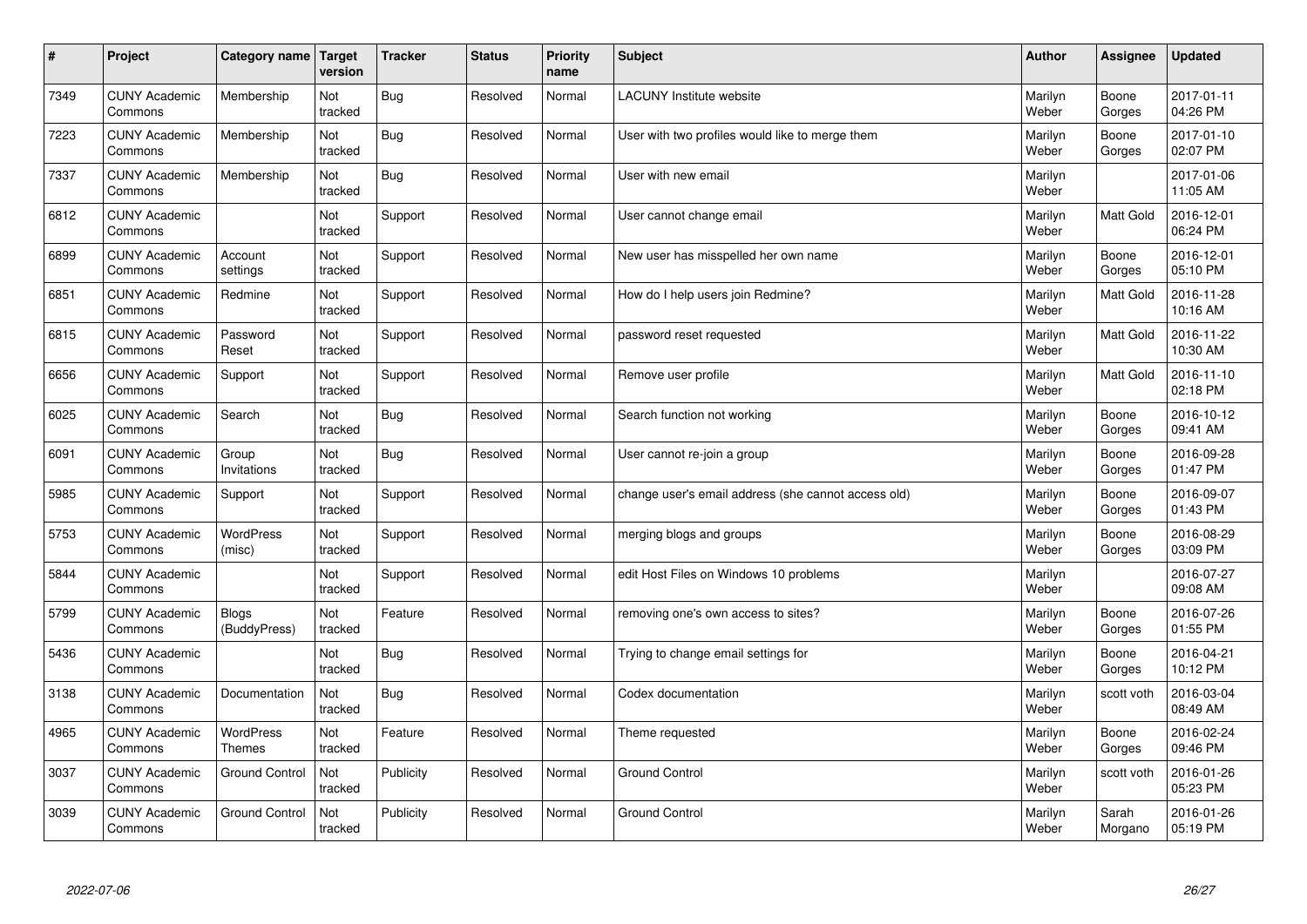| $\sharp$ | Project                         | Category name                | Target<br>version | <b>Tracker</b> | <b>Status</b> | <b>Priority</b><br>name | <b>Subject</b>                                      | <b>Author</b>    | Assignee         | Updated                |
|----------|---------------------------------|------------------------------|-------------------|----------------|---------------|-------------------------|-----------------------------------------------------|------------------|------------------|------------------------|
| 7349     | <b>CUNY Academic</b><br>Commons | Membership                   | Not<br>tracked    | Bug            | Resolved      | Normal                  | <b>LACUNY</b> Institute website                     | Marilyn<br>Weber | Boone<br>Gorges  | 2017-01-11<br>04:26 PM |
| 7223     | <b>CUNY Academic</b><br>Commons | Membership                   | Not<br>tracked    | Bug            | Resolved      | Normal                  | User with two profiles would like to merge them     | Marilyn<br>Weber | Boone<br>Gorges  | 2017-01-10<br>02:07 PM |
| 7337     | <b>CUNY Academic</b><br>Commons | Membership                   | Not<br>tracked    | Bug            | Resolved      | Normal                  | User with new email                                 | Marilyn<br>Weber |                  | 2017-01-06<br>11:05 AM |
| 6812     | <b>CUNY Academic</b><br>Commons |                              | Not<br>tracked    | Support        | Resolved      | Normal                  | User cannot change email                            | Marilyn<br>Weber | Matt Gold        | 2016-12-01<br>06:24 PM |
| 6899     | <b>CUNY Academic</b><br>Commons | Account<br>settings          | Not<br>tracked    | Support        | Resolved      | Normal                  | New user has misspelled her own name                | Marilyn<br>Weber | Boone<br>Gorges  | 2016-12-01<br>05:10 PM |
| 6851     | <b>CUNY Academic</b><br>Commons | Redmine                      | Not<br>tracked    | Support        | Resolved      | Normal                  | How do I help users join Redmine?                   | Marilyn<br>Weber | <b>Matt Gold</b> | 2016-11-28<br>10:16 AM |
| 6815     | <b>CUNY Academic</b><br>Commons | Password<br>Reset            | Not<br>tracked    | Support        | Resolved      | Normal                  | password reset requested                            | Marilyn<br>Weber | Matt Gold        | 2016-11-22<br>10:30 AM |
| 6656     | <b>CUNY Academic</b><br>Commons | Support                      | Not<br>tracked    | Support        | Resolved      | Normal                  | Remove user profile                                 | Marilyn<br>Weber | <b>Matt Gold</b> | 2016-11-10<br>02:18 PM |
| 6025     | <b>CUNY Academic</b><br>Commons | Search                       | Not<br>tracked    | Bug            | Resolved      | Normal                  | Search function not working                         | Marilyn<br>Weber | Boone<br>Gorges  | 2016-10-12<br>09:41 AM |
| 6091     | <b>CUNY Academic</b><br>Commons | Group<br>Invitations         | Not<br>tracked    | Bug            | Resolved      | Normal                  | User cannot re-join a group                         | Marilyn<br>Weber | Boone<br>Gorges  | 2016-09-28<br>01:47 PM |
| 5985     | <b>CUNY Academic</b><br>Commons | Support                      | Not<br>tracked    | Support        | Resolved      | Normal                  | change user's email address (she cannot access old) | Marilyn<br>Weber | Boone<br>Gorges  | 2016-09-07<br>01:43 PM |
| 5753     | <b>CUNY Academic</b><br>Commons | <b>WordPress</b><br>(misc)   | Not<br>tracked    | Support        | Resolved      | Normal                  | merging blogs and groups                            | Marilyn<br>Weber | Boone<br>Gorges  | 2016-08-29<br>03:09 PM |
| 5844     | <b>CUNY Academic</b><br>Commons |                              | Not<br>tracked    | Support        | Resolved      | Normal                  | edit Host Files on Windows 10 problems              | Marilyn<br>Weber |                  | 2016-07-27<br>09:08 AM |
| 5799     | <b>CUNY Academic</b><br>Commons | <b>Blogs</b><br>(BuddyPress) | Not<br>tracked    | Feature        | Resolved      | Normal                  | removing one's own access to sites?                 | Marilyn<br>Weber | Boone<br>Gorges  | 2016-07-26<br>01:55 PM |
| 5436     | <b>CUNY Academic</b><br>Commons |                              | Not<br>tracked    | Bug            | Resolved      | Normal                  | Trying to change email settings for                 | Marilyn<br>Weber | Boone<br>Gorges  | 2016-04-21<br>10:12 PM |
| 3138     | <b>CUNY Academic</b><br>Commons | Documentation                | Not<br>tracked    | Bug            | Resolved      | Normal                  | Codex documentation                                 | Marilyn<br>Weber | scott voth       | 2016-03-04<br>08:49 AM |
| 4965     | <b>CUNY Academic</b><br>Commons | WordPress<br><b>Themes</b>   | Not<br>tracked    | Feature        | Resolved      | Normal                  | Theme requested                                     | Marilyn<br>Weber | Boone<br>Gorges  | 2016-02-24<br>09:46 PM |
| 3037     | <b>CUNY Academic</b><br>Commons | <b>Ground Control</b>        | Not<br>tracked    | Publicity      | Resolved      | Normal                  | <b>Ground Control</b>                               | Marilyn<br>Weber | scott voth       | 2016-01-26<br>05:23 PM |
| 3039     | <b>CUNY Academic</b><br>Commons | <b>Ground Control</b>        | Not<br>tracked    | Publicity      | Resolved      | Normal                  | <b>Ground Control</b>                               | Marilyn<br>Weber | Sarah<br>Morgano | 2016-01-26<br>05:19 PM |